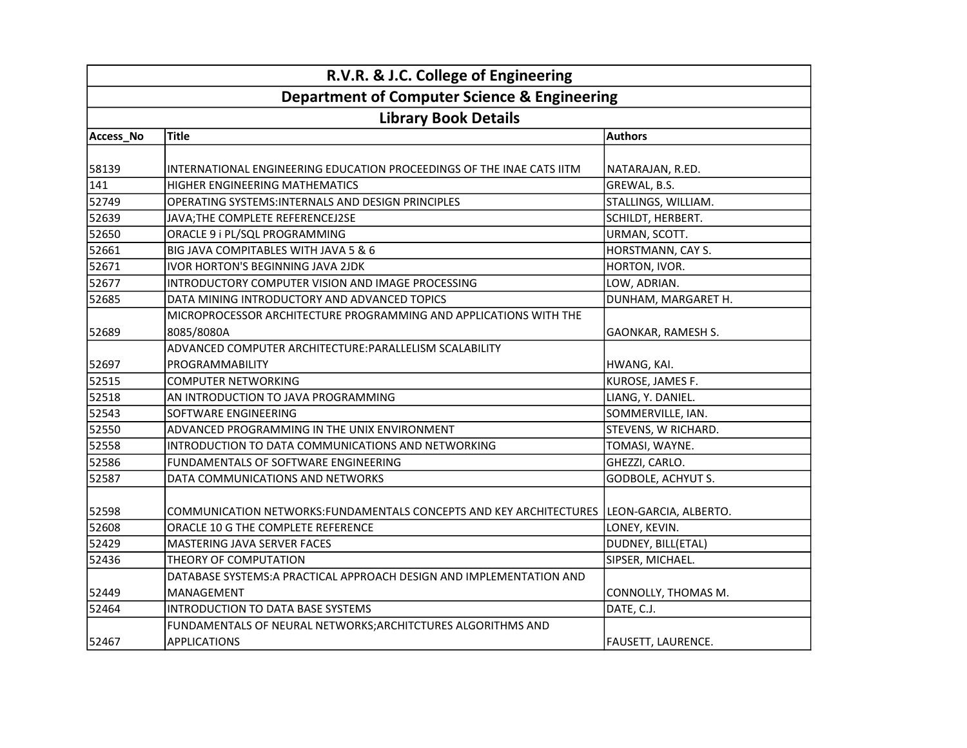| R.V.R. & J.C. College of Engineering<br><b>Department of Computer Science &amp; Engineering</b> |                                                                                 |                           |
|-------------------------------------------------------------------------------------------------|---------------------------------------------------------------------------------|---------------------------|
|                                                                                                 |                                                                                 |                           |
| Access_No                                                                                       | Title                                                                           | <b>Authors</b>            |
| 58139                                                                                           | INTERNATIONAL ENGINEERING EDUCATION PROCEEDINGS OF THE INAE CATS IITM           | NATARAJAN, R.ED.          |
| 141                                                                                             | HIGHER ENGINEERING MATHEMATICS                                                  | GREWAL, B.S.              |
| 52749                                                                                           | OPERATING SYSTEMS: INTERNALS AND DESIGN PRINCIPLES                              | STALLINGS, WILLIAM.       |
| 52639                                                                                           | JAVA; THE COMPLETE REFERENCEJ2SE                                                | SCHILDT, HERBERT.         |
| 52650                                                                                           | ORACLE 9 i PL/SQL PROGRAMMING                                                   | URMAN, SCOTT.             |
| 52661                                                                                           | BIG JAVA COMPITABLES WITH JAVA 5 & 6                                            | HORSTMANN, CAY S.         |
| 52671                                                                                           | <b>IVOR HORTON'S BEGINNING JAVA 2JDK</b>                                        | HORTON, IVOR.             |
| 52677                                                                                           | INTRODUCTORY COMPUTER VISION AND IMAGE PROCESSING                               | LOW, ADRIAN.              |
| 52685                                                                                           | DATA MINING INTRODUCTORY AND ADVANCED TOPICS                                    | DUNHAM, MARGARET H.       |
| 52689                                                                                           | MICROPROCESSOR ARCHITECTURE PROGRAMMING AND APPLICATIONS WITH THE<br>8085/8080A | GAONKAR, RAMESH S.        |
|                                                                                                 | ADVANCED COMPUTER ARCHITECTURE:PARALLELISM SCALABILITY                          |                           |
| 52697                                                                                           | PROGRAMMABILITY                                                                 | HWANG, KAI.               |
| 52515                                                                                           | <b>COMPUTER NETWORKING</b>                                                      | KUROSE, JAMES F.          |
| 52518                                                                                           | AN INTRODUCTION TO JAVA PROGRAMMING                                             | LIANG, Y. DANIEL.         |
| 52543                                                                                           | <b>SOFTWARE ENGINEERING</b>                                                     | SOMMERVILLE, IAN.         |
| 52550                                                                                           | ADVANCED PROGRAMMING IN THE UNIX ENVIRONMENT                                    | STEVENS, W RICHARD.       |
| 52558                                                                                           | INTRODUCTION TO DATA COMMUNICATIONS AND NETWORKING                              | TOMASI, WAYNE.            |
| 52586                                                                                           | FUNDAMENTALS OF SOFTWARE ENGINEERING                                            | GHEZZI, CARLO.            |
| 52587                                                                                           | DATA COMMUNICATIONS AND NETWORKS                                                | <b>GODBOLE, ACHYUT S.</b> |
| 52598                                                                                           | COMMUNICATION NETWORKS:FUNDAMENTALS CONCEPTS AND KEY ARCHITECTURES              | LEON-GARCIA, ALBERTO.     |
| 52608                                                                                           | ORACLE 10 G THE COMPLETE REFERENCE                                              | LONEY, KEVIN.             |
| 52429                                                                                           | MASTERING JAVA SERVER FACES                                                     | DUDNEY, BILL(ETAL)        |
| 52436                                                                                           | THEORY OF COMPUTATION                                                           | SIPSER, MICHAEL.          |
|                                                                                                 | DATABASE SYSTEMS: A PRACTICAL APPROACH DESIGN AND IMPLEMENTATION AND            |                           |
| 52449                                                                                           | MANAGEMENT                                                                      | CONNOLLY, THOMAS M.       |
| 52464                                                                                           | <b>INTRODUCTION TO DATA BASE SYSTEMS</b>                                        | DATE, C.J.                |
|                                                                                                 | FUNDAMENTALS OF NEURAL NETWORKS; ARCHITCTURES ALGORITHMS AND                    |                           |
| 52467                                                                                           | <b>APPLICATIONS</b>                                                             | <b>FAUSETT, LAURENCE.</b> |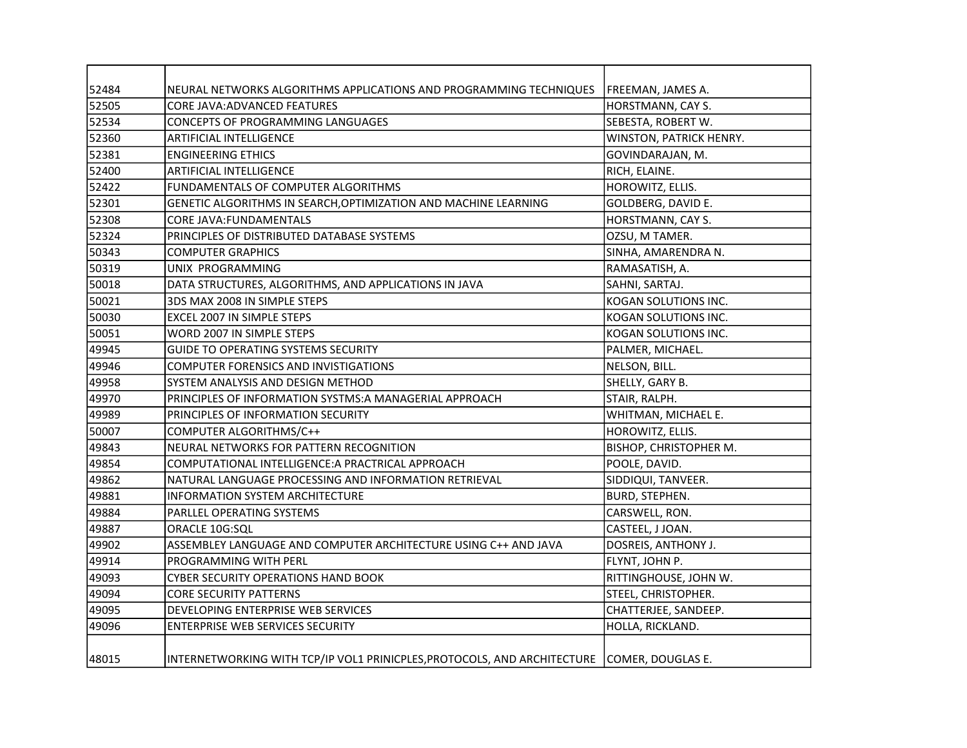| 52484 | NEURAL NETWORKS ALGORITHMS APPLICATIONS AND PROGRAMMING TECHNIQUES                         | FREEMAN, JAMES A.       |
|-------|--------------------------------------------------------------------------------------------|-------------------------|
| 52505 | <b>CORE JAVA: ADVANCED FEATURES</b>                                                        | HORSTMANN, CAY S.       |
| 52534 | CONCEPTS OF PROGRAMMING LANGUAGES                                                          | SEBESTA, ROBERT W.      |
| 52360 | <b>ARTIFICIAL INTELLIGENCE</b>                                                             | WINSTON, PATRICK HENRY. |
| 52381 | <b>ENGINEERING ETHICS</b>                                                                  | GOVINDARAJAN, M.        |
| 52400 | <b>ARTIFICIAL INTELLIGENCE</b>                                                             | RICH, ELAINE.           |
| 52422 | FUNDAMENTALS OF COMPUTER ALGORITHMS                                                        | HOROWITZ, ELLIS.        |
| 52301 | GENETIC ALGORITHMS IN SEARCH, OPTIMIZATION AND MACHINE LEARNING                            | GOLDBERG, DAVID E.      |
| 52308 | CORE JAVA: FUNDAMENTALS                                                                    | HORSTMANN, CAY S.       |
| 52324 | PRINCIPLES OF DISTRIBUTED DATABASE SYSTEMS                                                 | OZSU, M TAMER.          |
| 50343 | <b>COMPUTER GRAPHICS</b>                                                                   | SINHA, AMARENDRA N.     |
| 50319 | UNIX PROGRAMMING                                                                           | RAMASATISH, A.          |
| 50018 | DATA STRUCTURES, ALGORITHMS, AND APPLICATIONS IN JAVA                                      | SAHNI, SARTAJ.          |
| 50021 | 3DS MAX 2008 IN SIMPLE STEPS                                                               | KOGAN SOLUTIONS INC.    |
| 50030 | EXCEL 2007 IN SIMPLE STEPS                                                                 | KOGAN SOLUTIONS INC.    |
| 50051 | WORD 2007 IN SIMPLE STEPS                                                                  | KOGAN SOLUTIONS INC.    |
| 49945 | <b>GUIDE TO OPERATING SYSTEMS SECURITY</b>                                                 | PALMER, MICHAEL.        |
| 49946 | COMPUTER FORENSICS AND INVISTIGATIONS                                                      | NELSON, BILL.           |
| 49958 | SYSTEM ANALYSIS AND DESIGN METHOD                                                          | SHELLY, GARY B.         |
| 49970 | PRINCIPLES OF INFORMATION SYSTMS:A MANAGERIAL APPROACH                                     | STAIR, RALPH.           |
| 49989 | PRINCIPLES OF INFORMATION SECURITY                                                         | WHITMAN, MICHAEL E.     |
| 50007 | COMPUTER ALGORITHMS/C++                                                                    | HOROWITZ, ELLIS.        |
| 49843 | NEURAL NETWORKS FOR PATTERN RECOGNITION                                                    | BISHOP, CHRISTOPHER M.  |
| 49854 | COMPUTATIONAL INTELLIGENCE: A PRACTRICAL APPROACH                                          | POOLE, DAVID.           |
| 49862 | NATURAL LANGUAGE PROCESSING AND INFORMATION RETRIEVAL                                      | SIDDIQUI, TANVEER.      |
| 49881 | <b>INFORMATION SYSTEM ARCHITECTURE</b>                                                     | BURD, STEPHEN.          |
| 49884 | PARLLEL OPERATING SYSTEMS                                                                  | CARSWELL, RON.          |
| 49887 | ORACLE 10G:SQL                                                                             | CASTEEL, J JOAN.        |
| 49902 | ASSEMBLEY LANGUAGE AND COMPUTER ARCHITECTURE USING C++ AND JAVA                            | DOSREIS, ANTHONY J.     |
| 49914 | <b>PROGRAMMING WITH PERL</b>                                                               | FLYNT, JOHN P.          |
| 49093 | <b>CYBER SECURITY OPERATIONS HAND BOOK</b>                                                 | RITTINGHOUSE, JOHN W.   |
| 49094 | <b>CORE SECURITY PATTERNS</b>                                                              | STEEL, CHRISTOPHER.     |
| 49095 | DEVELOPING ENTERPRISE WEB SERVICES                                                         | CHATTERJEE, SANDEEP.    |
| 49096 | <b>ENTERPRISE WEB SERVICES SECURITY</b>                                                    | HOLLA, RICKLAND.        |
| 48015 | INTERNETWORKING WITH TCP/IP VOL1 PRINICPLES, PROTOCOLS, AND ARCHITECTURE COMER, DOUGLAS E. |                         |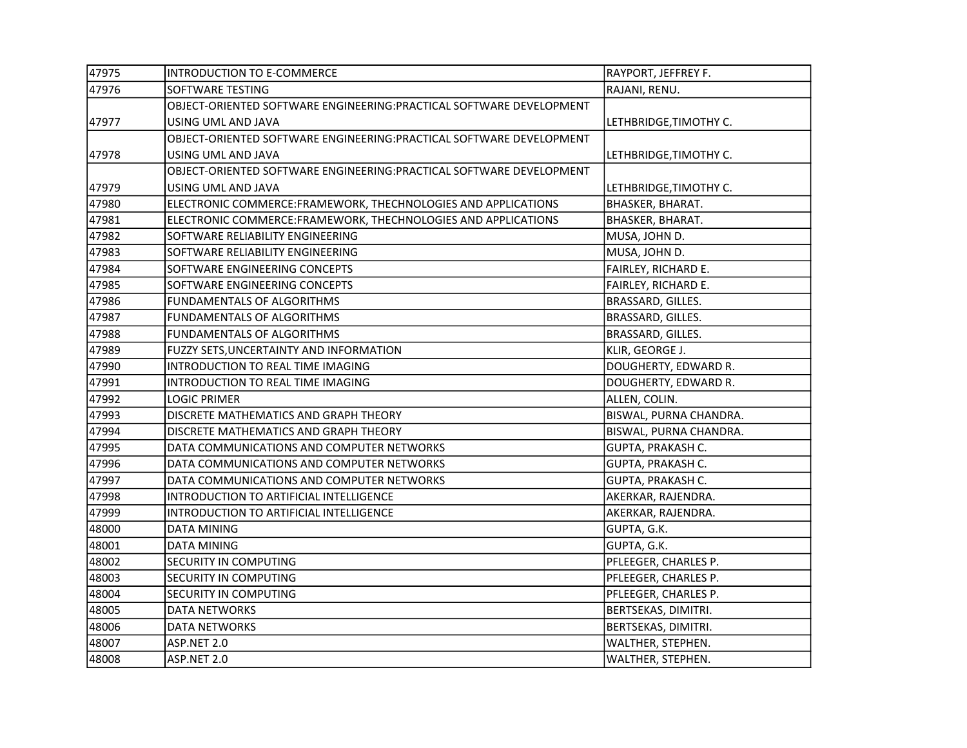| 47975 | INTRODUCTION TO E-COMMERCE                                           | RAYPORT, JEFFREY F.      |
|-------|----------------------------------------------------------------------|--------------------------|
| 47976 | SOFTWARE TESTING                                                     | RAJANI, RENU.            |
|       | OBJECT-ORIENTED SOFTWARE ENGINEERING: PRACTICAL SOFTWARE DEVELOPMENT |                          |
| 47977 | USING UML AND JAVA                                                   | LETHBRIDGE, TIMOTHY C.   |
|       | OBJECT-ORIENTED SOFTWARE ENGINEERING: PRACTICAL SOFTWARE DEVELOPMENT |                          |
| 47978 | USING UML AND JAVA                                                   | LETHBRIDGE, TIMOTHY C.   |
|       | OBJECT-ORIENTED SOFTWARE ENGINEERING: PRACTICAL SOFTWARE DEVELOPMENT |                          |
| 47979 | USING UML AND JAVA                                                   | LETHBRIDGE, TIMOTHY C.   |
| 47980 | ELECTRONIC COMMERCE:FRAMEWORK, THECHNOLOGIES AND APPLICATIONS        | <b>BHASKER, BHARAT.</b>  |
| 47981 | ELECTRONIC COMMERCE: FRAMEWORK, THECHNOLOGIES AND APPLICATIONS       | BHASKER, BHARAT.         |
| 47982 | SOFTWARE RELIABILITY ENGINEERING                                     | MUSA, JOHN D.            |
| 47983 | SOFTWARE RELIABILITY ENGINEERING                                     | MUSA, JOHN D.            |
| 47984 | SOFTWARE ENGINEERING CONCEPTS                                        | FAIRLEY, RICHARD E.      |
| 47985 | SOFTWARE ENGINEERING CONCEPTS                                        | FAIRLEY, RICHARD E.      |
| 47986 | FUNDAMENTALS OF ALGORITHMS                                           | BRASSARD, GILLES.        |
| 47987 | FUNDAMENTALS OF ALGORITHMS                                           | BRASSARD, GILLES.        |
| 47988 | FUNDAMENTALS OF ALGORITHMS                                           | BRASSARD, GILLES.        |
| 47989 | FUZZY SETS, UNCERTAINTY AND INFORMATION                              | KLIR, GEORGE J.          |
| 47990 | INTRODUCTION TO REAL TIME IMAGING                                    | DOUGHERTY, EDWARD R.     |
| 47991 | INTRODUCTION TO REAL TIME IMAGING                                    | DOUGHERTY, EDWARD R.     |
| 47992 | <b>LOGIC PRIMER</b>                                                  | ALLEN, COLIN.            |
| 47993 | DISCRETE MATHEMATICS AND GRAPH THEORY                                | BISWAL, PURNA CHANDRA.   |
| 47994 | DISCRETE MATHEMATICS AND GRAPH THEORY                                | BISWAL, PURNA CHANDRA.   |
| 47995 | DATA COMMUNICATIONS AND COMPUTER NETWORKS                            | <b>GUPTA, PRAKASH C.</b> |
| 47996 | DATA COMMUNICATIONS AND COMPUTER NETWORKS                            | <b>GUPTA, PRAKASH C.</b> |
| 47997 | DATA COMMUNICATIONS AND COMPUTER NETWORKS                            | <b>GUPTA, PRAKASH C.</b> |
| 47998 | INTRODUCTION TO ARTIFICIAL INTELLIGENCE                              | AKERKAR, RAJENDRA.       |
| 47999 | INTRODUCTION TO ARTIFICIAL INTELLIGENCE                              | AKERKAR, RAJENDRA.       |
| 48000 | <b>DATA MINING</b>                                                   | GUPTA, G.K.              |
| 48001 | <b>DATA MINING</b>                                                   | GUPTA, G.K.              |
| 48002 | SECURITY IN COMPUTING                                                | PFLEEGER, CHARLES P.     |
| 48003 | <b>SECURITY IN COMPUTING</b>                                         | PFLEEGER, CHARLES P.     |
| 48004 | <b>SECURITY IN COMPUTING</b>                                         | PFLEEGER, CHARLES P.     |
| 48005 | DATA NETWORKS                                                        | BERTSEKAS, DIMITRI.      |
| 48006 | <b>DATA NETWORKS</b>                                                 | BERTSEKAS, DIMITRI.      |
| 48007 | ASP.NET 2.0                                                          | WALTHER, STEPHEN.        |
| 48008 | ASP.NET 2.0                                                          | WALTHER, STEPHEN.        |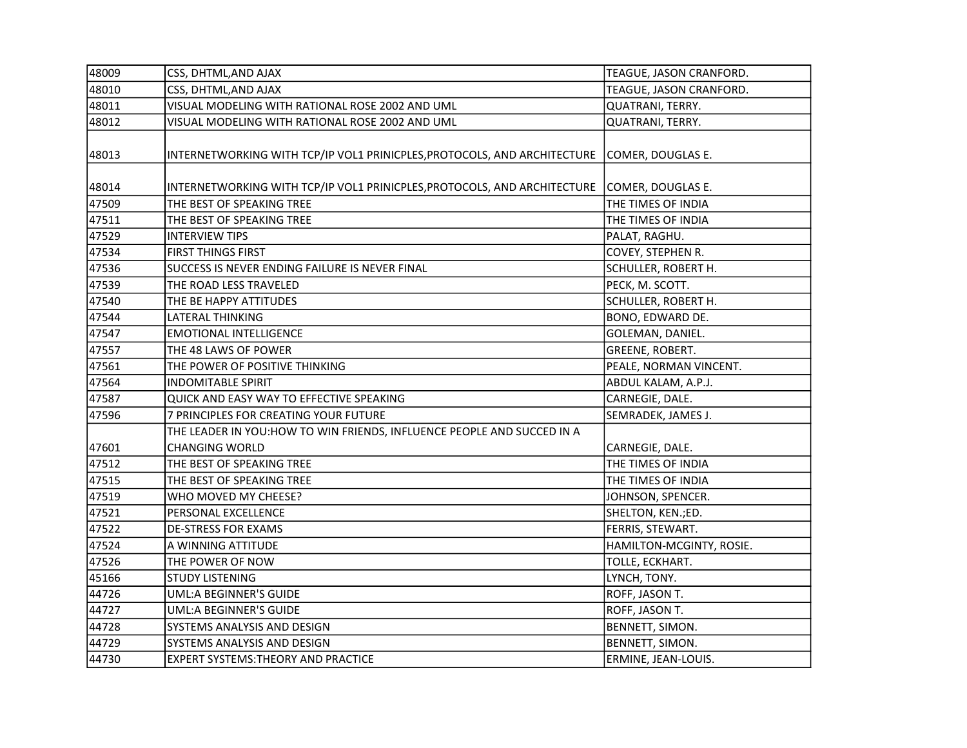| 48009 | CSS, DHTML, AND AJAX                                                     | TEAGUE, JASON CRANFORD.  |
|-------|--------------------------------------------------------------------------|--------------------------|
| 48010 | CSS, DHTML, AND AJAX                                                     | TEAGUE, JASON CRANFORD.  |
| 48011 | VISUAL MODELING WITH RATIONAL ROSE 2002 AND UML                          | QUATRANI, TERRY.         |
| 48012 | VISUAL MODELING WITH RATIONAL ROSE 2002 AND UML                          | QUATRANI, TERRY.         |
| 48013 | INTERNETWORKING WITH TCP/IP VOL1 PRINICPLES, PROTOCOLS, AND ARCHITECTURE | COMER, DOUGLAS E.        |
| 48014 | INTERNETWORKING WITH TCP/IP VOL1 PRINICPLES, PROTOCOLS, AND ARCHITECTURE | COMER, DOUGLAS E.        |
| 47509 | THE BEST OF SPEAKING TREE                                                | THE TIMES OF INDIA       |
| 47511 | THE BEST OF SPEAKING TREE                                                | THE TIMES OF INDIA       |
| 47529 | <b>INTERVIEW TIPS</b>                                                    | PALAT, RAGHU.            |
| 47534 | FIRST THINGS FIRST                                                       | COVEY, STEPHEN R.        |
| 47536 | SUCCESS IS NEVER ENDING FAILURE IS NEVER FINAL                           | SCHULLER, ROBERT H.      |
| 47539 | THE ROAD LESS TRAVELED                                                   | PECK, M. SCOTT.          |
| 47540 | THE BE HAPPY ATTITUDES                                                   | SCHULLER, ROBERT H.      |
| 47544 | LATERAL THINKING                                                         | BONO, EDWARD DE.         |
| 47547 | <b>EMOTIONAL INTELLIGENCE</b>                                            | GOLEMAN, DANIEL.         |
| 47557 | THE 48 LAWS OF POWER                                                     | <b>GREENE, ROBERT.</b>   |
| 47561 | THE POWER OF POSITIVE THINKING                                           | PEALE, NORMAN VINCENT.   |
| 47564 | <b>INDOMITABLE SPIRIT</b>                                                | ABDUL KALAM, A.P.J.      |
| 47587 | QUICK AND EASY WAY TO EFFECTIVE SPEAKING                                 | CARNEGIE, DALE.          |
| 47596 | 7 PRINCIPLES FOR CREATING YOUR FUTURE                                    | SEMRADEK, JAMES J.       |
|       | THE LEADER IN YOU: HOW TO WIN FRIENDS, INFLUENCE PEOPLE AND SUCCED IN A  |                          |
| 47601 | <b>CHANGING WORLD</b>                                                    | CARNEGIE, DALE.          |
| 47512 | THE BEST OF SPEAKING TREE                                                | THE TIMES OF INDIA       |
| 47515 | THE BEST OF SPEAKING TREE                                                | THE TIMES OF INDIA       |
| 47519 | WHO MOVED MY CHEESE?                                                     | JOHNSON, SPENCER.        |
| 47521 | PERSONAL EXCELLENCE                                                      | SHELTON, KEN.;ED.        |
| 47522 | <b>DE-STRESS FOR EXAMS</b>                                               | FERRIS, STEWART.         |
| 47524 | A WINNING ATTITUDE                                                       | HAMILTON-MCGINTY, ROSIE. |
| 47526 | THE POWER OF NOW                                                         | TOLLE, ECKHART.          |
| 45166 | <b>STUDY LISTENING</b>                                                   | LYNCH, TONY.             |
| 44726 | UML:A BEGINNER'S GUIDE                                                   | ROFF, JASON T.           |
| 44727 | UML:A BEGINNER'S GUIDE                                                   | ROFF, JASON T.           |
| 44728 | SYSTEMS ANALYSIS AND DESIGN                                              | BENNETT, SIMON.          |
| 44729 | SYSTEMS ANALYSIS AND DESIGN                                              | BENNETT, SIMON.          |
| 44730 | <b>EXPERT SYSTEMS: THEORY AND PRACTICE</b>                               | ERMINE, JEAN-LOUIS.      |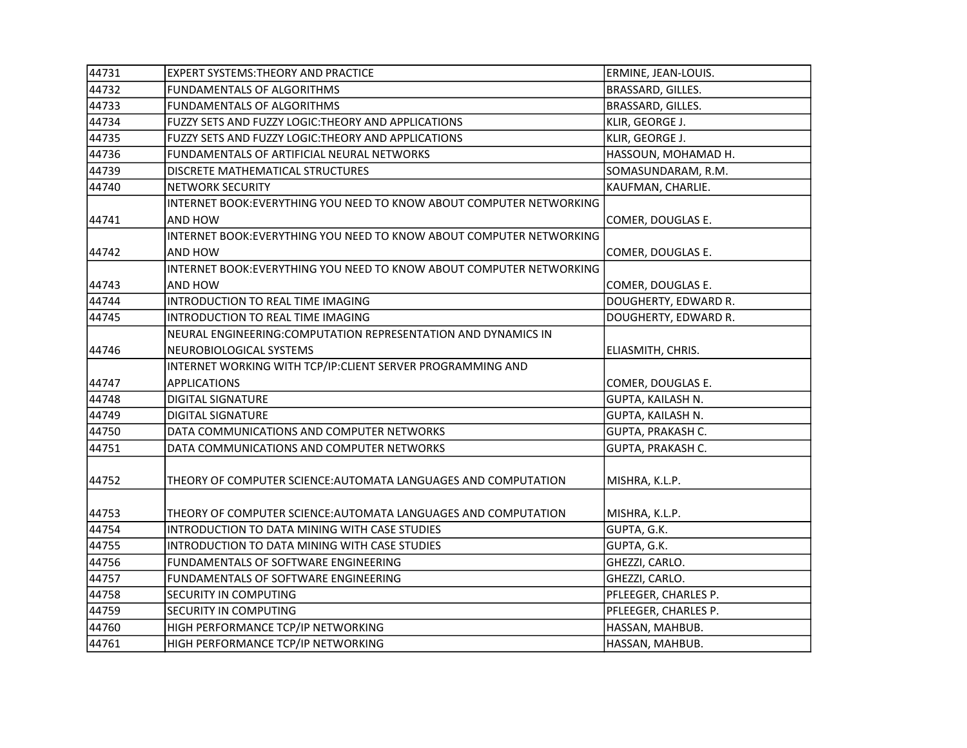| 44731 | <b>EXPERT SYSTEMS: THEORY AND PRACTICE</b>                           | ERMINE, JEAN-LOUIS.  |
|-------|----------------------------------------------------------------------|----------------------|
| 44732 | <b>FUNDAMENTALS OF ALGORITHMS</b>                                    | BRASSARD, GILLES.    |
| 44733 | FUNDAMENTALS OF ALGORITHMS                                           | BRASSARD, GILLES.    |
| 44734 | FUZZY SETS AND FUZZY LOGIC: THEORY AND APPLICATIONS                  | KLIR, GEORGE J.      |
| 44735 | FUZZY SETS AND FUZZY LOGIC: THEORY AND APPLICATIONS                  | KLIR, GEORGE J.      |
| 44736 | FUNDAMENTALS OF ARTIFICIAL NEURAL NETWORKS                           | HASSOUN, MOHAMAD H.  |
| 44739 | DISCRETE MATHEMATICAL STRUCTURES                                     | SOMASUNDARAM, R.M.   |
| 44740 | <b>NETWORK SECURITY</b>                                              | KAUFMAN, CHARLIE.    |
|       | INTERNET BOOK: EVERYTHING YOU NEED TO KNOW ABOUT COMPUTER NETWORKING |                      |
| 44741 | <b>AND HOW</b>                                                       | COMER, DOUGLAS E.    |
|       | INTERNET BOOK:EVERYTHING YOU NEED TO KNOW ABOUT COMPUTER NETWORKING  |                      |
| 44742 | AND HOW                                                              | COMER, DOUGLAS E.    |
|       | INTERNET BOOK: EVERYTHING YOU NEED TO KNOW ABOUT COMPUTER NETWORKING |                      |
| 44743 | AND HOW                                                              | COMER, DOUGLAS E.    |
| 44744 | INTRODUCTION TO REAL TIME IMAGING                                    | DOUGHERTY, EDWARD R. |
| 44745 | INTRODUCTION TO REAL TIME IMAGING                                    | DOUGHERTY, EDWARD R. |
|       | NEURAL ENGINEERING: COMPUTATION REPRESENTATION AND DYNAMICS IN       |                      |
| 44746 | NEUROBIOLOGICAL SYSTEMS                                              | ELIASMITH, CHRIS.    |
|       | INTERNET WORKING WITH TCP/IP: CLIENT SERVER PROGRAMMING AND          |                      |
| 44747 | <b>APPLICATIONS</b>                                                  | COMER, DOUGLAS E.    |
| 44748 | <b>DIGITAL SIGNATURE</b>                                             | GUPTA, KAILASH N.    |
| 44749 | <b>DIGITAL SIGNATURE</b>                                             | GUPTA, KAILASH N.    |
| 44750 | DATA COMMUNICATIONS AND COMPUTER NETWORKS                            | GUPTA, PRAKASH C.    |
| 44751 | DATA COMMUNICATIONS AND COMPUTER NETWORKS                            | GUPTA, PRAKASH C.    |
|       |                                                                      |                      |
| 44752 | THEORY OF COMPUTER SCIENCE:AUTOMATA LANGUAGES AND COMPUTATION        | MISHRA, K.L.P.       |
|       |                                                                      |                      |
| 44753 | THEORY OF COMPUTER SCIENCE: AUTOMATA LANGUAGES AND COMPUTATION       | MISHRA, K.L.P.       |
| 44754 | INTRODUCTION TO DATA MINING WITH CASE STUDIES                        | GUPTA, G.K.          |
| 44755 | INTRODUCTION TO DATA MINING WITH CASE STUDIES                        | GUPTA, G.K.          |
| 44756 | FUNDAMENTALS OF SOFTWARE ENGINEERING                                 | GHEZZI, CARLO.       |
| 44757 | FUNDAMENTALS OF SOFTWARE ENGINEERING                                 | GHEZZI, CARLO.       |
| 44758 | SECURITY IN COMPUTING                                                | PFLEEGER, CHARLES P. |
| 44759 | SECURITY IN COMPUTING                                                | PFLEEGER, CHARLES P. |
| 44760 | HIGH PERFORMANCE TCP/IP NETWORKING                                   | HASSAN, MAHBUB.      |
| 44761 | HIGH PERFORMANCE TCP/IP NETWORKING                                   | HASSAN, MAHBUB.      |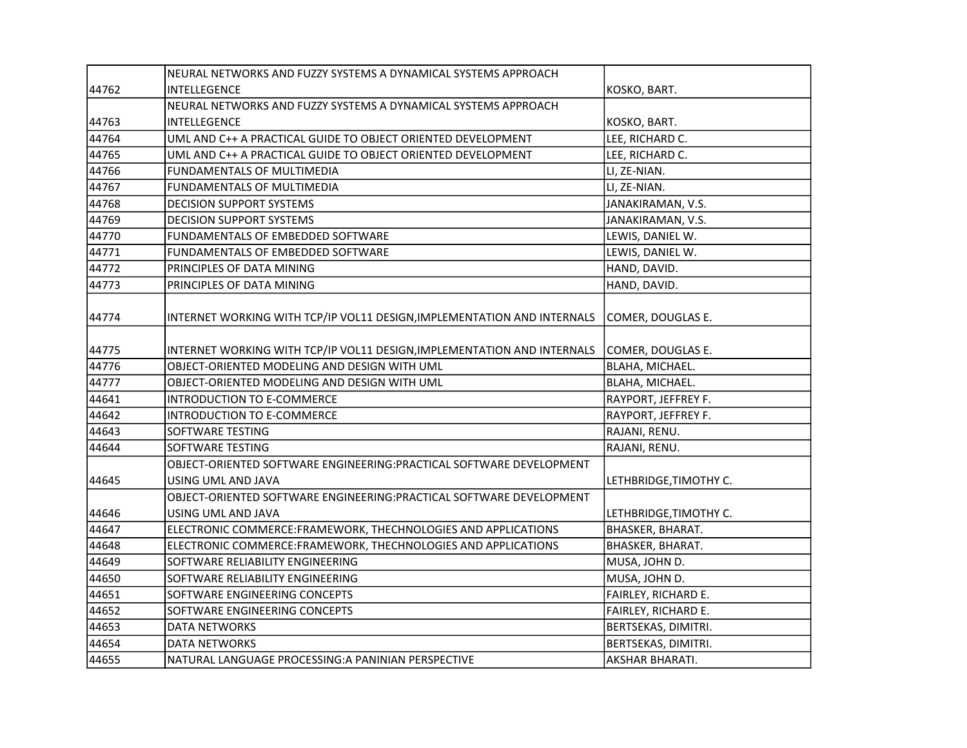|       | NEURAL NETWORKS AND FUZZY SYSTEMS A DYNAMICAL SYSTEMS APPROACH          |                        |
|-------|-------------------------------------------------------------------------|------------------------|
| 44762 | INTELLEGENCE                                                            | KOSKO, BART.           |
|       | NEURAL NETWORKS AND FUZZY SYSTEMS A DYNAMICAL SYSTEMS APPROACH          |                        |
| 44763 | INTELLEGENCE                                                            | KOSKO, BART.           |
| 44764 | UML AND C++ A PRACTICAL GUIDE TO OBJECT ORIENTED DEVELOPMENT            | LEE, RICHARD C.        |
| 44765 | UML AND C++ A PRACTICAL GUIDE TO OBJECT ORIENTED DEVELOPMENT            | LEE, RICHARD C.        |
| 44766 | FUNDAMENTALS OF MULTIMEDIA                                              | LI, ZE-NIAN.           |
| 44767 | FUNDAMENTALS OF MULTIMEDIA                                              | LI, ZE-NIAN.           |
| 44768 | <b>DECISION SUPPORT SYSTEMS</b>                                         | JANAKIRAMAN, V.S.      |
| 44769 | DECISION SUPPORT SYSTEMS                                                | JANAKIRAMAN, V.S.      |
| 44770 | FUNDAMENTALS OF EMBEDDED SOFTWARE                                       | LEWIS, DANIEL W.       |
| 44771 | FUNDAMENTALS OF EMBEDDED SOFTWARE                                       | LEWIS, DANIEL W.       |
| 44772 | PRINCIPLES OF DATA MINING                                               | HAND, DAVID.           |
| 44773 | PRINCIPLES OF DATA MINING                                               | HAND, DAVID.           |
| 44774 | INTERNET WORKING WITH TCP/IP VOL11 DESIGN, IMPLEMENTATION AND INTERNALS | COMER, DOUGLAS E.      |
| 44775 | INTERNET WORKING WITH TCP/IP VOL11 DESIGN, IMPLEMENTATION AND INTERNALS | COMER, DOUGLAS E.      |
| 44776 | OBJECT-ORIENTED MODELING AND DESIGN WITH UML                            | BLAHA, MICHAEL.        |
| 44777 | OBJECT-ORIENTED MODELING AND DESIGN WITH UML                            | BLAHA, MICHAEL.        |
| 44641 | <b>INTRODUCTION TO E-COMMERCE</b>                                       | RAYPORT, JEFFREY F.    |
| 44642 | INTRODUCTION TO E-COMMERCE                                              | RAYPORT, JEFFREY F.    |
| 44643 | <b>SOFTWARE TESTING</b>                                                 | RAJANI, RENU.          |
| 44644 | SOFTWARE TESTING                                                        | RAJANI, RENU.          |
|       | OBJECT-ORIENTED SOFTWARE ENGINEERING: PRACTICAL SOFTWARE DEVELOPMENT    |                        |
| 44645 | USING UML AND JAVA                                                      | LETHBRIDGE, TIMOTHY C. |
|       | OBJECT-ORIENTED SOFTWARE ENGINEERING: PRACTICAL SOFTWARE DEVELOPMENT    |                        |
| 44646 | USING UML AND JAVA                                                      | LETHBRIDGE, TIMOTHY C. |
| 44647 | ELECTRONIC COMMERCE: FRAMEWORK, THECHNOLOGIES AND APPLICATIONS          | BHASKER, BHARAT.       |
| 44648 | ELECTRONIC COMMERCE: FRAMEWORK, THECHNOLOGIES AND APPLICATIONS          | BHASKER, BHARAT.       |
| 44649 | SOFTWARE RELIABILITY ENGINEERING                                        | MUSA, JOHN D.          |
| 44650 | SOFTWARE RELIABILITY ENGINEERING                                        | MUSA, JOHN D.          |
| 44651 | SOFTWARE ENGINEERING CONCEPTS                                           | FAIRLEY, RICHARD E.    |
| 44652 | SOFTWARE ENGINEERING CONCEPTS                                           | FAIRLEY, RICHARD E.    |
| 44653 | <b>DATA NETWORKS</b>                                                    | BERTSEKAS, DIMITRI.    |
| 44654 | <b>DATA NETWORKS</b>                                                    | BERTSEKAS, DIMITRI.    |
| 44655 | NATURAL LANGUAGE PROCESSING: A PANINIAN PERSPECTIVE                     | AKSHAR BHARATI.        |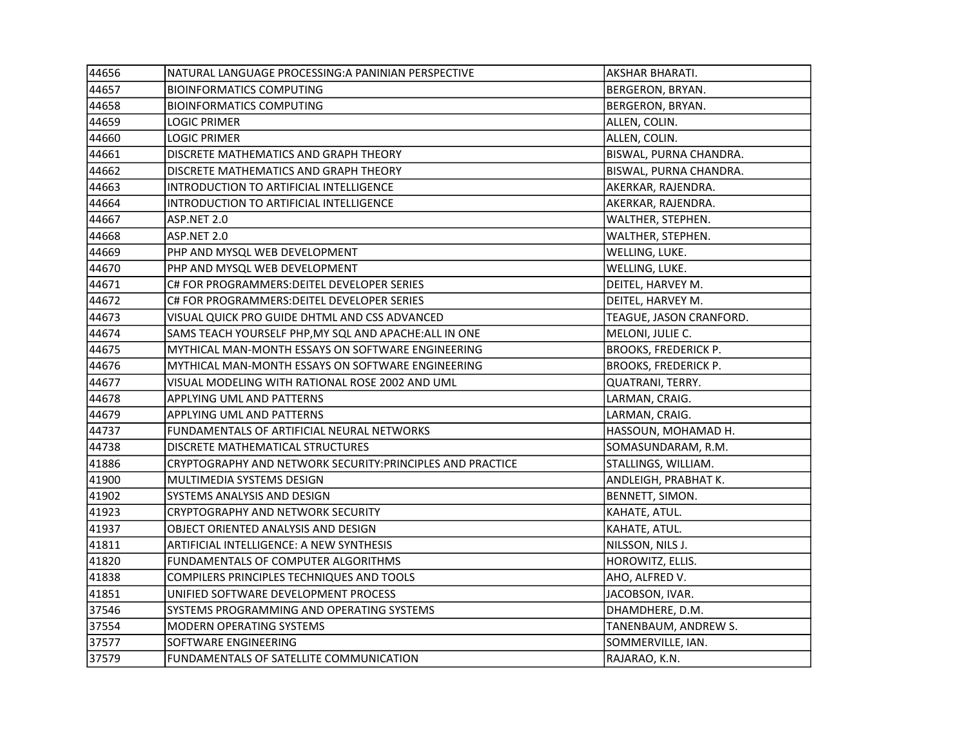| 44656 | NATURAL LANGUAGE PROCESSING: A PANINIAN PERSPECTIVE        | AKSHAR BHARATI.             |
|-------|------------------------------------------------------------|-----------------------------|
| 44657 | <b>BIOINFORMATICS COMPUTING</b>                            | BERGERON, BRYAN.            |
| 44658 | <b>BIOINFORMATICS COMPUTING</b>                            | BERGERON, BRYAN.            |
| 44659 | LOGIC PRIMER                                               | ALLEN, COLIN.               |
| 44660 | <b>LOGIC PRIMER</b>                                        | ALLEN, COLIN.               |
| 44661 | DISCRETE MATHEMATICS AND GRAPH THEORY                      | BISWAL, PURNA CHANDRA.      |
| 44662 | DISCRETE MATHEMATICS AND GRAPH THEORY                      | BISWAL, PURNA CHANDRA.      |
| 44663 | INTRODUCTION TO ARTIFICIAL INTELLIGENCE                    | AKERKAR, RAJENDRA.          |
| 44664 | INTRODUCTION TO ARTIFICIAL INTELLIGENCE                    | AKERKAR, RAJENDRA.          |
| 44667 | ASP.NET 2.0                                                | WALTHER, STEPHEN.           |
| 44668 | ASP.NET 2.0                                                | WALTHER, STEPHEN.           |
| 44669 | PHP AND MYSQL WEB DEVELOPMENT                              | WELLING, LUKE.              |
| 44670 | PHP AND MYSQL WEB DEVELOPMENT                              | WELLING, LUKE.              |
| 44671 | C# FOR PROGRAMMERS: DEITEL DEVELOPER SERIES                | DEITEL, HARVEY M.           |
| 44672 | C# FOR PROGRAMMERS: DEITEL DEVELOPER SERIES                | DEITEL, HARVEY M.           |
| 44673 | VISUAL QUICK PRO GUIDE DHTML AND CSS ADVANCED              | TEAGUE, JASON CRANFORD.     |
| 44674 | SAMS TEACH YOURSELF PHP, MY SQL AND APACHE: ALL IN ONE     | MELONI, JULIE C.            |
| 44675 | MYTHICAL MAN-MONTH ESSAYS ON SOFTWARE ENGINEERING          | <b>BROOKS, FREDERICK P.</b> |
| 44676 | MYTHICAL MAN-MONTH ESSAYS ON SOFTWARE ENGINEERING          | <b>BROOKS, FREDERICK P.</b> |
| 44677 | VISUAL MODELING WITH RATIONAL ROSE 2002 AND UML            | QUATRANI, TERRY.            |
| 44678 | APPLYING UML AND PATTERNS                                  | LARMAN, CRAIG.              |
| 44679 | APPLYING UML AND PATTERNS                                  | LARMAN, CRAIG.              |
| 44737 | FUNDAMENTALS OF ARTIFICIAL NEURAL NETWORKS                 | HASSOUN, MOHAMAD H.         |
| 44738 | DISCRETE MATHEMATICAL STRUCTURES                           | SOMASUNDARAM, R.M.          |
| 41886 | CRYPTOGRAPHY AND NETWORK SECURITY: PRINCIPLES AND PRACTICE | STALLINGS, WILLIAM.         |
| 41900 | MULTIMEDIA SYSTEMS DESIGN                                  | ANDLEIGH, PRABHAT K.        |
| 41902 | SYSTEMS ANALYSIS AND DESIGN                                | BENNETT, SIMON.             |
| 41923 | CRYPTOGRAPHY AND NETWORK SECURITY                          | KAHATE, ATUL.               |
| 41937 | OBJECT ORIENTED ANALYSIS AND DESIGN                        | KAHATE, ATUL.               |
| 41811 | ARTIFICIAL INTELLIGENCE: A NEW SYNTHESIS                   | NILSSON, NILS J.            |
| 41820 | FUNDAMENTALS OF COMPUTER ALGORITHMS                        | HOROWITZ, ELLIS.            |
| 41838 | COMPILERS PRINCIPLES TECHNIQUES AND TOOLS                  | AHO, ALFRED V.              |
| 41851 | UNIFIED SOFTWARE DEVELOPMENT PROCESS                       | JACOBSON, IVAR.             |
| 37546 | SYSTEMS PROGRAMMING AND OPERATING SYSTEMS                  | DHAMDHERE, D.M.             |
| 37554 | MODERN OPERATING SYSTEMS                                   | TANENBAUM, ANDREW S.        |
| 37577 | SOFTWARE ENGINEERING                                       | SOMMERVILLE, IAN.           |
| 37579 | FUNDAMENTALS OF SATELLITE COMMUNICATION                    | RAJARAO, K.N.               |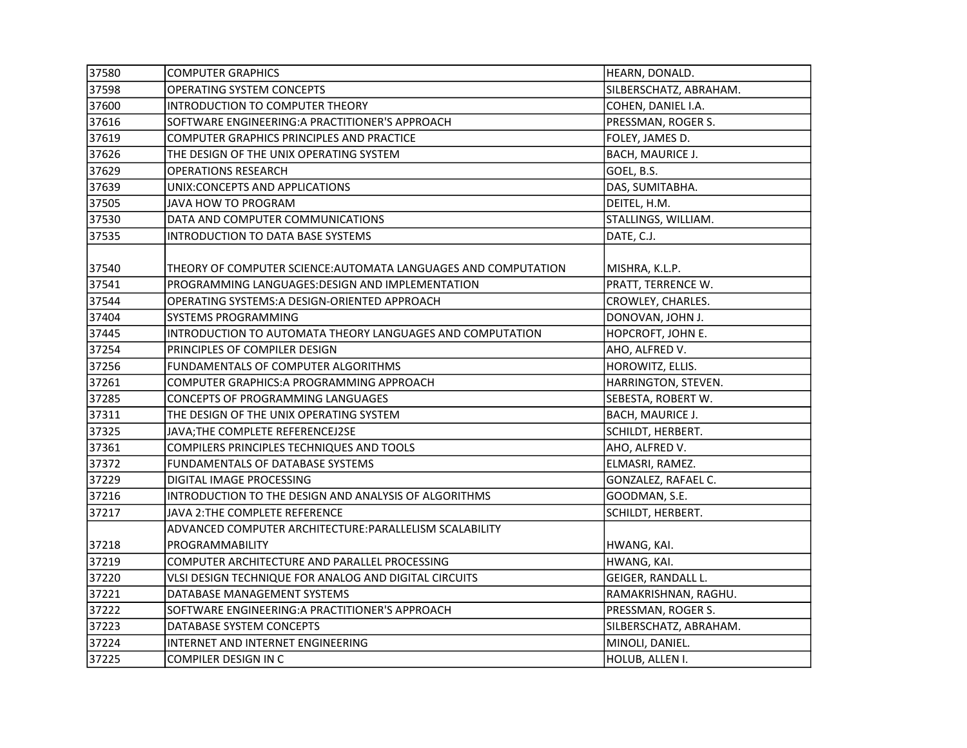| 37580 | <b>COMPUTER GRAPHICS</b>                                       | HEARN, DONALD.         |
|-------|----------------------------------------------------------------|------------------------|
| 37598 | <b>OPERATING SYSTEM CONCEPTS</b>                               | SILBERSCHATZ, ABRAHAM. |
| 37600 | INTRODUCTION TO COMPUTER THEORY                                | COHEN, DANIEL I.A.     |
| 37616 | SOFTWARE ENGINEERING: A PRACTITIONER'S APPROACH                | PRESSMAN, ROGER S.     |
| 37619 | COMPUTER GRAPHICS PRINCIPLES AND PRACTICE                      | FOLEY, JAMES D.        |
| 37626 | THE DESIGN OF THE UNIX OPERATING SYSTEM                        | BACH, MAURICE J.       |
| 37629 | <b>OPERATIONS RESEARCH</b>                                     | GOEL, B.S.             |
| 37639 | UNIX:CONCEPTS AND APPLICATIONS                                 | DAS, SUMITABHA.        |
| 37505 | JAVA HOW TO PROGRAM                                            | DEITEL, H.M.           |
| 37530 | DATA AND COMPUTER COMMUNICATIONS                               | STALLINGS, WILLIAM.    |
| 37535 | INTRODUCTION TO DATA BASE SYSTEMS                              | DATE, C.J.             |
|       |                                                                |                        |
| 37540 | THEORY OF COMPUTER SCIENCE: AUTOMATA LANGUAGES AND COMPUTATION | MISHRA, K.L.P.         |
| 37541 | PROGRAMMING LANGUAGES: DESIGN AND IMPLEMENTATION               | PRATT, TERRENCE W.     |
| 37544 | OPERATING SYSTEMS:A DESIGN-ORIENTED APPROACH                   | CROWLEY, CHARLES.      |
| 37404 | SYSTEMS PROGRAMMING                                            | DONOVAN, JOHN J.       |
| 37445 | INTRODUCTION TO AUTOMATA THEORY LANGUAGES AND COMPUTATION      | HOPCROFT, JOHN E.      |
| 37254 | PRINCIPLES OF COMPILER DESIGN                                  | AHO, ALFRED V.         |
| 37256 | FUNDAMENTALS OF COMPUTER ALGORITHMS                            | HOROWITZ, ELLIS.       |
| 37261 | COMPUTER GRAPHICS: A PROGRAMMING APPROACH                      | HARRINGTON, STEVEN.    |
| 37285 | CONCEPTS OF PROGRAMMING LANGUAGES                              | SEBESTA, ROBERT W.     |
| 37311 | THE DESIGN OF THE UNIX OPERATING SYSTEM                        | BACH, MAURICE J.       |
| 37325 | JAVA; THE COMPLETE REFERENCEJ2SE                               | SCHILDT, HERBERT.      |
| 37361 | COMPILERS PRINCIPLES TECHNIQUES AND TOOLS                      | AHO, ALFRED V.         |
| 37372 | FUNDAMENTALS OF DATABASE SYSTEMS                               | ELMASRI, RAMEZ.        |
| 37229 | DIGITAL IMAGE PROCESSING                                       | GONZALEZ, RAFAEL C.    |
| 37216 | INTRODUCTION TO THE DESIGN AND ANALYSIS OF ALGORITHMS          | GOODMAN, S.E.          |
| 37217 | JAVA 2: THE COMPLETE REFERENCE                                 | SCHILDT, HERBERT.      |
|       | ADVANCED COMPUTER ARCHITECTURE: PARALLELISM SCALABILITY        |                        |
| 37218 | PROGRAMMABILITY                                                | HWANG, KAI.            |
| 37219 | COMPUTER ARCHITECTURE AND PARALLEL PROCESSING                  | HWANG, KAI.            |
| 37220 | VLSI DESIGN TECHNIQUE FOR ANALOG AND DIGITAL CIRCUITS          | GEIGER, RANDALL L.     |
| 37221 | DATABASE MANAGEMENT SYSTEMS                                    | RAMAKRISHNAN, RAGHU.   |
| 37222 | SOFTWARE ENGINEERING: A PRACTITIONER'S APPROACH                | PRESSMAN, ROGER S.     |
| 37223 | DATABASE SYSTEM CONCEPTS                                       | SILBERSCHATZ, ABRAHAM. |
| 37224 | INTERNET AND INTERNET ENGINEERING                              | MINOLI, DANIEL.        |
| 37225 | COMPILER DESIGN IN C                                           | HOLUB, ALLEN I.        |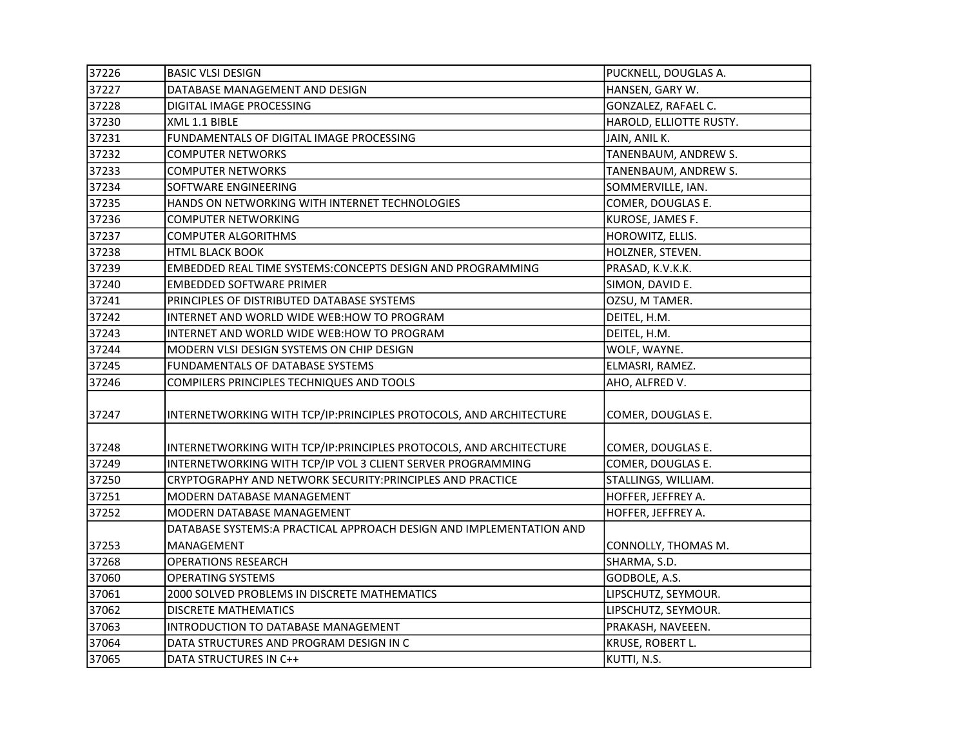| 37226 | <b>BASIC VLSI DESIGN</b>                                             | PUCKNELL, DOUGLAS A.    |
|-------|----------------------------------------------------------------------|-------------------------|
| 37227 | DATABASE MANAGEMENT AND DESIGN                                       | HANSEN, GARY W.         |
| 37228 | DIGITAL IMAGE PROCESSING                                             | GONZALEZ, RAFAEL C.     |
| 37230 | XML 1.1 BIBLE                                                        | HAROLD, ELLIOTTE RUSTY. |
| 37231 | FUNDAMENTALS OF DIGITAL IMAGE PROCESSING                             | JAIN, ANIL K.           |
| 37232 | <b>COMPUTER NETWORKS</b>                                             | TANENBAUM, ANDREW S.    |
| 37233 | <b>COMPUTER NETWORKS</b>                                             | TANENBAUM, ANDREW S.    |
| 37234 | SOFTWARE ENGINEERING                                                 | SOMMERVILLE, IAN.       |
| 37235 | HANDS ON NETWORKING WITH INTERNET TECHNOLOGIES                       | COMER, DOUGLAS E.       |
| 37236 | <b>COMPUTER NETWORKING</b>                                           | KUROSE, JAMES F.        |
| 37237 | <b>COMPUTER ALGORITHMS</b>                                           | HOROWITZ, ELLIS.        |
| 37238 | <b>HTML BLACK BOOK</b>                                               | HOLZNER, STEVEN.        |
| 37239 | EMBEDDED REAL TIME SYSTEMS: CONCEPTS DESIGN AND PROGRAMMING          | PRASAD, K.V.K.K.        |
| 37240 | <b>EMBEDDED SOFTWARE PRIMER</b>                                      | SIMON, DAVID E.         |
| 37241 | PRINCIPLES OF DISTRIBUTED DATABASE SYSTEMS                           | OZSU, M TAMER.          |
| 37242 | INTERNET AND WORLD WIDE WEB:HOW TO PROGRAM                           | DEITEL, H.M.            |
| 37243 | INTERNET AND WORLD WIDE WEB:HOW TO PROGRAM                           | DEITEL, H.M.            |
| 37244 | MODERN VLSI DESIGN SYSTEMS ON CHIP DESIGN                            | WOLF, WAYNE.            |
| 37245 | FUNDAMENTALS OF DATABASE SYSTEMS                                     | ELMASRI, RAMEZ.         |
| 37246 | COMPILERS PRINCIPLES TECHNIQUES AND TOOLS                            | AHO, ALFRED V.          |
| 37247 | INTERNETWORKING WITH TCP/IP: PRINCIPLES PROTOCOLS, AND ARCHITECTURE  | COMER, DOUGLAS E.       |
| 37248 | INTERNETWORKING WITH TCP/IP: PRINCIPLES PROTOCOLS, AND ARCHITECTURE  | COMER, DOUGLAS E.       |
| 37249 | INTERNETWORKING WITH TCP/IP VOL 3 CLIENT SERVER PROGRAMMING          | COMER, DOUGLAS E.       |
| 37250 | CRYPTOGRAPHY AND NETWORK SECURITY: PRINCIPLES AND PRACTICE           | STALLINGS, WILLIAM.     |
| 37251 | MODERN DATABASE MANAGEMENT                                           | HOFFER, JEFFREY A.      |
| 37252 | MODERN DATABASE MANAGEMENT                                           | HOFFER, JEFFREY A.      |
|       | DATABASE SYSTEMS: A PRACTICAL APPROACH DESIGN AND IMPLEMENTATION AND |                         |
| 37253 | MANAGEMENT                                                           | CONNOLLY, THOMAS M.     |
| 37268 | <b>OPERATIONS RESEARCH</b>                                           | SHARMA, S.D.            |
| 37060 | <b>OPERATING SYSTEMS</b>                                             | GODBOLE, A.S.           |
| 37061 | 2000 SOLVED PROBLEMS IN DISCRETE MATHEMATICS                         | LIPSCHUTZ, SEYMOUR.     |
| 37062 | <b>DISCRETE MATHEMATICS</b>                                          | LIPSCHUTZ, SEYMOUR.     |
| 37063 | INTRODUCTION TO DATABASE MANAGEMENT                                  | PRAKASH, NAVEEEN.       |
| 37064 | DATA STRUCTURES AND PROGRAM DESIGN IN C                              | KRUSE, ROBERT L.        |
| 37065 | DATA STRUCTURES IN C++                                               | KUTTI, N.S.             |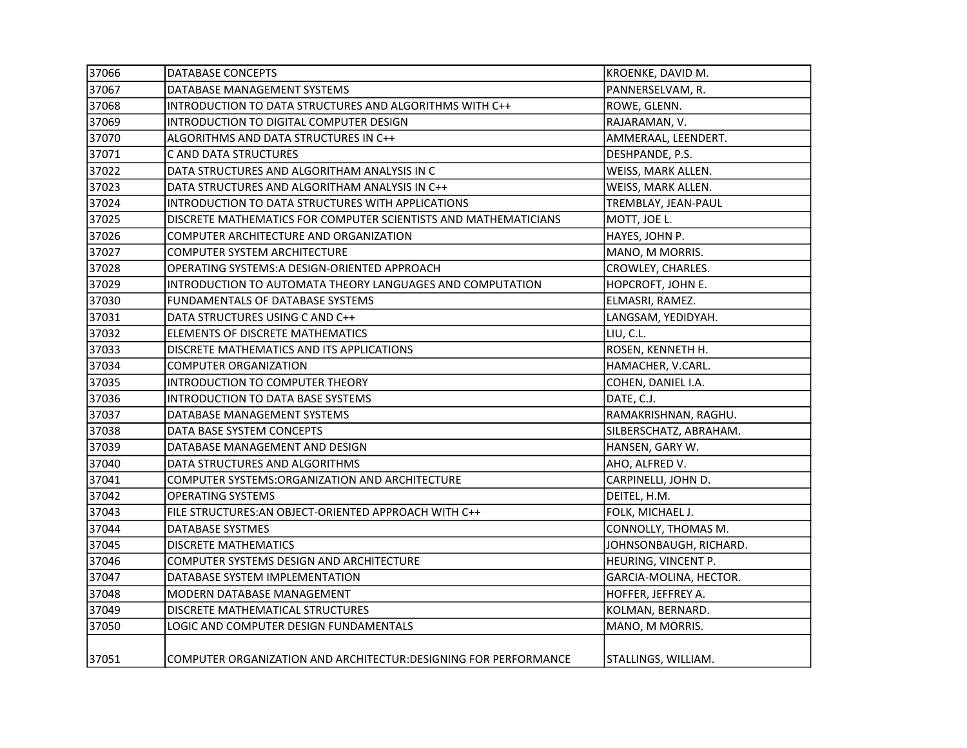| 37066 | <b>DATABASE CONCEPTS</b>                                         | KROENKE, DAVID M.      |
|-------|------------------------------------------------------------------|------------------------|
| 37067 | DATABASE MANAGEMENT SYSTEMS                                      | PANNERSELVAM, R.       |
| 37068 | INTRODUCTION TO DATA STRUCTURES AND ALGORITHMS WITH C++          | ROWE, GLENN.           |
| 37069 | INTRODUCTION TO DIGITAL COMPUTER DESIGN                          | RAJARAMAN, V.          |
| 37070 | ALGORITHMS AND DATA STRUCTURES IN C++                            | AMMERAAL, LEENDERT.    |
| 37071 | C AND DATA STRUCTURES                                            | DESHPANDE, P.S.        |
| 37022 | DATA STRUCTURES AND ALGORITHAM ANALYSIS IN C                     | WEISS, MARK ALLEN.     |
| 37023 | DATA STRUCTURES AND ALGORITHAM ANALYSIS IN C++                   | WEISS, MARK ALLEN.     |
| 37024 | INTRODUCTION TO DATA STRUCTURES WITH APPLICATIONS                | TREMBLAY, JEAN-PAUL    |
| 37025 | DISCRETE MATHEMATICS FOR COMPUTER SCIENTISTS AND MATHEMATICIANS  | MOTT, JOE L.           |
| 37026 | COMPUTER ARCHITECTURE AND ORGANIZATION                           | HAYES, JOHN P.         |
| 37027 | <b>COMPUTER SYSTEM ARCHITECTURE</b>                              | MANO, M MORRIS.        |
| 37028 | OPERATING SYSTEMS: A DESIGN-ORIENTED APPROACH                    | CROWLEY, CHARLES.      |
| 37029 | INTRODUCTION TO AUTOMATA THEORY LANGUAGES AND COMPUTATION        | HOPCROFT, JOHN E.      |
| 37030 | FUNDAMENTALS OF DATABASE SYSTEMS                                 | ELMASRI, RAMEZ.        |
| 37031 | DATA STRUCTURES USING C AND C++                                  | LANGSAM, YEDIDYAH.     |
| 37032 | ELEMENTS OF DISCRETE MATHEMATICS                                 | LIU, C.L.              |
| 37033 | DISCRETE MATHEMATICS AND ITS APPLICATIONS                        | ROSEN, KENNETH H.      |
| 37034 | <b>COMPUTER ORGANIZATION</b>                                     | HAMACHER, V.CARL.      |
| 37035 | INTRODUCTION TO COMPUTER THEORY                                  | COHEN, DANIEL I.A.     |
| 37036 | INTRODUCTION TO DATA BASE SYSTEMS                                | DATE, C.J.             |
| 37037 | DATABASE MANAGEMENT SYSTEMS                                      | RAMAKRISHNAN, RAGHU.   |
| 37038 | DATA BASE SYSTEM CONCEPTS                                        | SILBERSCHATZ, ABRAHAM. |
| 37039 | DATABASE MANAGEMENT AND DESIGN                                   | HANSEN, GARY W.        |
| 37040 | DATA STRUCTURES AND ALGORITHMS                                   | AHO, ALFRED V.         |
| 37041 | COMPUTER SYSTEMS:ORGANIZATION AND ARCHITECTURE                   | CARPINELLI, JOHN D.    |
| 37042 | <b>OPERATING SYSTEMS</b>                                         | DEITEL, H.M.           |
| 37043 | FILE STRUCTURES: AN OBJECT-ORIENTED APPROACH WITH C++            | FOLK, MICHAEL J.       |
| 37044 | <b>DATABASE SYSTMES</b>                                          | CONNOLLY, THOMAS M.    |
| 37045 | <b>DISCRETE MATHEMATICS</b>                                      | JOHNSONBAUGH, RICHARD. |
| 37046 | COMPUTER SYSTEMS DESIGN AND ARCHITECTURE                         | HEURING, VINCENT P.    |
| 37047 | DATABASE SYSTEM IMPLEMENTATION                                   | GARCIA-MOLINA, HECTOR. |
| 37048 | MODERN DATABASE MANAGEMENT                                       | HOFFER, JEFFREY A.     |
| 37049 | DISCRETE MATHEMATICAL STRUCTURES                                 | KOLMAN, BERNARD.       |
| 37050 | LOGIC AND COMPUTER DESIGN FUNDAMENTALS                           | MANO, M MORRIS.        |
| 37051 | COMPUTER ORGANIZATION AND ARCHITECTUR: DESIGNING FOR PERFORMANCE | STALLINGS, WILLIAM.    |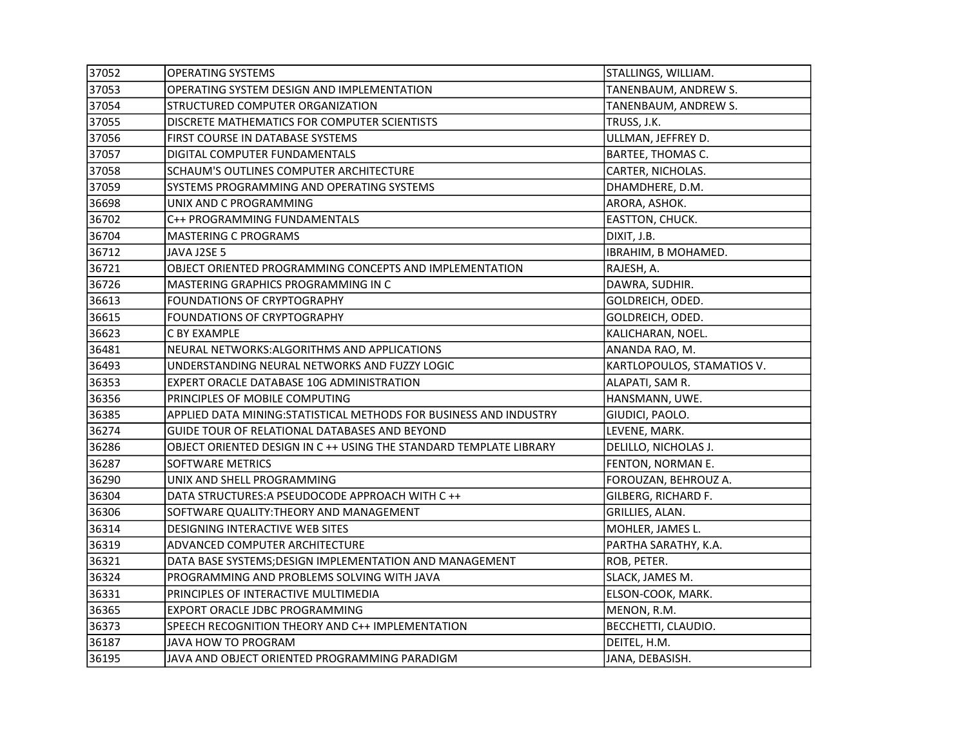| 37052 | <b>OPERATING SYSTEMS</b>                                           | STALLINGS, WILLIAM.        |
|-------|--------------------------------------------------------------------|----------------------------|
| 37053 | OPERATING SYSTEM DESIGN AND IMPLEMENTATION                         | TANENBAUM, ANDREW S.       |
| 37054 | STRUCTURED COMPUTER ORGANIZATION                                   | TANENBAUM, ANDREW S.       |
| 37055 | DISCRETE MATHEMATICS FOR COMPUTER SCIENTISTS                       | TRUSS, J.K.                |
| 37056 | FIRST COURSE IN DATABASE SYSTEMS                                   | ULLMAN, JEFFREY D.         |
| 37057 | DIGITAL COMPUTER FUNDAMENTALS                                      | BARTEE, THOMAS C.          |
| 37058 | SCHAUM'S OUTLINES COMPUTER ARCHITECTURE                            | CARTER, NICHOLAS.          |
| 37059 | SYSTEMS PROGRAMMING AND OPERATING SYSTEMS                          | DHAMDHERE, D.M.            |
| 36698 | UNIX AND C PROGRAMMING                                             | ARORA, ASHOK.              |
| 36702 | C++ PROGRAMMING FUNDAMENTALS                                       | EASTTON, CHUCK.            |
| 36704 | <b>MASTERING C PROGRAMS</b>                                        | DIXIT, J.B.                |
| 36712 | JAVA J2SE 5                                                        | IBRAHIM, B MOHAMED.        |
| 36721 | OBJECT ORIENTED PROGRAMMING CONCEPTS AND IMPLEMENTATION            | RAJESH, A.                 |
| 36726 | MASTERING GRAPHICS PROGRAMMING IN C                                | DAWRA, SUDHIR.             |
| 36613 | FOUNDATIONS OF CRYPTOGRAPHY                                        | GOLDREICH, ODED.           |
| 36615 | FOUNDATIONS OF CRYPTOGRAPHY                                        | GOLDREICH, ODED.           |
| 36623 | C BY EXAMPLE                                                       | KALICHARAN, NOEL.          |
| 36481 | NEURAL NETWORKS: ALGORITHMS AND APPLICATIONS                       | ANANDA RAO, M.             |
| 36493 | UNDERSTANDING NEURAL NETWORKS AND FUZZY LOGIC                      | KARTLOPOULOS, STAMATIOS V. |
| 36353 | EXPERT ORACLE DATABASE 10G ADMINISTRATION                          | ALAPATI, SAM R.            |
| 36356 | PRINCIPLES OF MOBILE COMPUTING                                     | HANSMANN, UWE.             |
| 36385 | APPLIED DATA MINING: STATISTICAL METHODS FOR BUSINESS AND INDUSTRY | GIUDICI, PAOLO.            |
| 36274 | GUIDE TOUR OF RELATIONAL DATABASES AND BEYOND                      | LEVENE, MARK.              |
| 36286 | OBJECT ORIENTED DESIGN IN C ++ USING THE STANDARD TEMPLATE LIBRARY | DELILLO, NICHOLAS J.       |
| 36287 | SOFTWARE METRICS                                                   | FENTON, NORMAN E.          |
| 36290 | UNIX AND SHELL PROGRAMMING                                         | FOROUZAN, BEHROUZ A.       |
| 36304 | DATA STRUCTURES: A PSEUDOCODE APPROACH WITH C ++                   | GILBERG, RICHARD F.        |
| 36306 | SOFTWARE QUALITY: THEORY AND MANAGEMENT                            | GRILLIES, ALAN.            |
| 36314 | DESIGNING INTERACTIVE WEB SITES                                    | MOHLER, JAMES L.           |
| 36319 | ADVANCED COMPUTER ARCHITECTURE                                     | PARTHA SARATHY, K.A.       |
| 36321 | DATA BASE SYSTEMS; DESIGN IMPLEMENTATION AND MANAGEMENT            | ROB, PETER.                |
| 36324 | PROGRAMMING AND PROBLEMS SOLVING WITH JAVA                         | SLACK, JAMES M.            |
| 36331 | PRINCIPLES OF INTERACTIVE MULTIMEDIA                               | ELSON-COOK, MARK.          |
| 36365 | EXPORT ORACLE JDBC PROGRAMMING                                     | MENON, R.M.                |
| 36373 | SPEECH RECOGNITION THEORY AND C++ IMPLEMENTATION                   | BECCHETTI, CLAUDIO.        |
| 36187 | JAVA HOW TO PROGRAM                                                | DEITEL, H.M.               |
| 36195 | JAVA AND OBJECT ORIENTED PROGRAMMING PARADIGM                      | JANA, DEBASISH.            |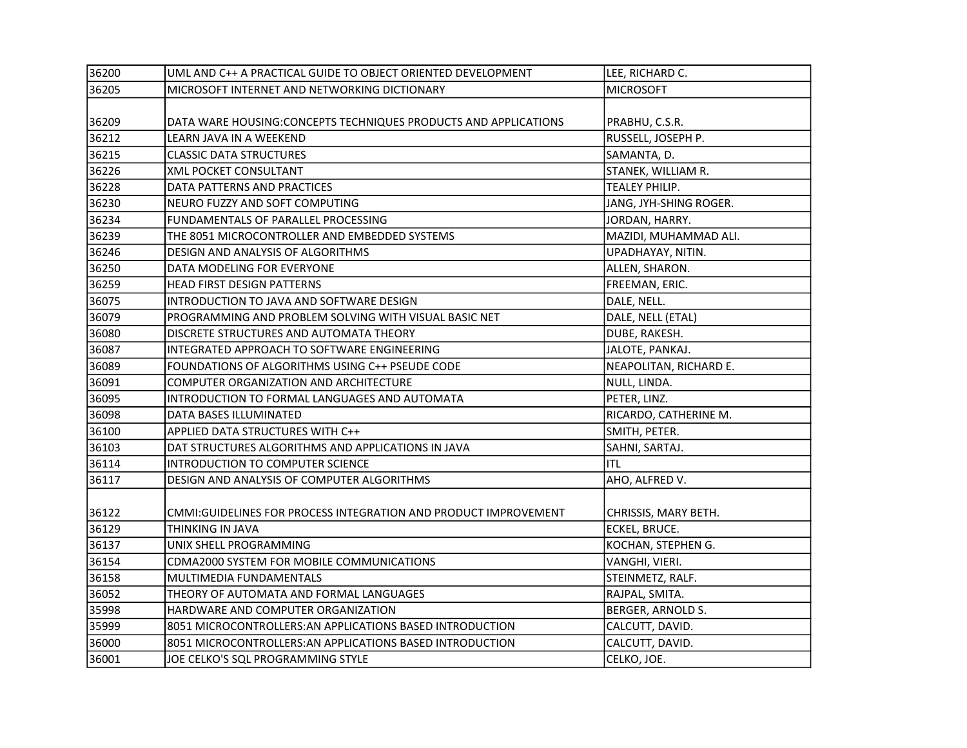| 36200 | UML AND C++ A PRACTICAL GUIDE TO OBJECT ORIENTED DEVELOPMENT     | LEE, RICHARD C.        |
|-------|------------------------------------------------------------------|------------------------|
| 36205 | MICROSOFT INTERNET AND NETWORKING DICTIONARY                     | <b>MICROSOFT</b>       |
|       |                                                                  |                        |
| 36209 | DATA WARE HOUSING: CONCEPTS TECHNIQUES PRODUCTS AND APPLICATIONS | PRABHU, C.S.R.         |
| 36212 | LEARN JAVA IN A WEEKEND                                          | RUSSELL, JOSEPH P.     |
| 36215 | <b>CLASSIC DATA STRUCTURES</b>                                   | SAMANTA, D.            |
| 36226 | XML POCKET CONSULTANT                                            | STANEK, WILLIAM R.     |
| 36228 | DATA PATTERNS AND PRACTICES                                      | TEALEY PHILIP.         |
| 36230 | NEURO FUZZY AND SOFT COMPUTING                                   | JANG, JYH-SHING ROGER. |
| 36234 | FUNDAMENTALS OF PARALLEL PROCESSING                              | JORDAN, HARRY.         |
| 36239 | THE 8051 MICROCONTROLLER AND EMBEDDED SYSTEMS                    | MAZIDI, MUHAMMAD ALI.  |
| 36246 | DESIGN AND ANALYSIS OF ALGORITHMS                                | UPADHAYAY, NITIN.      |
| 36250 | DATA MODELING FOR EVERYONE                                       | ALLEN, SHARON.         |
| 36259 | HEAD FIRST DESIGN PATTERNS                                       | FREEMAN, ERIC.         |
| 36075 | INTRODUCTION TO JAVA AND SOFTWARE DESIGN                         | DALE, NELL.            |
| 36079 | PROGRAMMING AND PROBLEM SOLVING WITH VISUAL BASIC NET            | DALE, NELL (ETAL)      |
| 36080 | DISCRETE STRUCTURES AND AUTOMATA THEORY                          | DUBE, RAKESH.          |
| 36087 | INTEGRATED APPROACH TO SOFTWARE ENGINEERING                      | JALOTE, PANKAJ.        |
| 36089 | FOUNDATIONS OF ALGORITHMS USING C++ PSEUDE CODE                  | NEAPOLITAN, RICHARD E. |
| 36091 | COMPUTER ORGANIZATION AND ARCHITECTURE                           | NULL, LINDA.           |
| 36095 | INTRODUCTION TO FORMAL LANGUAGES AND AUTOMATA                    | PETER, LINZ.           |
| 36098 | DATA BASES ILLUMINATED                                           | RICARDO, CATHERINE M.  |
| 36100 | APPLIED DATA STRUCTURES WITH C++                                 | SMITH, PETER.          |
| 36103 | DAT STRUCTURES ALGORITHMS AND APPLICATIONS IN JAVA               | SAHNI, SARTAJ.         |
| 36114 | INTRODUCTION TO COMPUTER SCIENCE                                 | <b>ITL</b>             |
| 36117 | DESIGN AND ANALYSIS OF COMPUTER ALGORITHMS                       | AHO, ALFRED V.         |
|       |                                                                  |                        |
| 36122 | CMMI:GUIDELINES FOR PROCESS INTEGRATION AND PRODUCT IMPROVEMENT  | CHRISSIS, MARY BETH.   |
| 36129 | THINKING IN JAVA                                                 | ECKEL, BRUCE.          |
| 36137 | UNIX SHELL PROGRAMMING                                           | KOCHAN, STEPHEN G.     |
| 36154 | CDMA2000 SYSTEM FOR MOBILE COMMUNICATIONS                        | VANGHI, VIERI.         |
| 36158 | MULTIMEDIA FUNDAMENTALS                                          | STEINMETZ, RALF.       |
| 36052 | THEORY OF AUTOMATA AND FORMAL LANGUAGES                          | RAJPAL, SMITA.         |
| 35998 | HARDWARE AND COMPUTER ORGANIZATION                               | BERGER, ARNOLD S.      |
| 35999 | 8051 MICROCONTROLLERS: AN APPLICATIONS BASED INTRODUCTION        | CALCUTT, DAVID.        |
| 36000 | 8051 MICROCONTROLLERS: AN APPLICATIONS BASED INTRODUCTION        | CALCUTT, DAVID.        |
| 36001 | JOE CELKO'S SQL PROGRAMMING STYLE                                | CELKO, JOE.            |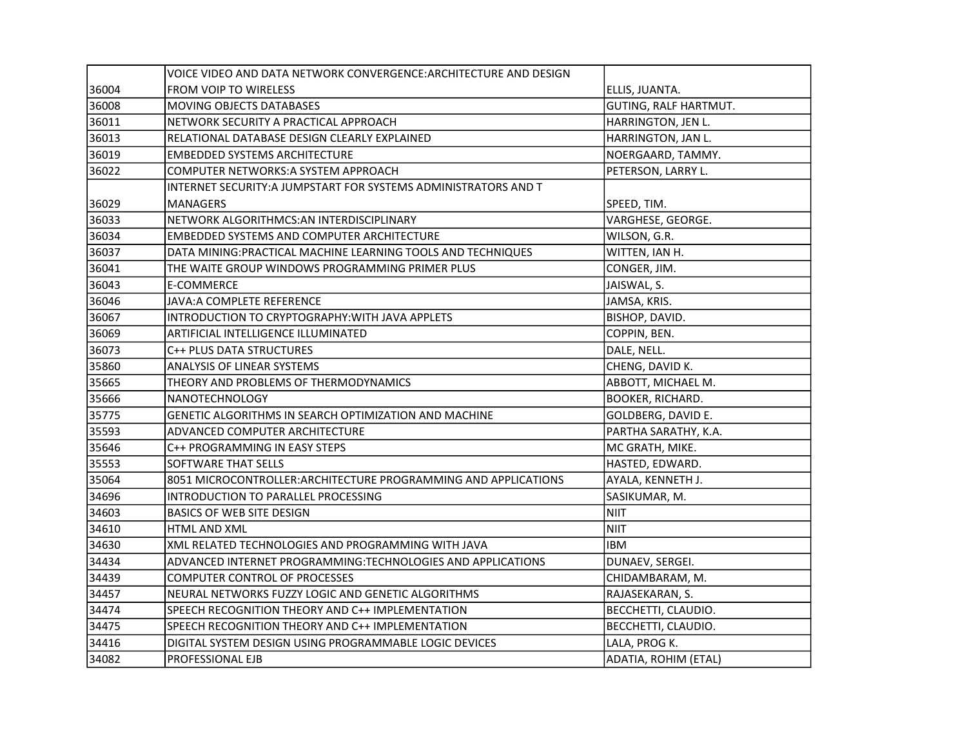|       | VOICE VIDEO AND DATA NETWORK CONVERGENCE:ARCHITECTURE AND DESIGN |                       |
|-------|------------------------------------------------------------------|-----------------------|
| 36004 | FROM VOIP TO WIRELESS                                            | ELLIS, JUANTA.        |
| 36008 | MOVING OBJECTS DATABASES                                         | GUTING, RALF HARTMUT. |
| 36011 | NETWORK SECURITY A PRACTICAL APPROACH                            | HARRINGTON, JEN L.    |
| 36013 | RELATIONAL DATABASE DESIGN CLEARLY EXPLAINED                     | HARRINGTON, JAN L.    |
| 36019 | <b>EMBEDDED SYSTEMS ARCHITECTURE</b>                             | NOERGAARD, TAMMY.     |
| 36022 | COMPUTER NETWORKS: A SYSTEM APPROACH                             | PETERSON, LARRY L.    |
|       | INTERNET SECURITY:A JUMPSTART FOR SYSTEMS ADMINISTRATORS AND T   |                       |
| 36029 | MANAGERS                                                         | SPEED, TIM.           |
| 36033 | NETWORK ALGORITHMCS: AN INTERDISCIPLINARY                        | VARGHESE, GEORGE.     |
| 36034 | <b>EMBEDDED SYSTEMS AND COMPUTER ARCHITECTURE</b>                | WILSON, G.R.          |
| 36037 | DATA MINING: PRACTICAL MACHINE LEARNING TOOLS AND TECHNIQUES     | WITTEN, IAN H.        |
| 36041 | THE WAITE GROUP WINDOWS PROGRAMMING PRIMER PLUS                  | CONGER, JIM.          |
| 36043 | E-COMMERCE                                                       | JAISWAL, S.           |
| 36046 | JAVA: A COMPLETE REFERENCE                                       | JAMSA, KRIS.          |
| 36067 | INTRODUCTION TO CRYPTOGRAPHY: WITH JAVA APPLETS                  | BISHOP, DAVID.        |
| 36069 | ARTIFICIAL INTELLIGENCE ILLUMINATED                              | COPPIN, BEN.          |
| 36073 | C++ PLUS DATA STRUCTURES                                         | DALE, NELL.           |
| 35860 | ANALYSIS OF LINEAR SYSTEMS                                       | CHENG, DAVID K.       |
| 35665 | THEORY AND PROBLEMS OF THERMODYNAMICS                            | ABBOTT, MICHAEL M.    |
| 35666 | NANOTECHNOLOGY                                                   | BOOKER, RICHARD.      |
| 35775 | GENETIC ALGORITHMS IN SEARCH OPTIMIZATION AND MACHINE            | GOLDBERG, DAVID E.    |
| 35593 | ADVANCED COMPUTER ARCHITECTURE                                   | PARTHA SARATHY, K.A.  |
| 35646 | C++ PROGRAMMING IN EASY STEPS                                    | MC GRATH, MIKE.       |
| 35553 | SOFTWARE THAT SELLS                                              | HASTED, EDWARD.       |
| 35064 | 8051 MICROCONTROLLER: ARCHITECTURE PROGRAMMING AND APPLICATIONS  | AYALA, KENNETH J.     |
| 34696 | INTRODUCTION TO PARALLEL PROCESSING                              | SASIKUMAR, M.         |
| 34603 | <b>BASICS OF WEB SITE DESIGN</b>                                 | <b>NIIT</b>           |
| 34610 | HTML AND XML                                                     | <b>NIIT</b>           |
| 34630 | XML RELATED TECHNOLOGIES AND PROGRAMMING WITH JAVA               | <b>IBM</b>            |
| 34434 | ADVANCED INTERNET PROGRAMMING:TECHNOLOGIES AND APPLICATIONS      | DUNAEV, SERGEI.       |
| 34439 | COMPUTER CONTROL OF PROCESSES                                    | CHIDAMBARAM, M.       |
| 34457 | NEURAL NETWORKS FUZZY LOGIC AND GENETIC ALGORITHMS               | RAJASEKARAN, S.       |
| 34474 | SPEECH RECOGNITION THEORY AND C++ IMPLEMENTATION                 | BECCHETTI, CLAUDIO.   |
| 34475 | SPEECH RECOGNITION THEORY AND C++ IMPLEMENTATION                 | BECCHETTI, CLAUDIO.   |
| 34416 | DIGITAL SYSTEM DESIGN USING PROGRAMMABLE LOGIC DEVICES           | LALA, PROG K.         |
| 34082 | PROFESSIONAL EJB                                                 | ADATIA, ROHIM (ETAL)  |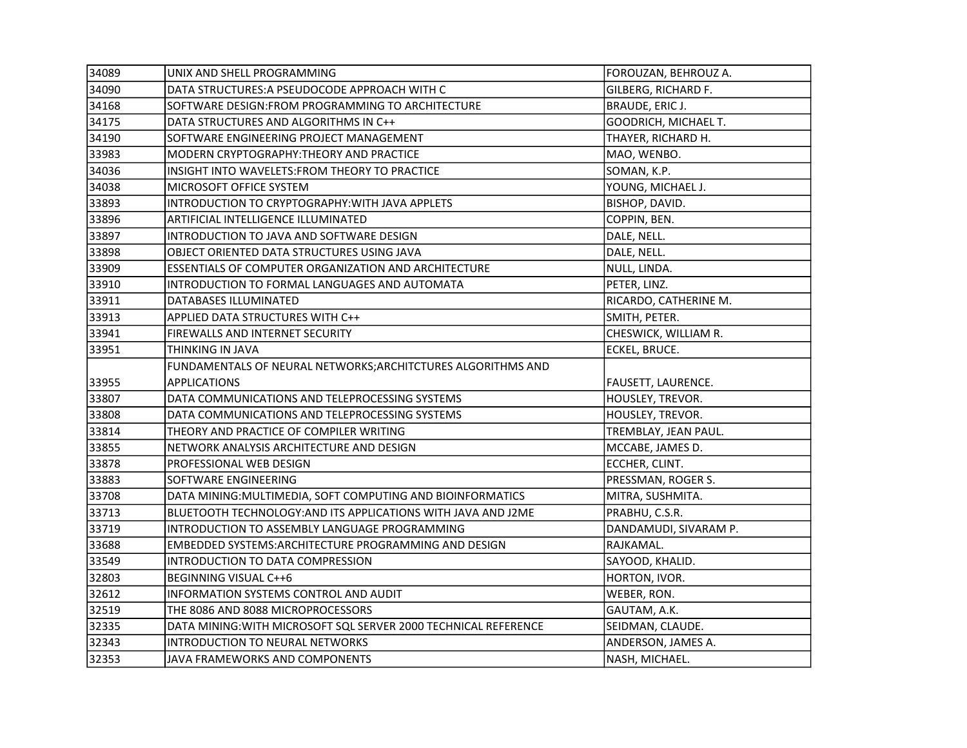| 34089 | UNIX AND SHELL PROGRAMMING                                      | FOROUZAN, BEHROUZ A.  |
|-------|-----------------------------------------------------------------|-----------------------|
| 34090 | DATA STRUCTURES: A PSEUDOCODE APPROACH WITH C                   | GILBERG, RICHARD F.   |
| 34168 | SOFTWARE DESIGN: FROM PROGRAMMING TO ARCHITECTURE               | BRAUDE, ERIC J.       |
| 34175 | DATA STRUCTURES AND ALGORITHMS IN C++                           | GOODRICH, MICHAEL T.  |
| 34190 | SOFTWARE ENGINEERING PROJECT MANAGEMENT                         | THAYER, RICHARD H.    |
| 33983 | MODERN CRYPTOGRAPHY: THEORY AND PRACTICE                        | MAO, WENBO.           |
| 34036 | INSIGHT INTO WAVELETS: FROM THEORY TO PRACTICE                  | SOMAN, K.P.           |
| 34038 | MICROSOFT OFFICE SYSTEM                                         | YOUNG, MICHAEL J.     |
| 33893 | INTRODUCTION TO CRYPTOGRAPHY: WITH JAVA APPLETS                 | BISHOP, DAVID.        |
| 33896 | ARTIFICIAL INTELLIGENCE ILLUMINATED                             | COPPIN, BEN.          |
| 33897 | INTRODUCTION TO JAVA AND SOFTWARE DESIGN                        | DALE, NELL.           |
| 33898 | OBJECT ORIENTED DATA STRUCTURES USING JAVA                      | DALE, NELL.           |
| 33909 | <b>ESSENTIALS OF COMPUTER ORGANIZATION AND ARCHITECTURE</b>     | NULL, LINDA.          |
| 33910 | INTRODUCTION TO FORMAL LANGUAGES AND AUTOMATA                   | PETER, LINZ.          |
| 33911 | DATABASES ILLUMINATED                                           | RICARDO, CATHERINE M. |
| 33913 | APPLIED DATA STRUCTURES WITH C++                                | SMITH, PETER.         |
| 33941 | FIREWALLS AND INTERNET SECURITY                                 | CHESWICK, WILLIAM R.  |
| 33951 | THINKING IN JAVA                                                | ECKEL, BRUCE.         |
|       | FUNDAMENTALS OF NEURAL NETWORKS; ARCHITCTURES ALGORITHMS AND    |                       |
| 33955 | <b>APPLICATIONS</b>                                             | FAUSETT, LAURENCE.    |
| 33807 | DATA COMMUNICATIONS AND TELEPROCESSING SYSTEMS                  | HOUSLEY, TREVOR.      |
| 33808 | DATA COMMUNICATIONS AND TELEPROCESSING SYSTEMS                  | HOUSLEY, TREVOR.      |
| 33814 | THEORY AND PRACTICE OF COMPILER WRITING                         | TREMBLAY, JEAN PAUL.  |
| 33855 | NETWORK ANALYSIS ARCHITECTURE AND DESIGN                        | MCCABE, JAMES D.      |
| 33878 | PROFESSIONAL WEB DESIGN                                         | ECCHER, CLINT.        |
| 33883 | SOFTWARE ENGINEERING                                            | PRESSMAN, ROGER S.    |
| 33708 | DATA MINING: MULTIMEDIA, SOFT COMPUTING AND BIOINFORMATICS      | MITRA, SUSHMITA.      |
| 33713 | BLUETOOTH TECHNOLOGY: AND ITS APPLICATIONS WITH JAVA AND J2ME   | PRABHU, C.S.R.        |
| 33719 | INTRODUCTION TO ASSEMBLY LANGUAGE PROGRAMMING                   | DANDAMUDI, SIVARAM P. |
| 33688 | EMBEDDED SYSTEMS: ARCHITECTURE PROGRAMMING AND DESIGN           | RAJKAMAL.             |
| 33549 | INTRODUCTION TO DATA COMPRESSION                                | SAYOOD, KHALID.       |
| 32803 | BEGINNING VISUAL C++6                                           | HORTON, IVOR.         |
| 32612 | INFORMATION SYSTEMS CONTROL AND AUDIT                           | WEBER, RON.           |
| 32519 | THE 8086 AND 8088 MICROPROCESSORS                               | GAUTAM, A.K.          |
| 32335 | DATA MINING: WITH MICROSOFT SQL SERVER 2000 TECHNICAL REFERENCE | SEIDMAN, CLAUDE.      |
| 32343 | INTRODUCTION TO NEURAL NETWORKS                                 | ANDERSON, JAMES A.    |
| 32353 | JAVA FRAMEWORKS AND COMPONENTS                                  | NASH. MICHAEL.        |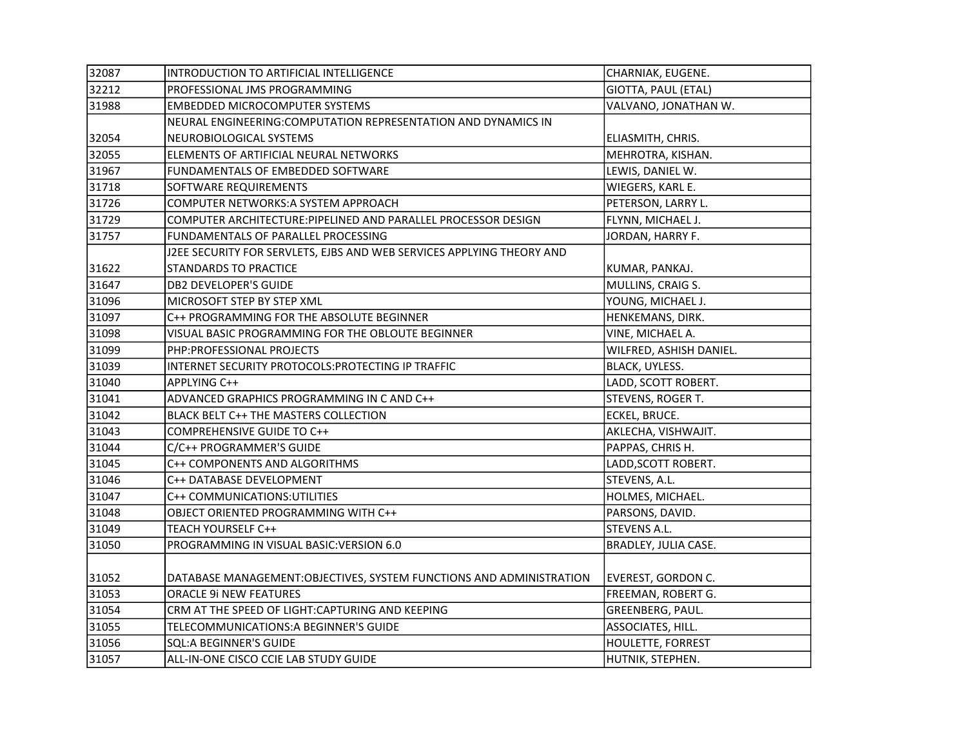| 32087 | INTRODUCTION TO ARTIFICIAL INTELLIGENCE                               | CHARNIAK, EUGENE.        |
|-------|-----------------------------------------------------------------------|--------------------------|
| 32212 | PROFESSIONAL JMS PROGRAMMING                                          | GIOTTA, PAUL (ETAL)      |
| 31988 | <b>EMBEDDED MICROCOMPUTER SYSTEMS</b>                                 | VALVANO, JONATHAN W.     |
|       | NEURAL ENGINEERING: COMPUTATION REPRESENTATION AND DYNAMICS IN        |                          |
| 32054 | NEUROBIOLOGICAL SYSTEMS                                               | ELIASMITH, CHRIS.        |
| 32055 | ELEMENTS OF ARTIFICIAL NEURAL NETWORKS                                | MEHROTRA, KISHAN.        |
| 31967 | FUNDAMENTALS OF EMBEDDED SOFTWARE                                     | LEWIS, DANIEL W.         |
| 31718 | SOFTWARE REQUIREMENTS                                                 | WIEGERS, KARL E.         |
| 31726 | COMPUTER NETWORKS:A SYSTEM APPROACH                                   | PETERSON, LARRY L.       |
| 31729 | COMPUTER ARCHITECTURE: PIPELINED AND PARALLEL PROCESSOR DESIGN        | FLYNN, MICHAEL J.        |
| 31757 | FUNDAMENTALS OF PARALLEL PROCESSING                                   | JORDAN, HARRY F.         |
|       | J2EE SECURITY FOR SERVLETS, EJBS AND WEB SERVICES APPLYING THEORY AND |                          |
| 31622 | <b>STANDARDS TO PRACTICE</b>                                          | KUMAR, PANKAJ.           |
| 31647 | <b>DB2 DEVELOPER'S GUIDE</b>                                          | MULLINS, CRAIG S.        |
| 31096 | MICROSOFT STEP BY STEP XML                                            | YOUNG, MICHAEL J.        |
| 31097 | C++ PROGRAMMING FOR THE ABSOLUTE BEGINNER                             | HENKEMANS, DIRK.         |
| 31098 | VISUAL BASIC PROGRAMMING FOR THE OBLOUTE BEGINNER                     | VINE, MICHAEL A.         |
| 31099 | PHP:PROFESSIONAL PROJECTS                                             | WILFRED, ASHISH DANIEL.  |
| 31039 | INTERNET SECURITY PROTOCOLS: PROTECTING IP TRAFFIC                    | BLACK, UYLESS.           |
| 31040 | APPLYING C++                                                          | LADD, SCOTT ROBERT.      |
| 31041 | ADVANCED GRAPHICS PROGRAMMING IN C AND C++                            | STEVENS, ROGER T.        |
| 31042 | BLACK BELT C++ THE MASTERS COLLECTION                                 | ECKEL, BRUCE.            |
| 31043 | COMPREHENSIVE GUIDE TO C++                                            | AKLECHA, VISHWAJIT.      |
| 31044 | C/C++ PROGRAMMER'S GUIDE                                              | PAPPAS, CHRIS H.         |
| 31045 | C++ COMPONENTS AND ALGORITHMS                                         | LADD, SCOTT ROBERT.      |
| 31046 | C++ DATABASE DEVELOPMENT                                              | STEVENS, A.L.            |
| 31047 | C++ COMMUNICATIONS: UTILITIES                                         | HOLMES, MICHAEL.         |
| 31048 | OBJECT ORIENTED PROGRAMMING WITH C++                                  | PARSONS, DAVID.          |
| 31049 | TEACH YOURSELF C++                                                    | <b>STEVENS A.L.</b>      |
| 31050 | PROGRAMMING IN VISUAL BASIC: VERSION 6.0                              | BRADLEY, JULIA CASE.     |
|       |                                                                       |                          |
| 31052 | DATABASE MANAGEMENT: OBJECTIVES, SYSTEM FUNCTIONS AND ADMINISTRATION  | EVEREST, GORDON C.       |
| 31053 | <b>ORACLE 9i NEW FEATURES</b>                                         | FREEMAN, ROBERT G.       |
| 31054 | CRM AT THE SPEED OF LIGHT: CAPTURING AND KEEPING                      | GREENBERG, PAUL.         |
| 31055 | TELECOMMUNICATIONS: A BEGINNER'S GUIDE                                | ASSOCIATES, HILL.        |
| 31056 | <b>SQL:A BEGINNER'S GUIDE</b>                                         | <b>HOULETTE, FORREST</b> |
| 31057 | ALL-IN-ONE CISCO CCIE LAB STUDY GUIDE                                 | HUTNIK, STEPHEN.         |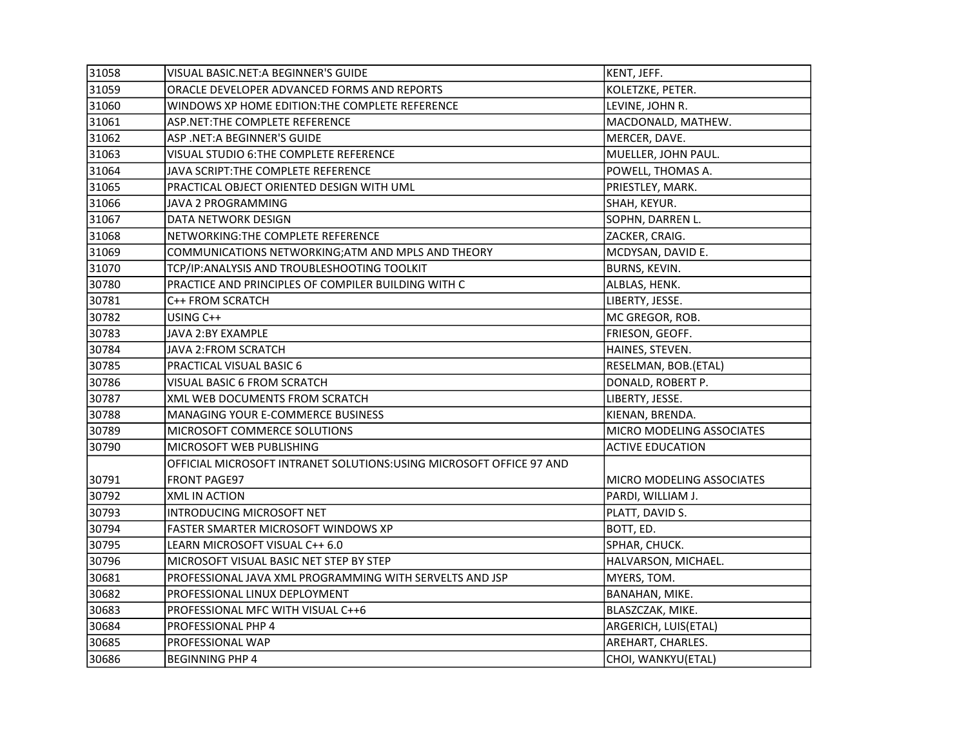| 31058 | VISUAL BASIC.NET: A BEGINNER'S GUIDE                                 | KENT, JEFF.               |
|-------|----------------------------------------------------------------------|---------------------------|
| 31059 | ORACLE DEVELOPER ADVANCED FORMS AND REPORTS                          | KOLETZKE, PETER.          |
| 31060 | WINDOWS XP HOME EDITION:THE COMPLETE REFERENCE                       | LEVINE, JOHN R.           |
| 31061 | ASP.NET:THE COMPLETE REFERENCE                                       | MACDONALD, MATHEW.        |
| 31062 | ASP .NET:A BEGINNER'S GUIDE                                          | MERCER, DAVE.             |
| 31063 | VISUAL STUDIO 6: THE COMPLETE REFERENCE                              | MUELLER, JOHN PAUL.       |
| 31064 | JAVA SCRIPT: THE COMPLETE REFERENCE                                  | POWELL, THOMAS A.         |
| 31065 | PRACTICAL OBJECT ORIENTED DESIGN WITH UML                            | PRIESTLEY, MARK.          |
| 31066 | JAVA 2 PROGRAMMING                                                   | SHAH, KEYUR.              |
| 31067 | DATA NETWORK DESIGN                                                  | SOPHN, DARREN L.          |
| 31068 | NETWORKING: THE COMPLETE REFERENCE                                   | ZACKER, CRAIG.            |
| 31069 | COMMUNICATIONS NETWORKING; ATM AND MPLS AND THEORY                   | MCDYSAN, DAVID E.         |
| 31070 | TCP/IP: ANALYSIS AND TROUBLESHOOTING TOOLKIT                         | BURNS, KEVIN.             |
| 30780 | PRACTICE AND PRINCIPLES OF COMPILER BUILDING WITH C                  | ALBLAS, HENK.             |
| 30781 | C++ FROM SCRATCH                                                     | LIBERTY, JESSE.           |
| 30782 | USING C++                                                            | MC GREGOR, ROB.           |
| 30783 | JAVA 2:BY EXAMPLE                                                    | FRIESON, GEOFF.           |
| 30784 | <b>JAVA 2:FROM SCRATCH</b>                                           | HAINES, STEVEN.           |
| 30785 | PRACTICAL VISUAL BASIC 6                                             | RESELMAN, BOB.(ETAL)      |
| 30786 | VISUAL BASIC 6 FROM SCRATCH                                          | DONALD, ROBERT P.         |
| 30787 | XML WEB DOCUMENTS FROM SCRATCH                                       | LIBERTY, JESSE.           |
| 30788 | MANAGING YOUR E-COMMERCE BUSINESS                                    | KIENAN, BRENDA.           |
| 30789 | MICROSOFT COMMERCE SOLUTIONS                                         | MICRO MODELING ASSOCIATES |
| 30790 | MICROSOFT WEB PUBLISHING                                             | <b>ACTIVE EDUCATION</b>   |
|       | OFFICIAL MICROSOFT INTRANET SOLUTIONS: USING MICROSOFT OFFICE 97 AND |                           |
| 30791 | FRONT PAGE97                                                         | MICRO MODELING ASSOCIATES |
| 30792 | <b>XML IN ACTION</b>                                                 | PARDI, WILLIAM J.         |
| 30793 | INTRODUCING MICROSOFT NET                                            | PLATT, DAVID S.           |
| 30794 | FASTER SMARTER MICROSOFT WINDOWS XP                                  | BOTT, ED.                 |
| 30795 | LEARN MICROSOFT VISUAL C++ 6.0                                       | SPHAR, CHUCK.             |
| 30796 | MICROSOFT VISUAL BASIC NET STEP BY STEP                              | HALVARSON, MICHAEL.       |
| 30681 | PROFESSIONAL JAVA XML PROGRAMMING WITH SERVELTS AND JSP              | MYERS, TOM.               |
| 30682 | PROFESSIONAL LINUX DEPLOYMENT                                        | BANAHAN, MIKE.            |
| 30683 | PROFESSIONAL MFC WITH VISUAL C++6                                    | BLASZCZAK, MIKE.          |
| 30684 | PROFESSIONAL PHP 4                                                   | ARGERICH, LUIS(ETAL)      |
| 30685 | PROFESSIONAL WAP                                                     | AREHART, CHARLES.         |
| 30686 | <b>BEGINNING PHP 4</b>                                               | CHOI, WANKYU(ETAL)        |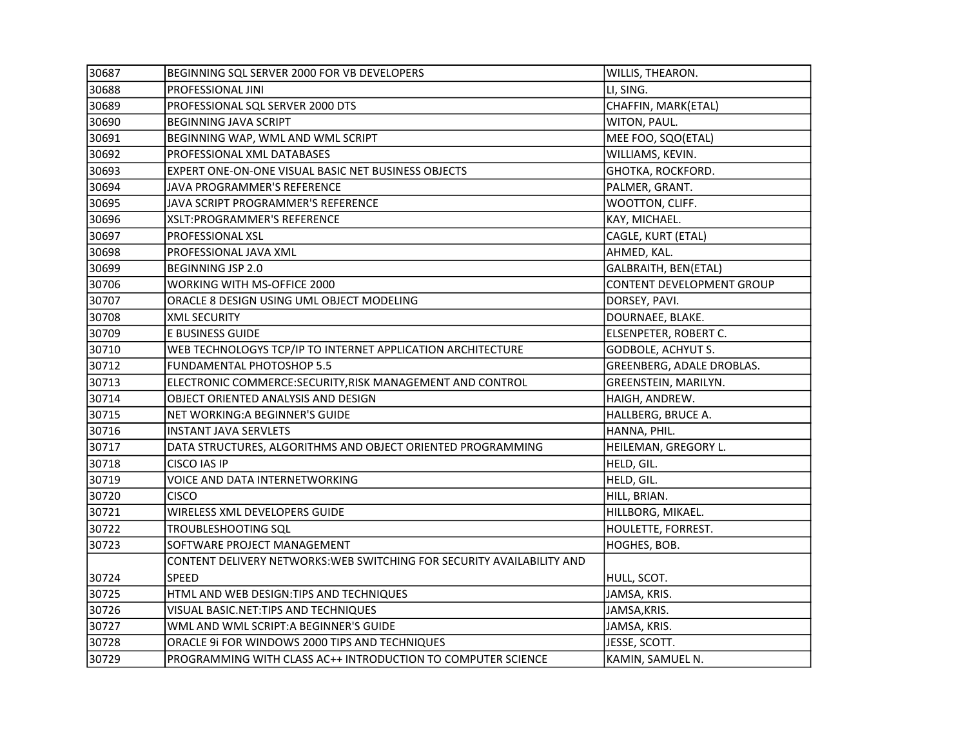| 30687 | BEGINNING SQL SERVER 2000 FOR VB DEVELOPERS                            | WILLIS, THEARON.          |
|-------|------------------------------------------------------------------------|---------------------------|
| 30688 | PROFESSIONAL JINI                                                      | LI, SING.                 |
| 30689 | PROFESSIONAL SQL SERVER 2000 DTS                                       | CHAFFIN, MARK(ETAL)       |
| 30690 | <b>BEGINNING JAVA SCRIPT</b>                                           | WITON, PAUL.              |
| 30691 | BEGINNING WAP, WML AND WML SCRIPT                                      | MEE FOO, SQO(ETAL)        |
| 30692 | PROFESSIONAL XML DATABASES                                             | WILLIAMS, KEVIN.          |
| 30693 | EXPERT ONE-ON-ONE VISUAL BASIC NET BUSINESS OBJECTS                    | GHOTKA, ROCKFORD.         |
| 30694 | JAVA PROGRAMMER'S REFERENCE                                            | PALMER, GRANT.            |
| 30695 | JAVA SCRIPT PROGRAMMER'S REFERENCE                                     | WOOTTON, CLIFF.           |
| 30696 | XSLT:PROGRAMMER'S REFERENCE                                            | KAY, MICHAEL.             |
| 30697 | PROFESSIONAL XSL                                                       | CAGLE, KURT (ETAL)        |
| 30698 | PROFESSIONAL JAVA XML                                                  | AHMED, KAL.               |
| 30699 | BEGINNING JSP 2.0                                                      | GALBRAITH, BEN(ETAL)      |
| 30706 | WORKING WITH MS-OFFICE 2000                                            | CONTENT DEVELOPMENT GROUP |
| 30707 | ORACLE 8 DESIGN USING UML OBJECT MODELING                              | DORSEY, PAVI.             |
| 30708 | <b>XML SECURITY</b>                                                    | DOURNAEE, BLAKE.          |
| 30709 | E BUSINESS GUIDE                                                       | ELSENPETER, ROBERT C.     |
| 30710 | WEB TECHNOLOGYS TCP/IP TO INTERNET APPLICATION ARCHITECTURE            | GODBOLE, ACHYUT S.        |
| 30712 | FUNDAMENTAL PHOTOSHOP 5.5                                              | GREENBERG, ADALE DROBLAS. |
| 30713 | ELECTRONIC COMMERCE:SECURITY, RISK MANAGEMENT AND CONTROL              | GREENSTEIN, MARILYN.      |
| 30714 | OBJECT ORIENTED ANALYSIS AND DESIGN                                    | HAIGH, ANDREW.            |
| 30715 | NET WORKING: A BEGINNER'S GUIDE                                        | HALLBERG, BRUCE A.        |
| 30716 | INSTANT JAVA SERVLETS                                                  | HANNA, PHIL.              |
| 30717 | DATA STRUCTURES, ALGORITHMS AND OBJECT ORIENTED PROGRAMMING            | HEILEMAN, GREGORY L.      |
| 30718 | CISCO IAS IP                                                           | HELD, GIL.                |
| 30719 | VOICE AND DATA INTERNETWORKING                                         | HELD, GIL.                |
| 30720 | <b>CISCO</b>                                                           | HILL, BRIAN.              |
| 30721 | WIRELESS XML DEVELOPERS GUIDE                                          | HILLBORG, MIKAEL.         |
| 30722 | TROUBLESHOOTING SQL                                                    | HOULETTE, FORREST.        |
| 30723 | SOFTWARE PROJECT MANAGEMENT                                            | HOGHES, BOB.              |
|       | CONTENT DELIVERY NETWORKS: WEB SWITCHING FOR SECURITY AVAILABILITY AND |                           |
| 30724 | SPEED                                                                  | HULL, SCOT.               |
| 30725 | HTML AND WEB DESIGN: TIPS AND TECHNIQUES                               | JAMSA, KRIS.              |
| 30726 | VISUAL BASIC.NET: TIPS AND TECHNIQUES                                  | JAMSA, KRIS.              |
| 30727 | WML AND WML SCRIPT:A BEGINNER'S GUIDE                                  | JAMSA, KRIS.              |
| 30728 | ORACLE 9i FOR WINDOWS 2000 TIPS AND TECHNIQUES                         | JESSE, SCOTT.             |
| 30729 | PROGRAMMING WITH CLASS AC++ INTRODUCTION TO COMPUTER SCIENCE           | KAMIN, SAMUEL N.          |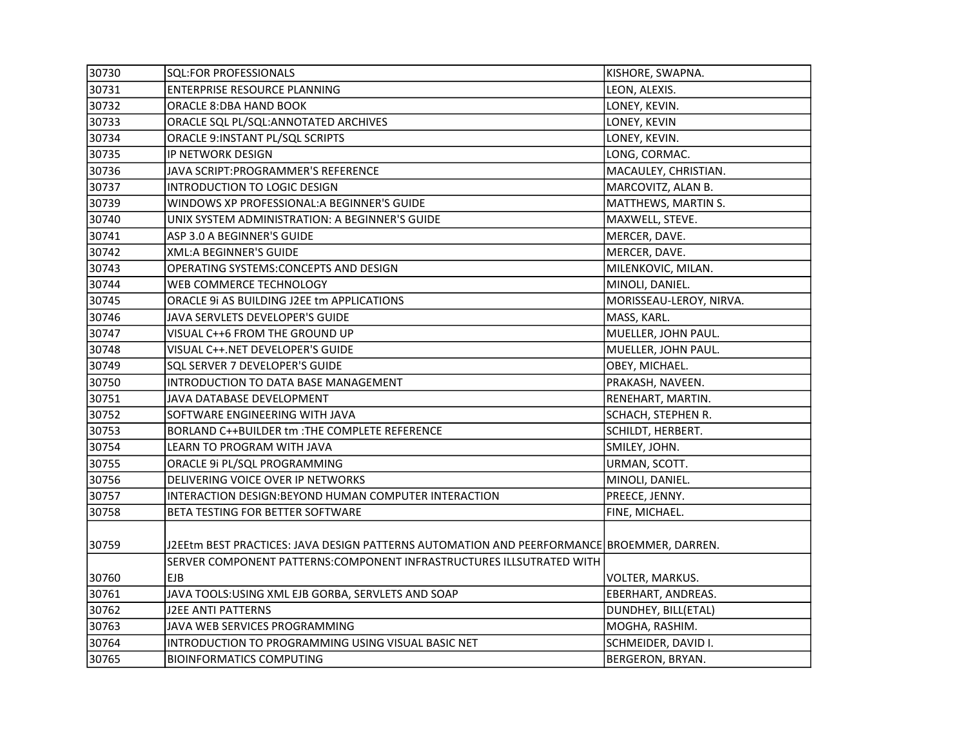| 30730 | SQL:FOR PROFESSIONALS                                                                     | KISHORE, SWAPNA.        |
|-------|-------------------------------------------------------------------------------------------|-------------------------|
| 30731 | <b>ENTERPRISE RESOURCE PLANNING</b>                                                       | LEON, ALEXIS.           |
| 30732 | ORACLE 8:DBA HAND BOOK                                                                    | LONEY, KEVIN.           |
| 30733 | ORACLE SQL PL/SQL: ANNOTATED ARCHIVES                                                     | LONEY, KEVIN            |
| 30734 | ORACLE 9: INSTANT PL/SQL SCRIPTS                                                          | LONEY, KEVIN.           |
| 30735 | IP NETWORK DESIGN                                                                         | LONG, CORMAC.           |
| 30736 | JAVA SCRIPT: PROGRAMMER'S REFERENCE                                                       | MACAULEY, CHRISTIAN.    |
| 30737 | INTRODUCTION TO LOGIC DESIGN                                                              | MARCOVITZ, ALAN B.      |
| 30739 | WINDOWS XP PROFESSIONAL: A BEGINNER'S GUIDE                                               | MATTHEWS, MARTIN S.     |
| 30740 | UNIX SYSTEM ADMINISTRATION: A BEGINNER'S GUIDE                                            | MAXWELL, STEVE.         |
| 30741 | ASP 3.0 A BEGINNER'S GUIDE                                                                | MERCER, DAVE.           |
| 30742 | <b>XML:A BEGINNER'S GUIDE</b>                                                             | MERCER, DAVE.           |
| 30743 | OPERATING SYSTEMS: CONCEPTS AND DESIGN                                                    | MILENKOVIC, MILAN.      |
| 30744 | WEB COMMERCE TECHNOLOGY                                                                   | MINOLI, DANIEL.         |
| 30745 | ORACLE 9i AS BUILDING J2EE tm APPLICATIONS                                                | MORISSEAU-LEROY, NIRVA. |
| 30746 | JAVA SERVLETS DEVELOPER'S GUIDE                                                           | MASS, KARL.             |
| 30747 | VISUAL C++6 FROM THE GROUND UP                                                            | MUELLER, JOHN PAUL.     |
| 30748 | VISUAL C++.NET DEVELOPER'S GUIDE                                                          | MUELLER, JOHN PAUL.     |
| 30749 | SQL SERVER 7 DEVELOPER'S GUIDE                                                            | OBEY, MICHAEL.          |
| 30750 | INTRODUCTION TO DATA BASE MANAGEMENT                                                      | PRAKASH, NAVEEN.        |
| 30751 | JAVA DATABASE DEVELOPMENT                                                                 | RENEHART, MARTIN.       |
| 30752 | SOFTWARE ENGINEERING WITH JAVA                                                            | SCHACH, STEPHEN R.      |
| 30753 | BORLAND C++BUILDER tm : THE COMPLETE REFERENCE                                            | SCHILDT, HERBERT.       |
| 30754 | LEARN TO PROGRAM WITH JAVA                                                                | SMILEY, JOHN.           |
| 30755 | ORACLE 9i PL/SQL PROGRAMMING                                                              | URMAN, SCOTT.           |
| 30756 | DELIVERING VOICE OVER IP NETWORKS                                                         | MINOLI, DANIEL.         |
| 30757 | INTERACTION DESIGN: BEYOND HUMAN COMPUTER INTERACTION                                     | PREECE, JENNY.          |
| 30758 | BETA TESTING FOR BETTER SOFTWARE                                                          | FINE, MICHAEL.          |
|       |                                                                                           |                         |
| 30759 | J2EEtm BEST PRACTICES: JAVA DESIGN PATTERNS AUTOMATION AND PEERFORMANCE BROEMMER, DARREN. |                         |
|       | SERVER COMPONENT PATTERNS: COMPONENT INFRASTRUCTURES ILLSUTRATED WITH                     |                         |
| 30760 | <b>EJB</b>                                                                                | VOLTER, MARKUS.         |
| 30761 | JAVA TOOLS: USING XML EJB GORBA, SERVLETS AND SOAP                                        | EBERHART, ANDREAS.      |
| 30762 | J2EE ANTI PATTERNS                                                                        | DUNDHEY, BILL(ETAL)     |
| 30763 | JAVA WEB SERVICES PROGRAMMING                                                             | MOGHA, RASHIM.          |
| 30764 | INTRODUCTION TO PROGRAMMING USING VISUAL BASIC NET                                        | SCHMEIDER, DAVID I.     |
| 30765 | <b>BIOINFORMATICS COMPUTING</b>                                                           | <b>BERGERON, BRYAN.</b> |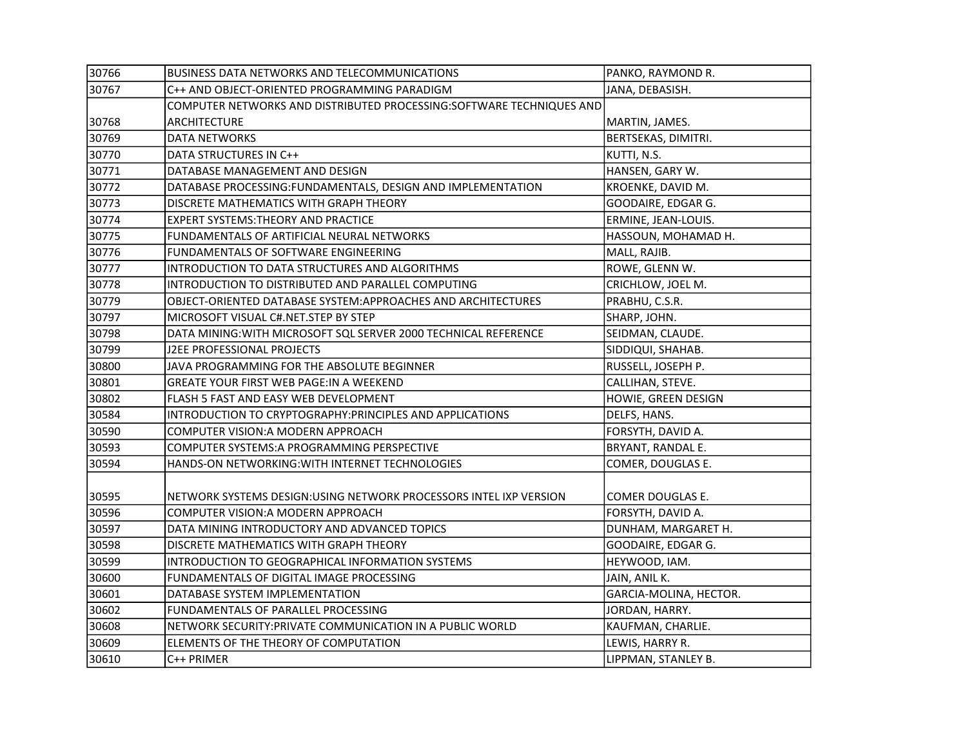| 30766 | <b>BUSINESS DATA NETWORKS AND TELECOMMUNICATIONS</b>                 | PANKO, RAYMOND R.      |
|-------|----------------------------------------------------------------------|------------------------|
| 30767 | C++ AND OBJECT-ORIENTED PROGRAMMING PARADIGM                         | JANA, DEBASISH.        |
|       | COMPUTER NETWORKS AND DISTRIBUTED PROCESSING:SOFTWARE TECHNIQUES AND |                        |
| 30768 | <b>ARCHITECTURE</b>                                                  | MARTIN, JAMES.         |
| 30769 | <b>DATA NETWORKS</b>                                                 | BERTSEKAS, DIMITRI.    |
| 30770 | DATA STRUCTURES IN C++                                               | KUTTI, N.S.            |
| 30771 | DATABASE MANAGEMENT AND DESIGN                                       | HANSEN, GARY W.        |
| 30772 | DATABASE PROCESSING:FUNDAMENTALS, DESIGN AND IMPLEMENTATION          | KROENKE, DAVID M.      |
| 30773 | DISCRETE MATHEMATICS WITH GRAPH THEORY                               | GOODAIRE, EDGAR G.     |
| 30774 | EXPERT SYSTEMS:THEORY AND PRACTICE                                   | ERMINE, JEAN-LOUIS.    |
| 30775 | FUNDAMENTALS OF ARTIFICIAL NEURAL NETWORKS                           | HASSOUN, MOHAMAD H.    |
| 30776 | FUNDAMENTALS OF SOFTWARE ENGINEERING                                 | MALL, RAJIB.           |
| 30777 | INTRODUCTION TO DATA STRUCTURES AND ALGORITHMS                       | ROWE, GLENN W.         |
| 30778 | INTRODUCTION TO DISTRIBUTED AND PARALLEL COMPUTING                   | CRICHLOW, JOEL M.      |
| 30779 | OBJECT-ORIENTED DATABASE SYSTEM: APPROACHES AND ARCHITECTURES        | PRABHU, C.S.R.         |
| 30797 | MICROSOFT VISUAL C#.NET.STEP BY STEP                                 | SHARP, JOHN.           |
| 30798 | DATA MINING: WITH MICROSOFT SQL SERVER 2000 TECHNICAL REFERENCE      | SEIDMAN, CLAUDE.       |
| 30799 | J2EE PROFESSIONAL PROJECTS                                           | SIDDIQUI, SHAHAB.      |
| 30800 | JAVA PROGRAMMING FOR THE ABSOLUTE BEGINNER                           | RUSSELL, JOSEPH P.     |
| 30801 | <b>GREATE YOUR FIRST WEB PAGE: IN A WEEKEND</b>                      | CALLIHAN, STEVE.       |
| 30802 | FLASH 5 FAST AND EASY WEB DEVELOPMENT                                | HOWIE, GREEN DESIGN    |
| 30584 | INTRODUCTION TO CRYPTOGRAPHY: PRINCIPLES AND APPLICATIONS            | DELFS, HANS.           |
| 30590 | COMPUTER VISION: A MODERN APPROACH                                   | FORSYTH, DAVID A.      |
| 30593 | COMPUTER SYSTEMS:A PROGRAMMING PERSPECTIVE                           | BRYANT, RANDAL E.      |
| 30594 | HANDS-ON NETWORKING: WITH INTERNET TECHNOLOGIES                      | COMER, DOUGLAS E.      |
|       |                                                                      |                        |
| 30595 | NETWORK SYSTEMS DESIGN: USING NETWORK PROCESSORS INTEL IXP VERSION   | COMER DOUGLAS E.       |
| 30596 | COMPUTER VISION: A MODERN APPROACH                                   | FORSYTH, DAVID A.      |
| 30597 | DATA MINING INTRODUCTORY AND ADVANCED TOPICS                         | DUNHAM, MARGARET H.    |
| 30598 | DISCRETE MATHEMATICS WITH GRAPH THEORY                               | GOODAIRE, EDGAR G.     |
| 30599 | INTRODUCTION TO GEOGRAPHICAL INFORMATION SYSTEMS                     | HEYWOOD, IAM.          |
| 30600 | FUNDAMENTALS OF DIGITAL IMAGE PROCESSING                             | JAIN, ANIL K.          |
| 30601 | DATABASE SYSTEM IMPLEMENTATION                                       | GARCIA-MOLINA, HECTOR. |
| 30602 | FUNDAMENTALS OF PARALLEL PROCESSING                                  | JORDAN, HARRY.         |
| 30608 | NETWORK SECURITY: PRIVATE COMMUNICATION IN A PUBLIC WORLD            | KAUFMAN, CHARLIE.      |
| 30609 | ELEMENTS OF THE THEORY OF COMPUTATION                                | LEWIS, HARRY R.        |
| 30610 | C++ PRIMER                                                           | LIPPMAN, STANLEY B.    |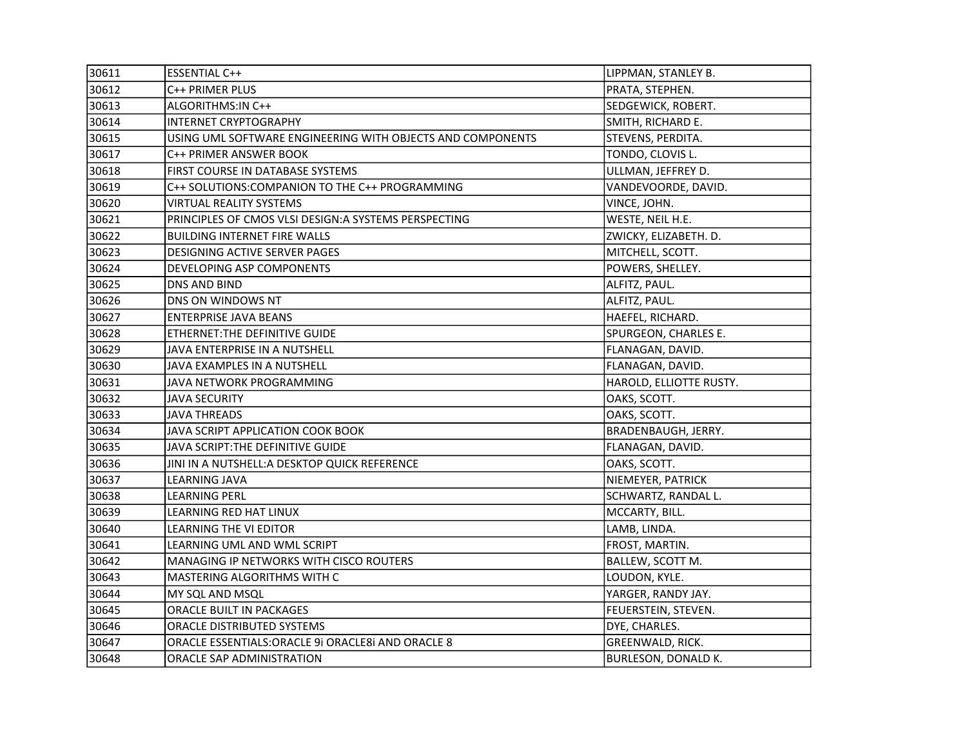| 30611 | <b>ESSENTIAL C++</b>                                       | LIPPMAN, STANLEY B.        |
|-------|------------------------------------------------------------|----------------------------|
| 30612 | C++ PRIMER PLUS                                            | PRATA, STEPHEN.            |
| 30613 | ALGORITHMS: IN C++                                         | SEDGEWICK, ROBERT.         |
| 30614 | <b>INTERNET CRYPTOGRAPHY</b>                               | SMITH, RICHARD E.          |
| 30615 | USING UML SOFTWARE ENGINEERING WITH OBJECTS AND COMPONENTS | STEVENS, PERDITA.          |
| 30617 | C++ PRIMER ANSWER BOOK                                     | TONDO, CLOVIS L.           |
| 30618 | FIRST COURSE IN DATABASE SYSTEMS                           | ULLMAN, JEFFREY D.         |
| 30619 | C++ SOLUTIONS: COMPANION TO THE C++ PROGRAMMING            | VANDEVOORDE, DAVID.        |
| 30620 | VIRTUAL REALITY SYSTEMS                                    | VINCE, JOHN.               |
| 30621 | PRINCIPLES OF CMOS VLSI DESIGN:A SYSTEMS PERSPECTING       | WESTE, NEIL H.E.           |
| 30622 | <b>BUILDING INTERNET FIRE WALLS</b>                        | ZWICKY, ELIZABETH. D.      |
| 30623 | DESIGNING ACTIVE SERVER PAGES                              | MITCHELL, SCOTT.           |
| 30624 | DEVELOPING ASP COMPONENTS                                  | POWERS, SHELLEY.           |
| 30625 | <b>DNS AND BIND</b>                                        | ALFITZ, PAUL.              |
| 30626 | DNS ON WINDOWS NT                                          | ALFITZ, PAUL.              |
| 30627 | <b>ENTERPRISE JAVA BEANS</b>                               | HAEFEL, RICHARD.           |
| 30628 | ETHERNET: THE DEFINITIVE GUIDE                             | SPURGEON, CHARLES E.       |
| 30629 | JAVA ENTERPRISE IN A NUTSHELL                              | FLANAGAN, DAVID.           |
| 30630 | JAVA EXAMPLES IN A NUTSHELL                                | FLANAGAN, DAVID.           |
| 30631 | JAVA NETWORK PROGRAMMING                                   | HAROLD, ELLIOTTE RUSTY.    |
| 30632 | <b>JAVA SECURITY</b>                                       | OAKS, SCOTT.               |
| 30633 | <b>JAVA THREADS</b>                                        | OAKS, SCOTT.               |
| 30634 | JAVA SCRIPT APPLICATION COOK BOOK                          | BRADENBAUGH, JERRY.        |
| 30635 | JAVA SCRIPT: THE DEFINITIVE GUIDE                          | FLANAGAN, DAVID.           |
| 30636 | JINI IN A NUTSHELL: A DESKTOP QUICK REFERENCE              | OAKS, SCOTT.               |
| 30637 | <b>LEARNING JAVA</b>                                       | NIEMEYER, PATRICK          |
| 30638 | LEARNING PERL                                              | SCHWARTZ, RANDAL L.        |
| 30639 | <b>LEARNING RED HAT LINUX</b>                              | MCCARTY, BILL.             |
| 30640 | LEARNING THE VI EDITOR                                     | LAMB, LINDA.               |
| 30641 | LEARNING UML AND WML SCRIPT                                | FROST, MARTIN.             |
| 30642 | MANAGING IP NETWORKS WITH CISCO ROUTERS                    | BALLEW, SCOTT M.           |
| 30643 | MASTERING ALGORITHMS WITH C                                | LOUDON, KYLE.              |
| 30644 | MY SQL AND MSQL                                            | YARGER, RANDY JAY.         |
| 30645 | ORACLE BUILT IN PACKAGES                                   | FEUERSTEIN, STEVEN.        |
| 30646 | ORACLE DISTRIBUTED SYSTEMS                                 | DYE, CHARLES.              |
| 30647 | ORACLE ESSENTIALS: ORACLE 9i ORACLE8i AND ORACLE 8         | GREENWALD, RICK.           |
| 30648 | ORACLE SAP ADMINISTRATION                                  | <b>BURLESON, DONALD K.</b> |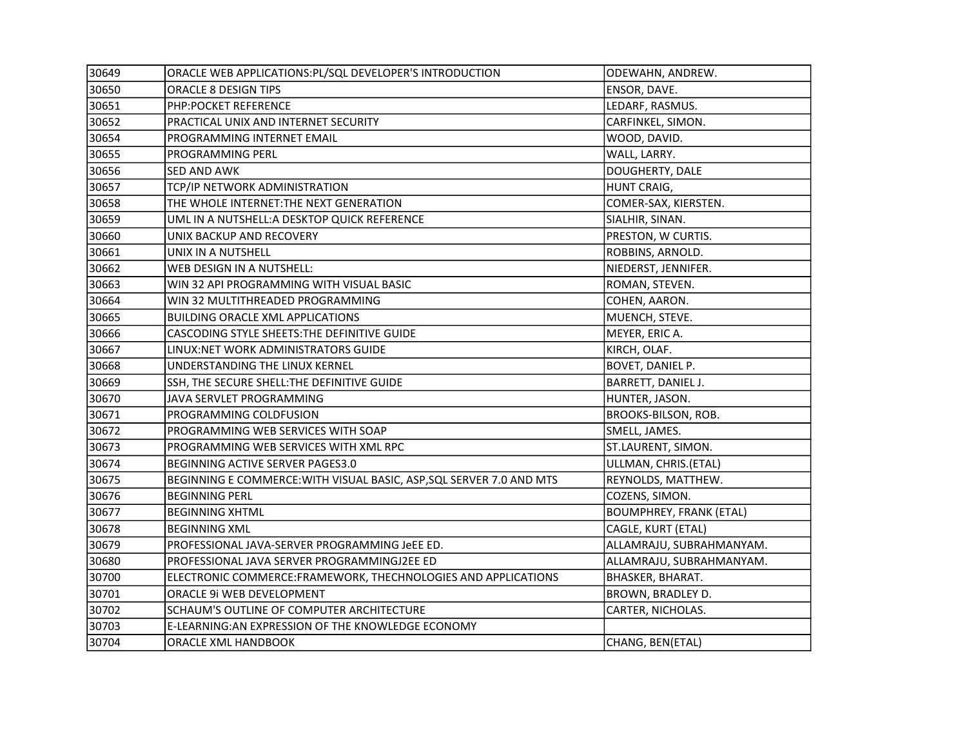| 30649 | ORACLE WEB APPLICATIONS: PL/SQL DEVELOPER'S INTRODUCTION             | ODEWAHN, ANDREW.               |
|-------|----------------------------------------------------------------------|--------------------------------|
| 30650 | ORACLE 8 DESIGN TIPS                                                 | ENSOR, DAVE.                   |
| 30651 | PHP:POCKET REFERENCE                                                 | LEDARF, RASMUS.                |
| 30652 | PRACTICAL UNIX AND INTERNET SECURITY                                 | CARFINKEL, SIMON.              |
| 30654 | PROGRAMMING INTERNET EMAIL                                           | WOOD, DAVID.                   |
| 30655 | PROGRAMMING PERL                                                     | WALL, LARRY.                   |
| 30656 | SED AND AWK                                                          | DOUGHERTY, DALE                |
| 30657 | TCP/IP NETWORK ADMINISTRATION                                        | HUNT CRAIG,                    |
| 30658 | THE WHOLE INTERNET: THE NEXT GENERATION                              | COMER-SAX, KIERSTEN.           |
| 30659 | UML IN A NUTSHELL: A DESKTOP QUICK REFERENCE                         | SIALHIR, SINAN.                |
| 30660 | UNIX BACKUP AND RECOVERY                                             | PRESTON, W CURTIS.             |
| 30661 | UNIX IN A NUTSHELL                                                   | ROBBINS, ARNOLD.               |
| 30662 | WEB DESIGN IN A NUTSHELL:                                            | NIEDERST, JENNIFER.            |
| 30663 | WIN 32 API PROGRAMMING WITH VISUAL BASIC                             | ROMAN, STEVEN.                 |
| 30664 | WIN 32 MULTITHREADED PROGRAMMING                                     | COHEN, AARON.                  |
| 30665 | <b>BUILDING ORACLE XML APPLICATIONS</b>                              | MUENCH, STEVE.                 |
| 30666 | CASCODING STYLE SHEETS: THE DEFINITIVE GUIDE                         | MEYER, ERIC A.                 |
| 30667 | LINUX:NET WORK ADMINISTRATORS GUIDE                                  | KIRCH, OLAF.                   |
| 30668 | UNDERSTANDING THE LINUX KERNEL                                       | BOVET, DANIEL P.               |
| 30669 | SSH, THE SECURE SHELL: THE DEFINITIVE GUIDE                          | BARRETT, DANIEL J.             |
| 30670 | JAVA SERVLET PROGRAMMING                                             | HUNTER, JASON.                 |
| 30671 | PROGRAMMING COLDFUSION                                               | <b>BROOKS-BILSON, ROB.</b>     |
| 30672 | PROGRAMMING WEB SERVICES WITH SOAP                                   | SMELL, JAMES.                  |
| 30673 | PROGRAMMING WEB SERVICES WITH XML RPC                                | ST.LAURENT, SIMON.             |
| 30674 | BEGINNING ACTIVE SERVER PAGES3.0                                     | ULLMAN, CHRIS.(ETAL)           |
| 30675 | BEGINNING E COMMERCE: WITH VISUAL BASIC, ASP, SQL SERVER 7.0 AND MTS | REYNOLDS, MATTHEW.             |
| 30676 | <b>BEGINNING PERL</b>                                                | COZENS, SIMON.                 |
| 30677 | <b>BEGINNING XHTML</b>                                               | <b>BOUMPHREY, FRANK (ETAL)</b> |
| 30678 | <b>BEGINNING XML</b>                                                 | CAGLE, KURT (ETAL)             |
| 30679 | PROFESSIONAL JAVA-SERVER PROGRAMMING JeEE ED.                        | ALLAMRAJU, SUBRAHMANYAM.       |
| 30680 | PROFESSIONAL JAVA SERVER PROGRAMMINGJ2EE ED                          | ALLAMRAJU, SUBRAHMANYAM.       |
| 30700 | ELECTRONIC COMMERCE: FRAMEWORK, THECHNOLOGIES AND APPLICATIONS       | BHASKER, BHARAT.               |
| 30701 | ORACLE 9i WEB DEVELOPMENT                                            | BROWN, BRADLEY D.              |
| 30702 | SCHAUM'S OUTLINE OF COMPUTER ARCHITECTURE                            | CARTER, NICHOLAS.              |
| 30703 | E-LEARNING: AN EXPRESSION OF THE KNOWLEDGE ECONOMY                   |                                |
| 30704 | ORACLE XML HANDBOOK                                                  | CHANG, BEN(ETAL)               |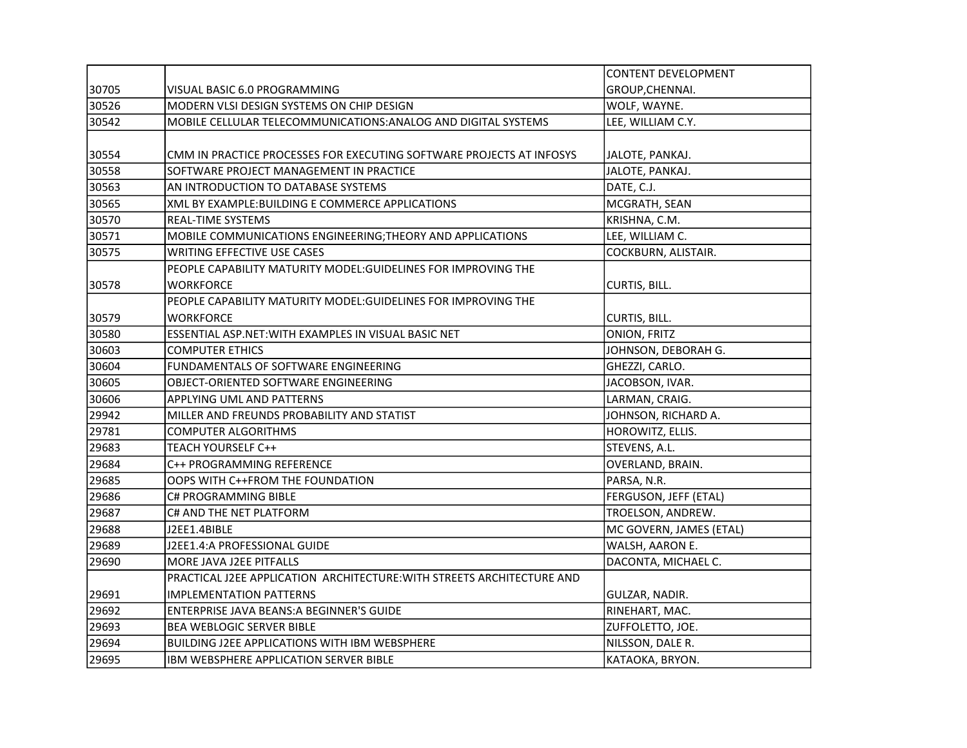|       |                                                                        | <b>CONTENT DEVELOPMENT</b> |
|-------|------------------------------------------------------------------------|----------------------------|
| 30705 | VISUAL BASIC 6.0 PROGRAMMING                                           | GROUP, CHENNAI.            |
| 30526 | MODERN VLSI DESIGN SYSTEMS ON CHIP DESIGN                              | WOLF, WAYNE.               |
| 30542 | MOBILE CELLULAR TELECOMMUNICATIONS: ANALOG AND DIGITAL SYSTEMS         | LEE, WILLIAM C.Y.          |
|       |                                                                        |                            |
| 30554 | CMM IN PRACTICE PROCESSES FOR EXECUTING SOFTWARE PROJECTS AT INFOSYS   | JALOTE, PANKAJ.            |
| 30558 | SOFTWARE PROJECT MANAGEMENT IN PRACTICE                                | JALOTE, PANKAJ.            |
| 30563 | AN INTRODUCTION TO DATABASE SYSTEMS                                    | DATE, C.J.                 |
| 30565 | XML BY EXAMPLE: BUILDING E COMMERCE APPLICATIONS                       | MCGRATH, SEAN              |
| 30570 | <b>REAL-TIME SYSTEMS</b>                                               | KRISHNA, C.M.              |
| 30571 | MOBILE COMMUNICATIONS ENGINEERING; THEORY AND APPLICATIONS             | LEE, WILLIAM C.            |
| 30575 | WRITING EFFECTIVE USE CASES                                            | COCKBURN, ALISTAIR.        |
|       | PEOPLE CAPABILITY MATURITY MODEL: GUIDELINES FOR IMPROVING THE         |                            |
| 30578 | WORKFORCE                                                              | CURTIS, BILL.              |
|       | PEOPLE CAPABILITY MATURITY MODEL: GUIDELINES FOR IMPROVING THE         |                            |
| 30579 | <b>WORKFORCE</b>                                                       | CURTIS, BILL.              |
| 30580 | ESSENTIAL ASP.NET: WITH EXAMPLES IN VISUAL BASIC NET                   | ONION, FRITZ               |
| 30603 | <b>COMPUTER ETHICS</b>                                                 | JOHNSON, DEBORAH G.        |
| 30604 | FUNDAMENTALS OF SOFTWARE ENGINEERING                                   | GHEZZI, CARLO.             |
| 30605 | OBJECT-ORIENTED SOFTWARE ENGINEERING                                   | JACOBSON, IVAR.            |
| 30606 | APPLYING UML AND PATTERNS                                              | LARMAN, CRAIG.             |
| 29942 | MILLER AND FREUNDS PROBABILITY AND STATIST                             | JOHNSON, RICHARD A.        |
| 29781 | <b>COMPUTER ALGORITHMS</b>                                             | HOROWITZ, ELLIS.           |
| 29683 | TEACH YOURSELF C++                                                     | STEVENS, A.L.              |
| 29684 | C++ PROGRAMMING REFERENCE                                              | OVERLAND, BRAIN.           |
| 29685 | OOPS WITH C++FROM THE FOUNDATION                                       | PARSA, N.R.                |
| 29686 | <b>C# PROGRAMMING BIBLE</b>                                            | FERGUSON, JEFF (ETAL)      |
| 29687 | C# AND THE NET PLATFORM                                                | TROELSON, ANDREW.          |
| 29688 | J2EE1.4BIBLE                                                           | MC GOVERN, JAMES (ETAL)    |
| 29689 | J2EE1.4:A PROFESSIONAL GUIDE                                           | WALSH, AARON E.            |
| 29690 | MORE JAVA J2EE PITFALLS                                                | DACONTA, MICHAEL C.        |
|       | PRACTICAL J2EE APPLICATION ARCHITECTURE: WITH STREETS ARCHITECTURE AND |                            |
| 29691 | <b>IMPLEMENTATION PATTERNS</b>                                         | GULZAR, NADIR.             |
| 29692 | ENTERPRISE JAVA BEANS: A BEGINNER'S GUIDE                              | RINEHART, MAC.             |
| 29693 | <b>BEA WEBLOGIC SERVER BIBLE</b>                                       | ZUFFOLETTO, JOE.           |
| 29694 | BUILDING J2EE APPLICATIONS WITH IBM WEBSPHERE                          | NILSSON, DALE R.           |
| 29695 | <b>IBM WEBSPHERE APPLICATION SERVER BIBLE</b>                          | KATAOKA, BRYON.            |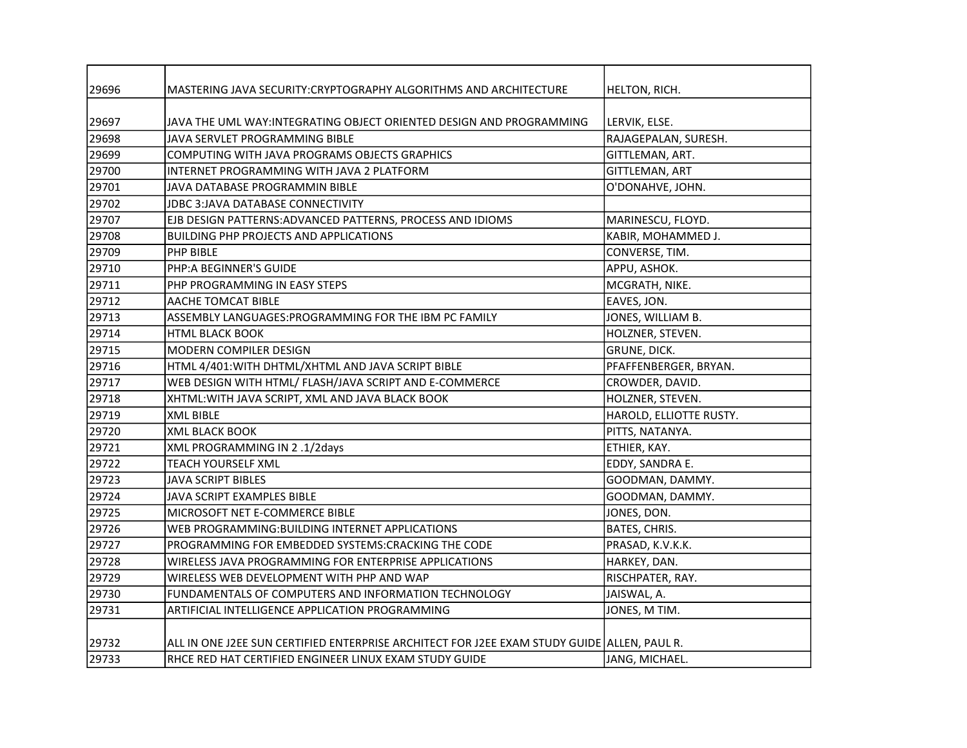| 29696 | MASTERING JAVA SECURITY: CRYPTOGRAPHY ALGORITHMS AND ARCHITECTURE                           | HELTON, RICH.           |
|-------|---------------------------------------------------------------------------------------------|-------------------------|
|       |                                                                                             |                         |
| 29697 | JAVA THE UML WAY:INTEGRATING OBJECT ORIENTED DESIGN AND PROGRAMMING                         | LERVIK, ELSE.           |
| 29698 | JAVA SERVLET PROGRAMMING BIBLE                                                              | RAJAGEPALAN, SURESH.    |
| 29699 | COMPUTING WITH JAVA PROGRAMS OBJECTS GRAPHICS                                               | GITTLEMAN, ART.         |
| 29700 | INTERNET PROGRAMMING WITH JAVA 2 PLATFORM                                                   | <b>GITTLEMAN, ART</b>   |
| 29701 | JAVA DATABASE PROGRAMMIN BIBLE                                                              | O'DONAHVE, JOHN.        |
| 29702 | <b>JDBC 3:JAVA DATABASE CONNECTIVITY</b>                                                    |                         |
| 29707 | EJB DESIGN PATTERNS: ADVANCED PATTERNS, PROCESS AND IDIOMS                                  | MARINESCU, FLOYD.       |
| 29708 | <b>BUILDING PHP PROJECTS AND APPLICATIONS</b>                                               | KABIR, MOHAMMED J.      |
| 29709 | PHP BIBLE                                                                                   | CONVERSE, TIM.          |
| 29710 | PHP:A BEGINNER'S GUIDE                                                                      | APPU, ASHOK.            |
| 29711 | PHP PROGRAMMING IN EASY STEPS                                                               | MCGRATH, NIKE.          |
| 29712 | AACHE TOMCAT BIBLE                                                                          | EAVES, JON.             |
| 29713 | ASSEMBLY LANGUAGES:PROGRAMMING FOR THE IBM PC FAMILY                                        | JONES, WILLIAM B.       |
| 29714 | <b>HTML BLACK BOOK</b>                                                                      | HOLZNER, STEVEN.        |
| 29715 | MODERN COMPILER DESIGN                                                                      | GRUNE, DICK.            |
| 29716 | HTML 4/401: WITH DHTML/XHTML AND JAVA SCRIPT BIBLE                                          | PFAFFENBERGER, BRYAN.   |
| 29717 | WEB DESIGN WITH HTML/ FLASH/JAVA SCRIPT AND E-COMMERCE                                      | CROWDER, DAVID.         |
| 29718 | XHTML: WITH JAVA SCRIPT, XML AND JAVA BLACK BOOK                                            | HOLZNER, STEVEN.        |
| 29719 | <b>XML BIBLE</b>                                                                            | HAROLD, ELLIOTTE RUSTY. |
| 29720 | <b>XML BLACK BOOK</b>                                                                       | PITTS, NATANYA.         |
| 29721 | XML PROGRAMMING IN 2.1/2days                                                                | ETHIER, KAY.            |
| 29722 | <b>TEACH YOURSELF XML</b>                                                                   | EDDY, SANDRA E.         |
| 29723 | <b>JAVA SCRIPT BIBLES</b>                                                                   | GOODMAN, DAMMY.         |
| 29724 | JAVA SCRIPT EXAMPLES BIBLE                                                                  | GOODMAN, DAMMY.         |
| 29725 | MICROSOFT NET E-COMMERCE BIBLE                                                              | JONES, DON.             |
| 29726 | WEB PROGRAMMING: BUILDING INTERNET APPLICATIONS                                             | <b>BATES, CHRIS.</b>    |
| 29727 | PROGRAMMING FOR EMBEDDED SYSTEMS:CRACKING THE CODE                                          | PRASAD, K.V.K.K.        |
| 29728 | WIRELESS JAVA PROGRAMMING FOR ENTERPRISE APPLICATIONS                                       | HARKEY, DAN.            |
| 29729 | WIRELESS WEB DEVELOPMENT WITH PHP AND WAP                                                   | RISCHPATER, RAY.        |
| 29730 | FUNDAMENTALS OF COMPUTERS AND INFORMATION TECHNOLOGY                                        | JAISWAL, A.             |
| 29731 | ARTIFICIAL INTELLIGENCE APPLICATION PROGRAMMING                                             | JONES, M TIM.           |
|       |                                                                                             |                         |
| 29732 | ALL IN ONE J2EE SUN CERTIFIED ENTERPRISE ARCHITECT FOR J2EE EXAM STUDY GUIDE ALLEN, PAUL R. |                         |
| 29733 | RHCE RED HAT CERTIFIED ENGINEER LINUX EXAM STUDY GUIDE                                      | JANG, MICHAEL.          |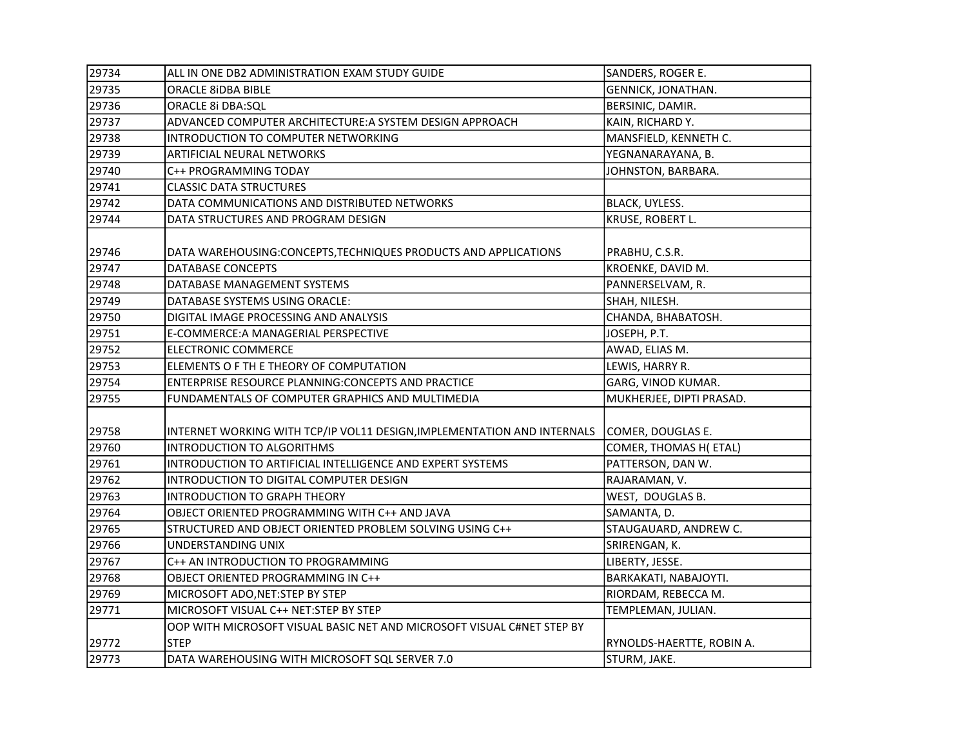| 29734 | ALL IN ONE DB2 ADMINISTRATION EXAM STUDY GUIDE                          | SANDERS, ROGER E.         |
|-------|-------------------------------------------------------------------------|---------------------------|
| 29735 | <b>ORACLE 8iDBA BIBLE</b>                                               | GENNICK, JONATHAN.        |
| 29736 | ORACLE 8i DBA:SQL                                                       | BERSINIC, DAMIR.          |
| 29737 | ADVANCED COMPUTER ARCHITECTURE: A SYSTEM DESIGN APPROACH                | KAIN, RICHARD Y.          |
| 29738 | INTRODUCTION TO COMPUTER NETWORKING                                     | MANSFIELD, KENNETH C.     |
| 29739 | <b>ARTIFICIAL NEURAL NETWORKS</b>                                       | YEGNANARAYANA, B.         |
| 29740 | C++ PROGRAMMING TODAY                                                   | JOHNSTON, BARBARA.        |
| 29741 | <b>CLASSIC DATA STRUCTURES</b>                                          |                           |
| 29742 | DATA COMMUNICATIONS AND DISTRIBUTED NETWORKS                            | BLACK, UYLESS.            |
| 29744 | DATA STRUCTURES AND PROGRAM DESIGN                                      | KRUSE, ROBERT L.          |
| 29746 | DATA WAREHOUSING: CONCEPTS, TECHNIQUES PRODUCTS AND APPLICATIONS        | PRABHU, C.S.R.            |
| 29747 | <b>DATABASE CONCEPTS</b>                                                | KROENKE, DAVID M.         |
| 29748 | DATABASE MANAGEMENT SYSTEMS                                             | PANNERSELVAM, R.          |
| 29749 | DATABASE SYSTEMS USING ORACLE:                                          | SHAH, NILESH.             |
| 29750 | DIGITAL IMAGE PROCESSING AND ANALYSIS                                   | CHANDA, BHABATOSH.        |
| 29751 | E-COMMERCE: A MANAGERIAL PERSPECTIVE                                    | JOSEPH, P.T.              |
| 29752 | <b>ELECTRONIC COMMERCE</b>                                              | AWAD, ELIAS M.            |
| 29753 | ELEMENTS O F TH E THEORY OF COMPUTATION                                 | LEWIS, HARRY R.           |
| 29754 | ENTERPRISE RESOURCE PLANNING:CONCEPTS AND PRACTICE                      | GARG, VINOD KUMAR.        |
| 29755 | FUNDAMENTALS OF COMPUTER GRAPHICS AND MULTIMEDIA                        | MUKHERJEE, DIPTI PRASAD.  |
| 29758 | INTERNET WORKING WITH TCP/IP VOL11 DESIGN, IMPLEMENTATION AND INTERNALS | COMER, DOUGLAS E.         |
| 29760 | <b>INTRODUCTION TO ALGORITHMS</b>                                       | COMER, THOMAS H(ETAL)     |
| 29761 | INTRODUCTION TO ARTIFICIAL INTELLIGENCE AND EXPERT SYSTEMS              | PATTERSON, DAN W.         |
| 29762 | INTRODUCTION TO DIGITAL COMPUTER DESIGN                                 | RAJARAMAN, V.             |
| 29763 | INTRODUCTION TO GRAPH THEORY                                            | WEST, DOUGLAS B.          |
| 29764 | OBJECT ORIENTED PROGRAMMING WITH C++ AND JAVA                           | SAMANTA, D.               |
| 29765 | STRUCTURED AND OBJECT ORIENTED PROBLEM SOLVING USING C++                | STAUGAUARD, ANDREW C.     |
| 29766 | UNDERSTANDING UNIX                                                      | SRIRENGAN, K.             |
| 29767 | C++ AN INTRODUCTION TO PROGRAMMING                                      | LIBERTY, JESSE.           |
| 29768 | OBJECT ORIENTED PROGRAMMING IN C++                                      | BARKAKATI, NABAJOYTI.     |
| 29769 | MICROSOFT ADO, NET: STEP BY STEP                                        | RIORDAM, REBECCA M.       |
| 29771 | MICROSOFT VISUAL C++ NET:STEP BY STEP                                   | TEMPLEMAN, JULIAN.        |
|       | OOP WITH MICROSOFT VISUAL BASIC NET AND MICROSOFT VISUAL C#NET STEP BY  |                           |
| 29772 | <b>STEP</b>                                                             | RYNOLDS-HAERTTE, ROBIN A. |
| 29773 | DATA WAREHOUSING WITH MICROSOFT SOL SERVER 7.0                          | STURM, JAKE.              |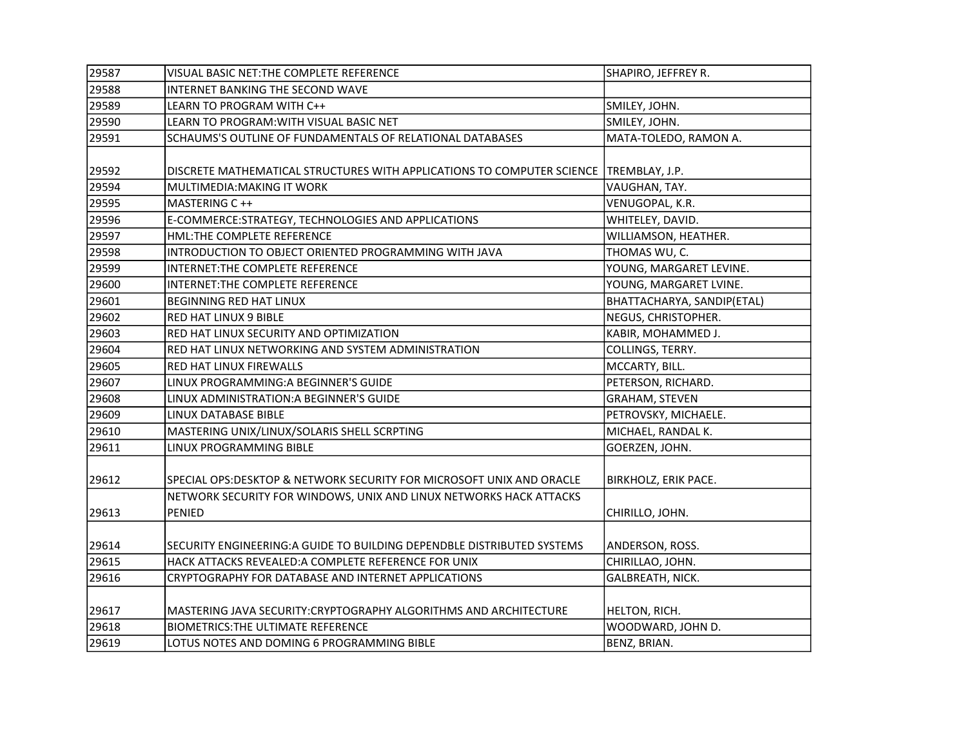| 29587 | VISUAL BASIC NET: THE COMPLETE REFERENCE                               | SHAPIRO, JEFFREY R.         |
|-------|------------------------------------------------------------------------|-----------------------------|
| 29588 | INTERNET BANKING THE SECOND WAVE                                       |                             |
| 29589 | LEARN TO PROGRAM WITH C++                                              | SMILEY, JOHN.               |
| 29590 | LEARN TO PROGRAM: WITH VISUAL BASIC NET                                | SMILEY, JOHN.               |
| 29591 | SCHAUMS'S OUTLINE OF FUNDAMENTALS OF RELATIONAL DATABASES              | MATA-TOLEDO, RAMON A.       |
|       |                                                                        |                             |
| 29592 | DISCRETE MATHEMATICAL STRUCTURES WITH APPLICATIONS TO COMPUTER SCIENCE | TREMBLAY, J.P.              |
| 29594 | MULTIMEDIA: MAKING IT WORK                                             | VAUGHAN, TAY.               |
| 29595 | MASTERING C ++                                                         | VENUGOPAL, K.R.             |
| 29596 | E-COMMERCE: STRATEGY, TECHNOLOGIES AND APPLICATIONS                    | WHITELEY, DAVID.            |
| 29597 | HML:THE COMPLETE REFERENCE                                             | WILLIAMSON, HEATHER.        |
| 29598 | INTRODUCTION TO OBJECT ORIENTED PROGRAMMING WITH JAVA                  | THOMAS WU, C.               |
| 29599 | INTERNET: THE COMPLETE REFERENCE                                       | YOUNG, MARGARET LEVINE.     |
| 29600 | INTERNET: THE COMPLETE REFERENCE                                       | YOUNG, MARGARET LVINE.      |
| 29601 | BEGINNING RED HAT LINUX                                                | BHATTACHARYA, SANDIP(ETAL)  |
| 29602 | <b>RED HAT LINUX 9 BIBLE</b>                                           | NEGUS, CHRISTOPHER.         |
| 29603 | RED HAT LINUX SECURITY AND OPTIMIZATION                                | KABIR, MOHAMMED J.          |
| 29604 | RED HAT LINUX NETWORKING AND SYSTEM ADMINISTRATION                     | COLLINGS, TERRY.            |
| 29605 | <b>RED HAT LINUX FIREWALLS</b>                                         | MCCARTY, BILL.              |
| 29607 | LINUX PROGRAMMING: A BEGINNER'S GUIDE                                  | PETERSON, RICHARD.          |
| 29608 | LINUX ADMINISTRATION: A BEGINNER'S GUIDE                               | <b>GRAHAM, STEVEN</b>       |
| 29609 | LINUX DATABASE BIBLE                                                   | PETROVSKY, MICHAELE.        |
| 29610 | MASTERING UNIX/LINUX/SOLARIS SHELL SCRPTING                            | MICHAEL, RANDAL K.          |
| 29611 | LINUX PROGRAMMING BIBLE                                                | GOERZEN, JOHN.              |
|       |                                                                        |                             |
| 29612 | SPECIAL OPS:DESKTOP & NETWORK SECURITY FOR MICROSOFT UNIX AND ORACLE   | <b>BIRKHOLZ, ERIK PACE.</b> |
|       | NETWORK SECURITY FOR WINDOWS, UNIX AND LINUX NETWORKS HACK ATTACKS     |                             |
| 29613 | PENIED                                                                 | CHIRILLO, JOHN.             |
|       |                                                                        |                             |
| 29614 | SECURITY ENGINEERING:A GUIDE TO BUILDING DEPENDBLE DISTRIBUTED SYSTEMS | ANDERSON, ROSS.             |
| 29615 | HACK ATTACKS REVEALED: A COMPLETE REFERENCE FOR UNIX                   | CHIRILLAO, JOHN.            |
| 29616 | CRYPTOGRAPHY FOR DATABASE AND INTERNET APPLICATIONS                    | GALBREATH, NICK.            |
|       |                                                                        |                             |
| 29617 | MASTERING JAVA SECURITY: CRYPTOGRAPHY ALGORITHMS AND ARCHITECTURE      | HELTON, RICH.               |
| 29618 | <b>BIOMETRICS: THE ULTIMATE REFERENCE</b>                              | WOODWARD, JOHN D.           |
| 29619 | LOTUS NOTES AND DOMING 6 PROGRAMMING BIBLE                             | BENZ, BRIAN.                |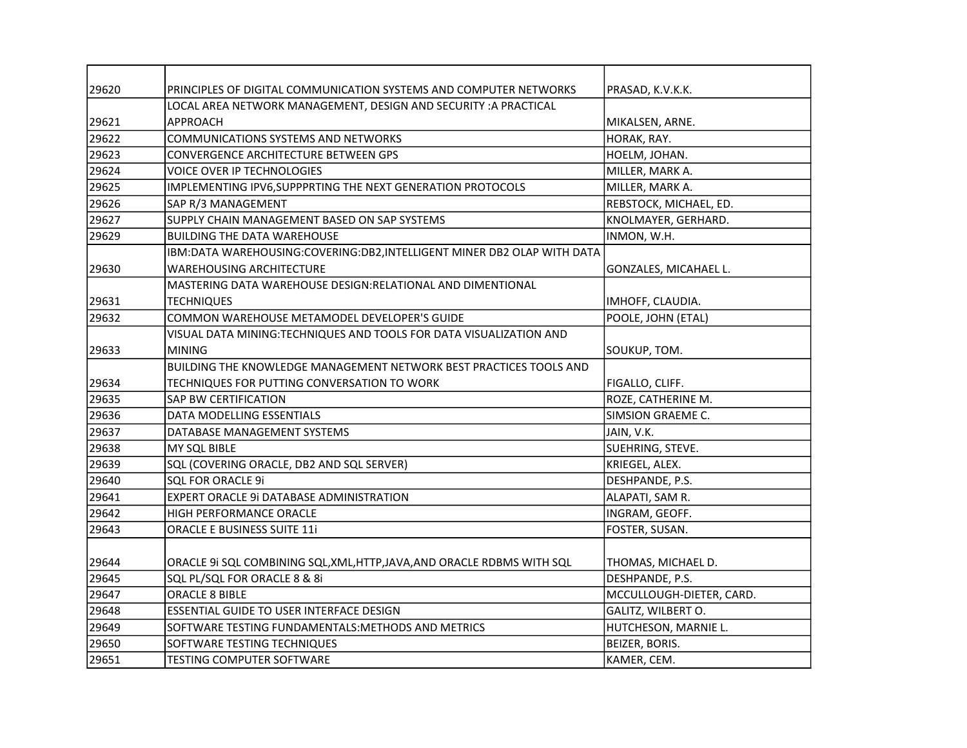| 29620 | PRINCIPLES OF DIGITAL COMMUNICATION SYSTEMS AND COMPUTER NETWORKS       | PRASAD, K.V.K.K.         |
|-------|-------------------------------------------------------------------------|--------------------------|
|       | LOCAL AREA NETWORK MANAGEMENT, DESIGN AND SECURITY : A PRACTICAL        |                          |
| 29621 | <b>APPROACH</b>                                                         | MIKALSEN, ARNE.          |
| 29622 | <b>COMMUNICATIONS SYSTEMS AND NETWORKS</b>                              | HORAK, RAY.              |
| 29623 | CONVERGENCE ARCHITECTURE BETWEEN GPS                                    | HOELM, JOHAN.            |
| 29624 | <b>VOICE OVER IP TECHNOLOGIES</b>                                       | MILLER, MARK A.          |
| 29625 | IMPLEMENTING IPV6, SUPPPRTING THE NEXT GENERATION PROTOCOLS             | MILLER, MARK A.          |
| 29626 | SAP R/3 MANAGEMENT                                                      | REBSTOCK, MICHAEL, ED.   |
| 29627 | SUPPLY CHAIN MANAGEMENT BASED ON SAP SYSTEMS                            | KNOLMAYER, GERHARD.      |
| 29629 | <b>BUILDING THE DATA WAREHOUSE</b>                                      | INMON, W.H.              |
|       | IBM:DATA WAREHOUSING:COVERING:DB2,INTELLIGENT MINER DB2 OLAP WITH DATA  |                          |
| 29630 | <b>WAREHOUSING ARCHITECTURE</b>                                         | GONZALES, MICAHAEL L.    |
|       | MASTERING DATA WAREHOUSE DESIGN:RELATIONAL AND DIMENTIONAL              |                          |
| 29631 | <b>TECHNIQUES</b>                                                       | IMHOFF, CLAUDIA.         |
| 29632 | COMMON WAREHOUSE METAMODEL DEVELOPER'S GUIDE                            | POOLE, JOHN (ETAL)       |
|       | VISUAL DATA MINING:TECHNIQUES AND TOOLS FOR DATA VISUALIZATION AND      |                          |
| 29633 | <b>MINING</b>                                                           | SOUKUP, TOM.             |
|       | BUILDING THE KNOWLEDGE MANAGEMENT NETWORK BEST PRACTICES TOOLS AND      |                          |
| 29634 | TECHNIQUES FOR PUTTING CONVERSATION TO WORK                             | FIGALLO, CLIFF.          |
| 29635 | <b>SAP BW CERTIFICATION</b>                                             | ROZE, CATHERINE M.       |
| 29636 | DATA MODELLING ESSENTIALS                                               | SIMSION GRAEME C.        |
| 29637 | DATABASE MANAGEMENT SYSTEMS                                             | JAIN, V.K.               |
| 29638 | MY SQL BIBLE                                                            | SUEHRING, STEVE.         |
| 29639 | SQL (COVERING ORACLE, DB2 AND SQL SERVER)                               | KRIEGEL, ALEX.           |
| 29640 | <b>SQL FOR ORACLE 9i</b>                                                | DESHPANDE, P.S.          |
| 29641 | EXPERT ORACLE 9i DATABASE ADMINISTRATION                                | ALAPATI, SAM R.          |
| 29642 | HIGH PERFORMANCE ORACLE                                                 | INGRAM, GEOFF.           |
| 29643 | ORACLE E BUSINESS SUITE 11i                                             | FOSTER, SUSAN.           |
| 29644 | ORACLE 9i SQL COMBINING SQL, XML, HTTP, JAVA, AND ORACLE RDBMS WITH SQL | THOMAS, MICHAEL D.       |
| 29645 | SQL PL/SQL FOR ORACLE 8 & 8i                                            | DESHPANDE, P.S.          |
| 29647 | ORACLE 8 BIBLE                                                          | MCCULLOUGH-DIETER, CARD. |
| 29648 | ESSENTIAL GUIDE TO USER INTERFACE DESIGN                                | GALITZ, WILBERT O.       |
| 29649 | SOFTWARE TESTING FUNDAMENTALS: METHODS AND METRICS                      | HUTCHESON, MARNIE L.     |
| 29650 | SOFTWARE TESTING TECHNIQUES                                             | BEIZER, BORIS.           |
| 29651 | <b>TESTING COMPUTER SOFTWARE</b>                                        | KAMER, CEM.              |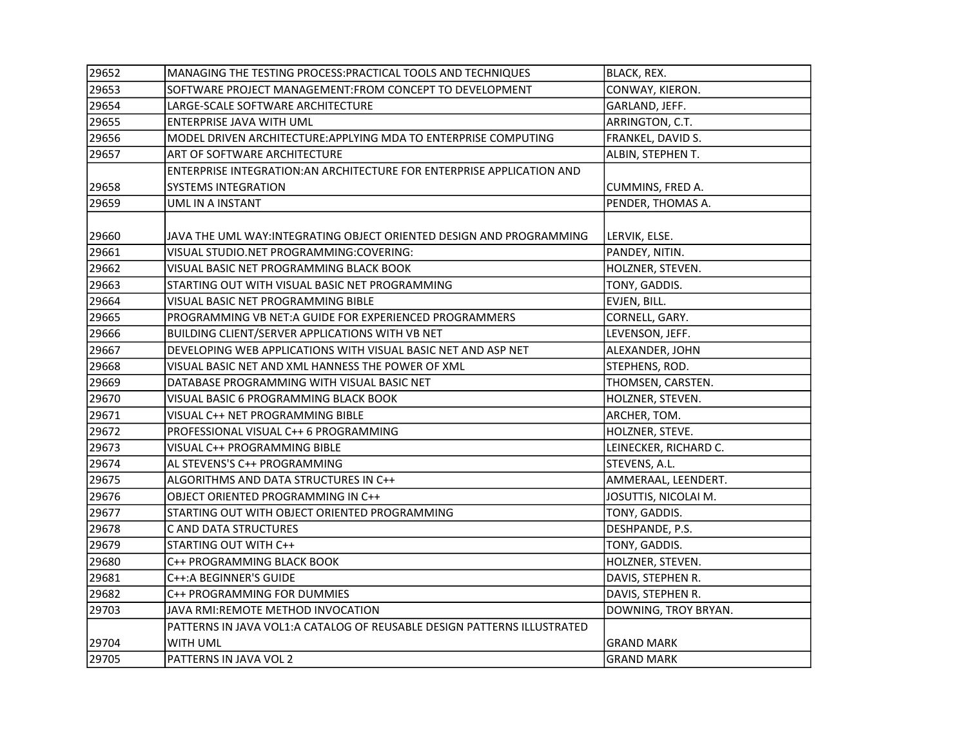| 29652 | MANAGING THE TESTING PROCESS: PRACTICAL TOOLS AND TECHNIQUES            | <b>BLACK, REX.</b>    |
|-------|-------------------------------------------------------------------------|-----------------------|
| 29653 | SOFTWARE PROJECT MANAGEMENT:FROM CONCEPT TO DEVELOPMENT                 | CONWAY, KIERON.       |
| 29654 | LARGE-SCALE SOFTWARE ARCHITECTURE                                       | GARLAND, JEFF.        |
| 29655 | <b>ENTERPRISE JAVA WITH UML</b>                                         | ARRINGTON, C.T.       |
| 29656 | MODEL DRIVEN ARCHITECTURE: APPLYING MDA TO ENTERPRISE COMPUTING         | FRANKEL, DAVID S.     |
| 29657 | ART OF SOFTWARE ARCHITECTURE                                            | ALBIN, STEPHEN T.     |
|       | ENTERPRISE INTEGRATION: AN ARCHITECTURE FOR ENTERPRISE APPLICATION AND  |                       |
| 29658 | SYSTEMS INTEGRATION                                                     | CUMMINS, FRED A.      |
| 29659 | UML IN A INSTANT                                                        | PENDER, THOMAS A.     |
|       |                                                                         |                       |
| 29660 | JAVA THE UML WAY:INTEGRATING OBJECT ORIENTED DESIGN AND PROGRAMMING     | LERVIK, ELSE.         |
| 29661 | VISUAL STUDIO.NET PROGRAMMING:COVERING:                                 | PANDEY, NITIN.        |
| 29662 | VISUAL BASIC NET PROGRAMMING BLACK BOOK                                 | HOLZNER, STEVEN.      |
| 29663 | STARTING OUT WITH VISUAL BASIC NET PROGRAMMING                          | TONY, GADDIS.         |
| 29664 | VISUAL BASIC NET PROGRAMMING BIBLE                                      | EVJEN, BILL.          |
| 29665 | PROGRAMMING VB NET:A GUIDE FOR EXPERIENCED PROGRAMMERS                  | CORNELL, GARY.        |
| 29666 | BUILDING CLIENT/SERVER APPLICATIONS WITH VB NET                         | LEVENSON, JEFF.       |
| 29667 | DEVELOPING WEB APPLICATIONS WITH VISUAL BASIC NET AND ASP NET           | ALEXANDER, JOHN       |
| 29668 | VISUAL BASIC NET AND XML HANNESS THE POWER OF XML                       | STEPHENS, ROD.        |
| 29669 | DATABASE PROGRAMMING WITH VISUAL BASIC NET                              | THOMSEN, CARSTEN.     |
| 29670 | VISUAL BASIC 6 PROGRAMMING BLACK BOOK                                   | HOLZNER, STEVEN.      |
| 29671 | VISUAL C++ NET PROGRAMMING BIBLE                                        | ARCHER, TOM.          |
| 29672 | PROFESSIONAL VISUAL C++ 6 PROGRAMMING                                   | HOLZNER, STEVE.       |
| 29673 | VISUAL C++ PROGRAMMING BIBLE                                            | LEINECKER, RICHARD C. |
| 29674 | AL STEVENS'S C++ PROGRAMMING                                            | STEVENS, A.L.         |
| 29675 | ALGORITHMS AND DATA STRUCTURES IN C++                                   | AMMERAAL, LEENDERT.   |
| 29676 | OBJECT ORIENTED PROGRAMMING IN C++                                      | JOSUTTIS, NICOLAI M.  |
| 29677 | STARTING OUT WITH OBJECT ORIENTED PROGRAMMING                           | TONY, GADDIS.         |
| 29678 | C AND DATA STRUCTURES                                                   | DESHPANDE, P.S.       |
| 29679 | STARTING OUT WITH C++                                                   | TONY, GADDIS.         |
| 29680 | C++ PROGRAMMING BLACK BOOK                                              | HOLZNER, STEVEN.      |
| 29681 | C++: A BEGINNER'S GUIDE                                                 | DAVIS, STEPHEN R.     |
| 29682 | C++ PROGRAMMING FOR DUMMIES                                             | DAVIS, STEPHEN R.     |
| 29703 | JAVA RMI: REMOTE METHOD INVOCATION                                      | DOWNING, TROY BRYAN.  |
|       | PATTERNS IN JAVA VOL1:A CATALOG OF REUSABLE DESIGN PATTERNS ILLUSTRATED |                       |
| 29704 | WITH UML                                                                | <b>GRAND MARK</b>     |
| 29705 | PATTERNS IN JAVA VOL 2                                                  | <b>GRAND MARK</b>     |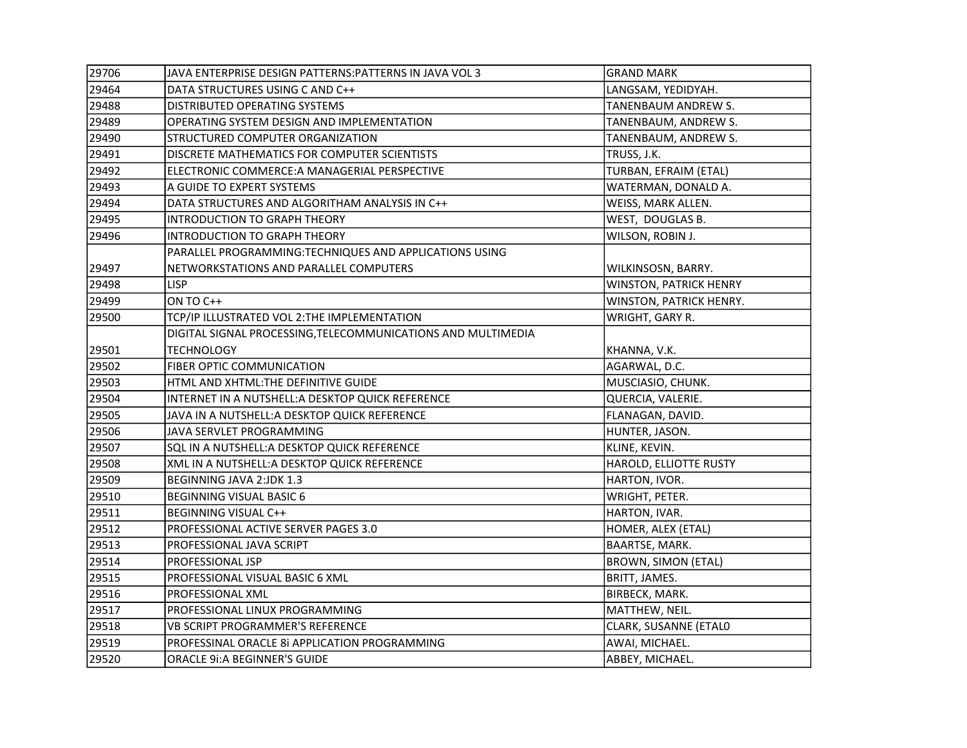| 29706 | JAVA ENTERPRISE DESIGN PATTERNS: PATTERNS IN JAVA VOL 3      | <b>GRAND MARK</b>          |
|-------|--------------------------------------------------------------|----------------------------|
| 29464 | DATA STRUCTURES USING C AND C++                              | LANGSAM, YEDIDYAH.         |
| 29488 | DISTRIBUTED OPERATING SYSTEMS                                | TANENBAUM ANDREW S.        |
| 29489 | OPERATING SYSTEM DESIGN AND IMPLEMENTATION                   | TANENBAUM, ANDREW S.       |
| 29490 | STRUCTURED COMPUTER ORGANIZATION                             | TANENBAUM, ANDREW S.       |
| 29491 | DISCRETE MATHEMATICS FOR COMPUTER SCIENTISTS                 | TRUSS, J.K.                |
| 29492 | ELECTRONIC COMMERCE: A MANAGERIAL PERSPECTIVE                | TURBAN, EFRAIM (ETAL)      |
| 29493 | A GUIDE TO EXPERT SYSTEMS                                    | WATERMAN, DONALD A.        |
| 29494 | DATA STRUCTURES AND ALGORITHAM ANALYSIS IN C++               | WEISS, MARK ALLEN.         |
| 29495 | INTRODUCTION TO GRAPH THEORY                                 | WEST, DOUGLAS B.           |
| 29496 | INTRODUCTION TO GRAPH THEORY                                 | WILSON, ROBIN J.           |
|       | PARALLEL PROGRAMMING:TECHNIQUES AND APPLICATIONS USING       |                            |
| 29497 | NETWORKSTATIONS AND PARALLEL COMPUTERS                       | WILKINSOSN, BARRY.         |
| 29498 | <b>LISP</b>                                                  | WINSTON, PATRICK HENRY     |
| 29499 | ON TO C++                                                    | WINSTON, PATRICK HENRY.    |
| 29500 | TCP/IP ILLUSTRATED VOL 2: THE IMPLEMENTATION                 | WRIGHT, GARY R.            |
|       | DIGITAL SIGNAL PROCESSING, TELECOMMUNICATIONS AND MULTIMEDIA |                            |
| 29501 | <b>TECHNOLOGY</b>                                            | KHANNA, V.K.               |
| 29502 | <b>FIBER OPTIC COMMUNICATION</b>                             | AGARWAL, D.C.              |
| 29503 | HTML AND XHTML:THE DEFINITIVE GUIDE                          | MUSCIASIO, CHUNK.          |
| 29504 | INTERNET IN A NUTSHELL: A DESKTOP QUICK REFERENCE            | QUERCIA, VALERIE.          |
| 29505 | JAVA IN A NUTSHELL: A DESKTOP QUICK REFERENCE                | FLANAGAN, DAVID.           |
| 29506 | JAVA SERVLET PROGRAMMING                                     | HUNTER, JASON.             |
| 29507 | SQL IN A NUTSHELL: A DESKTOP QUICK REFERENCE                 | KLINE, KEVIN.              |
| 29508 | XML IN A NUTSHELL: A DESKTOP QUICK REFERENCE                 | HAROLD, ELLIOTTE RUSTY     |
| 29509 | BEGINNING JAVA 2:JDK 1.3                                     | HARTON, IVOR.              |
| 29510 | <b>BEGINNING VISUAL BASIC 6</b>                              | WRIGHT, PETER.             |
| 29511 | BEGINNING VISUAL C++                                         | HARTON, IVAR.              |
| 29512 | PROFESSIONAL ACTIVE SERVER PAGES 3.0                         | HOMER, ALEX (ETAL)         |
| 29513 | PROFESSIONAL JAVA SCRIPT                                     | BAARTSE, MARK.             |
| 29514 | PROFESSIONAL JSP                                             | <b>BROWN, SIMON (ETAL)</b> |
| 29515 | PROFESSIONAL VISUAL BASIC 6 XML                              | BRITT, JAMES.              |
| 29516 | <b>PROFESSIONAL XML</b>                                      | BIRBECK, MARK.             |
| 29517 | PROFESSIONAL LINUX PROGRAMMING                               | MATTHEW, NEIL.             |
| 29518 | VB SCRIPT PROGRAMMER'S REFERENCE                             | CLARK, SUSANNE (ETALO      |
| 29519 | PROFESSINAL ORACLE 8i APPLICATION PROGRAMMING                | AWAI, MICHAEL.             |
| 29520 | <b>ORACLE 9i:A BEGINNER'S GUIDE</b>                          | ABBEY, MICHAEL.            |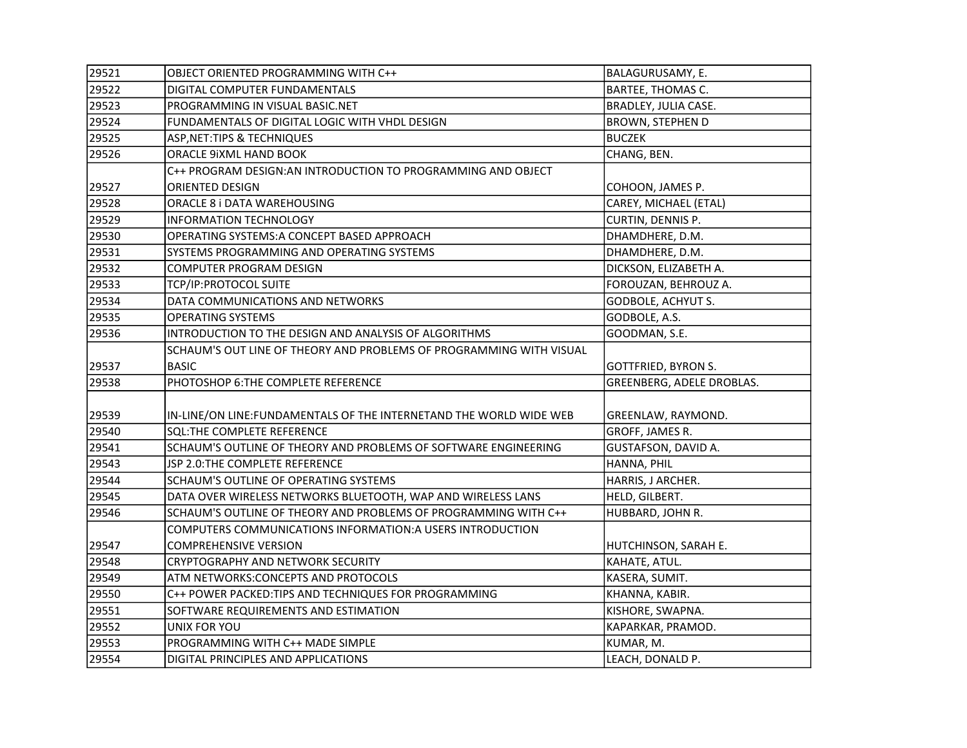| 29521 | OBJECT ORIENTED PROGRAMMING WITH C++                                | BALAGURUSAMY, E.           |
|-------|---------------------------------------------------------------------|----------------------------|
| 29522 | DIGITAL COMPUTER FUNDAMENTALS                                       | BARTEE, THOMAS C.          |
| 29523 | PROGRAMMING IN VISUAL BASIC.NET                                     | BRADLEY, JULIA CASE.       |
| 29524 | FUNDAMENTALS OF DIGITAL LOGIC WITH VHDL DESIGN                      | BROWN, STEPHEN D           |
| 29525 | ASP, NET: TIPS & TECHNIQUES                                         | <b>BUCZEK</b>              |
| 29526 | ORACLE 9iXML HAND BOOK                                              | CHANG, BEN.                |
|       | C++ PROGRAM DESIGN:AN INTRODUCTION TO PROGRAMMING AND OBJECT        |                            |
| 29527 | ORIENTED DESIGN                                                     | COHOON, JAMES P.           |
| 29528 | ORACLE 8 i DATA WAREHOUSING                                         | CAREY, MICHAEL (ETAL)      |
| 29529 | <b>INFORMATION TECHNOLOGY</b>                                       | CURTIN, DENNIS P.          |
| 29530 | OPERATING SYSTEMS: A CONCEPT BASED APPROACH                         | DHAMDHERE, D.M.            |
| 29531 | SYSTEMS PROGRAMMING AND OPERATING SYSTEMS                           | DHAMDHERE, D.M.            |
| 29532 | COMPUTER PROGRAM DESIGN                                             | DICKSON, ELIZABETH A.      |
| 29533 | TCP/IP:PROTOCOL SUITE                                               | FOROUZAN, BEHROUZ A.       |
| 29534 | DATA COMMUNICATIONS AND NETWORKS                                    | GODBOLE, ACHYUT S.         |
| 29535 | <b>OPERATING SYSTEMS</b>                                            | GODBOLE, A.S.              |
| 29536 | INTRODUCTION TO THE DESIGN AND ANALYSIS OF ALGORITHMS               | GOODMAN, S.E.              |
|       | SCHAUM'S OUT LINE OF THEORY AND PROBLEMS OF PROGRAMMING WITH VISUAL |                            |
| 29537 | <b>BASIC</b>                                                        | <b>GOTTFRIED, BYRON S.</b> |
| 29538 | PHOTOSHOP 6: THE COMPLETE REFERENCE                                 | GREENBERG, ADELE DROBLAS.  |
|       |                                                                     |                            |
| 29539 | IN-LINE/ON LINE: FUNDAMENTALS OF THE INTERNETAND THE WORLD WIDE WEB | GREENLAW, RAYMOND.         |
| 29540 | <b>SQL:THE COMPLETE REFERENCE</b>                                   | GROFF, JAMES R.            |
| 29541 | SCHAUM'S OUTLINE OF THEORY AND PROBLEMS OF SOFTWARE ENGINEERING     | GUSTAFSON, DAVID A.        |
| 29543 | JSP 2.0:THE COMPLETE REFERENCE                                      | HANNA, PHIL                |
| 29544 | SCHAUM'S OUTLINE OF OPERATING SYSTEMS                               | HARRIS, J ARCHER.          |
| 29545 | DATA OVER WIRELESS NETWORKS BLUETOOTH, WAP AND WIRELESS LANS        | HELD, GILBERT.             |
| 29546 | SCHAUM'S OUTLINE OF THEORY AND PROBLEMS OF PROGRAMMING WITH C++     | HUBBARD, JOHN R.           |
|       | COMPUTERS COMMUNICATIONS INFORMATION: A USERS INTRODUCTION          |                            |
| 29547 | <b>COMPREHENSIVE VERSION</b>                                        | HUTCHINSON, SARAH E.       |
| 29548 | CRYPTOGRAPHY AND NETWORK SECURITY                                   | KAHATE, ATUL.              |
| 29549 | ATM NETWORKS: CONCEPTS AND PROTOCOLS                                | KASERA, SUMIT.             |
| 29550 | C++ POWER PACKED: TIPS AND TECHNIQUES FOR PROGRAMMING               | KHANNA, KABIR.             |
| 29551 | SOFTWARE REQUIREMENTS AND ESTIMATION                                | KISHORE, SWAPNA.           |
| 29552 | UNIX FOR YOU                                                        | KAPARKAR, PRAMOD.          |
| 29553 | PROGRAMMING WITH C++ MADE SIMPLE                                    | KUMAR, M.                  |
| 29554 | DIGITAL PRINCIPLES AND APPLICATIONS                                 | LEACH, DONALD P.           |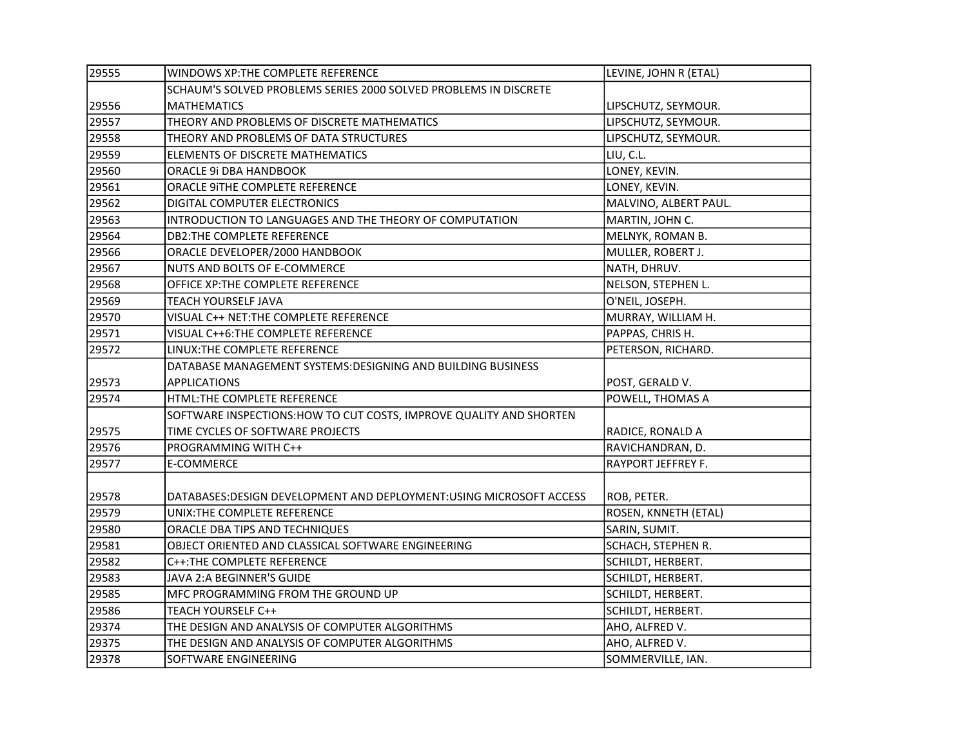| 29555 | WINDOWS XP:THE COMPLETE REFERENCE                                    | LEVINE, JOHN R (ETAL) |
|-------|----------------------------------------------------------------------|-----------------------|
|       | SCHAUM'S SOLVED PROBLEMS SERIES 2000 SOLVED PROBLEMS IN DISCRETE     |                       |
| 29556 | <b>MATHEMATICS</b>                                                   | LIPSCHUTZ, SEYMOUR.   |
| 29557 | THEORY AND PROBLEMS OF DISCRETE MATHEMATICS                          | LIPSCHUTZ, SEYMOUR.   |
| 29558 | THEORY AND PROBLEMS OF DATA STRUCTURES                               | LIPSCHUTZ, SEYMOUR.   |
| 29559 | ELEMENTS OF DISCRETE MATHEMATICS                                     | LIU, C.L.             |
| 29560 | ORACLE 9i DBA HANDBOOK                                               | LONEY, KEVIN.         |
| 29561 | ORACLE 9ITHE COMPLETE REFERENCE                                      | LONEY, KEVIN.         |
| 29562 | DIGITAL COMPUTER ELECTRONICS                                         | MALVINO, ALBERT PAUL. |
| 29563 | INTRODUCTION TO LANGUAGES AND THE THEORY OF COMPUTATION              | MARTIN, JOHN C.       |
| 29564 | DB2:THE COMPLETE REFERENCE                                           | MELNYK, ROMAN B.      |
| 29566 | ORACLE DEVELOPER/2000 HANDBOOK                                       | MULLER, ROBERT J.     |
| 29567 | NUTS AND BOLTS OF E-COMMERCE                                         | NATH, DHRUV.          |
| 29568 | OFFICE XP:THE COMPLETE REFERENCE                                     | NELSON, STEPHEN L.    |
| 29569 | <b>TEACH YOURSELF JAVA</b>                                           | O'NEIL, JOSEPH.       |
| 29570 | VISUAL C++ NET: THE COMPLETE REFERENCE                               | MURRAY, WILLIAM H.    |
| 29571 | VISUAL C++6: THE COMPLETE REFERENCE                                  | PAPPAS, CHRIS H.      |
| 29572 | LINUX:THE COMPLETE REFERENCE                                         | PETERSON, RICHARD.    |
|       | DATABASE MANAGEMENT SYSTEMS:DESIGNING AND BUILDING BUSINESS          |                       |
| 29573 | <b>APPLICATIONS</b>                                                  | POST, GERALD V.       |
| 29574 | HTML:THE COMPLETE REFERENCE                                          | POWELL, THOMAS A      |
|       | SOFTWARE INSPECTIONS: HOW TO CUT COSTS, IMPROVE QUALITY AND SHORTEN  |                       |
| 29575 | TIME CYCLES OF SOFTWARE PROJECTS                                     | RADICE, RONALD A      |
| 29576 | PROGRAMMING WITH C++                                                 | RAVICHANDRAN, D.      |
| 29577 | E-COMMERCE                                                           | RAYPORT JEFFREY F.    |
|       |                                                                      |                       |
| 29578 | DATABASES: DESIGN DEVELOPMENT AND DEPLOYMENT: USING MICROSOFT ACCESS | ROB, PETER.           |
| 29579 | UNIX:THE COMPLETE REFERENCE                                          | ROSEN, KNNETH (ETAL)  |
| 29580 | ORACLE DBA TIPS AND TECHNIQUES                                       | SARIN, SUMIT.         |
| 29581 | OBJECT ORIENTED AND CLASSICAL SOFTWARE ENGINEERING                   | SCHACH, STEPHEN R.    |
| 29582 | C++: THE COMPLETE REFERENCE                                          | SCHILDT, HERBERT.     |
| 29583 | JAVA 2:A BEGINNER'S GUIDE                                            | SCHILDT, HERBERT.     |
| 29585 | MFC PROGRAMMING FROM THE GROUND UP                                   | SCHILDT, HERBERT.     |
| 29586 | TEACH YOURSELF C++                                                   | SCHILDT, HERBERT.     |
| 29374 | THE DESIGN AND ANALYSIS OF COMPUTER ALGORITHMS                       | AHO, ALFRED V.        |
| 29375 | THE DESIGN AND ANALYSIS OF COMPUTER ALGORITHMS                       | AHO, ALFRED V.        |
| 29378 | SOFTWARE ENGINEERING                                                 | SOMMERVILLE, IAN.     |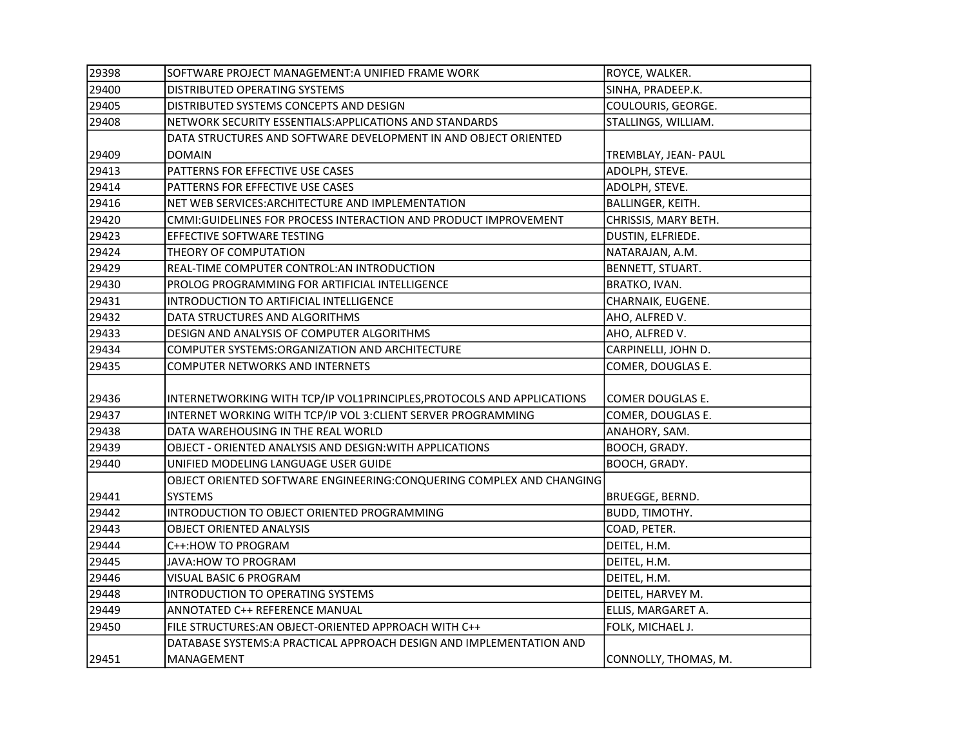| 29398 | SOFTWARE PROJECT MANAGEMENT:A UNIFIED FRAME WORK                       | ROYCE, WALKER.        |
|-------|------------------------------------------------------------------------|-----------------------|
| 29400 | DISTRIBUTED OPERATING SYSTEMS                                          | SINHA, PRADEEP.K.     |
| 29405 | DISTRIBUTED SYSTEMS CONCEPTS AND DESIGN                                | COULOURIS, GEORGE.    |
| 29408 | NETWORK SECURITY ESSENTIALS: APPLICATIONS AND STANDARDS                | STALLINGS, WILLIAM.   |
|       | DATA STRUCTURES AND SOFTWARE DEVELOPMENT IN AND OBJECT ORIENTED        |                       |
| 29409 | <b>DOMAIN</b>                                                          | TREMBLAY, JEAN- PAUL  |
| 29413 | PATTERNS FOR EFFECTIVE USE CASES                                       | ADOLPH, STEVE.        |
| 29414 | PATTERNS FOR EFFECTIVE USE CASES                                       | ADOLPH, STEVE.        |
| 29416 | NET WEB SERVICES: ARCHITECTURE AND IMPLEMENTATION                      | BALLINGER, KEITH.     |
| 29420 | CMMI:GUIDELINES FOR PROCESS INTERACTION AND PRODUCT IMPROVEMENT        | CHRISSIS, MARY BETH.  |
| 29423 | EFFECTIVE SOFTWARE TESTING                                             | DUSTIN, ELFRIEDE.     |
| 29424 | THEORY OF COMPUTATION                                                  | NATARAJAN, A.M.       |
| 29429 | REAL-TIME COMPUTER CONTROL:AN INTRODUCTION                             | BENNETT, STUART.      |
| 29430 | PROLOG PROGRAMMING FOR ARTIFICIAL INTELLIGENCE                         | BRATKO, IVAN.         |
| 29431 | INTRODUCTION TO ARTIFICIAL INTELLIGENCE                                | CHARNAIK, EUGENE.     |
| 29432 | DATA STRUCTURES AND ALGORITHMS                                         | AHO, ALFRED V.        |
| 29433 | DESIGN AND ANALYSIS OF COMPUTER ALGORITHMS                             | AHO, ALFRED V.        |
| 29434 | COMPUTER SYSTEMS:ORGANIZATION AND ARCHITECTURE                         | CARPINELLI, JOHN D.   |
| 29435 | COMPUTER NETWORKS AND INTERNETS                                        | COMER, DOUGLAS E.     |
|       |                                                                        |                       |
| 29436 | INTERNETWORKING WITH TCP/IP VOL1PRINCIPLES, PROTOCOLS AND APPLICATIONS | COMER DOUGLAS E.      |
| 29437 | INTERNET WORKING WITH TCP/IP VOL 3: CLIENT SERVER PROGRAMMING          | COMER, DOUGLAS E.     |
| 29438 | DATA WAREHOUSING IN THE REAL WORLD                                     | ANAHORY, SAM.         |
| 29439 | OBJECT - ORIENTED ANALYSIS AND DESIGN: WITH APPLICATIONS               | BOOCH, GRADY.         |
| 29440 | UNIFIED MODELING LANGUAGE USER GUIDE                                   | BOOCH, GRADY.         |
|       | OBJECT ORIENTED SOFTWARE ENGINEERING: CONQUERING COMPLEX AND CHANGING  |                       |
| 29441 | SYSTEMS                                                                | BRUEGGE, BERND.       |
| 29442 | INTRODUCTION TO OBJECT ORIENTED PROGRAMMING                            | <b>BUDD, TIMOTHY.</b> |
| 29443 | OBJECT ORIENTED ANALYSIS                                               | COAD, PETER.          |
| 29444 | C++: HOW TO PROGRAM                                                    | DEITEL, H.M.          |
| 29445 | JAVA: HOW TO PROGRAM                                                   | DEITEL, H.M.          |
| 29446 | VISUAL BASIC 6 PROGRAM                                                 | DEITEL, H.M.          |
| 29448 | INTRODUCTION TO OPERATING SYSTEMS                                      | DEITEL, HARVEY M.     |
| 29449 | ANNOTATED C++ REFERENCE MANUAL                                         | ELLIS, MARGARET A.    |
| 29450 | FILE STRUCTURES: AN OBJECT-ORIENTED APPROACH WITH C++                  | FOLK, MICHAEL J.      |
|       | DATABASE SYSTEMS: A PRACTICAL APPROACH DESIGN AND IMPLEMENTATION AND   |                       |
| 29451 | MANAGEMENT                                                             | CONNOLLY, THOMAS, M.  |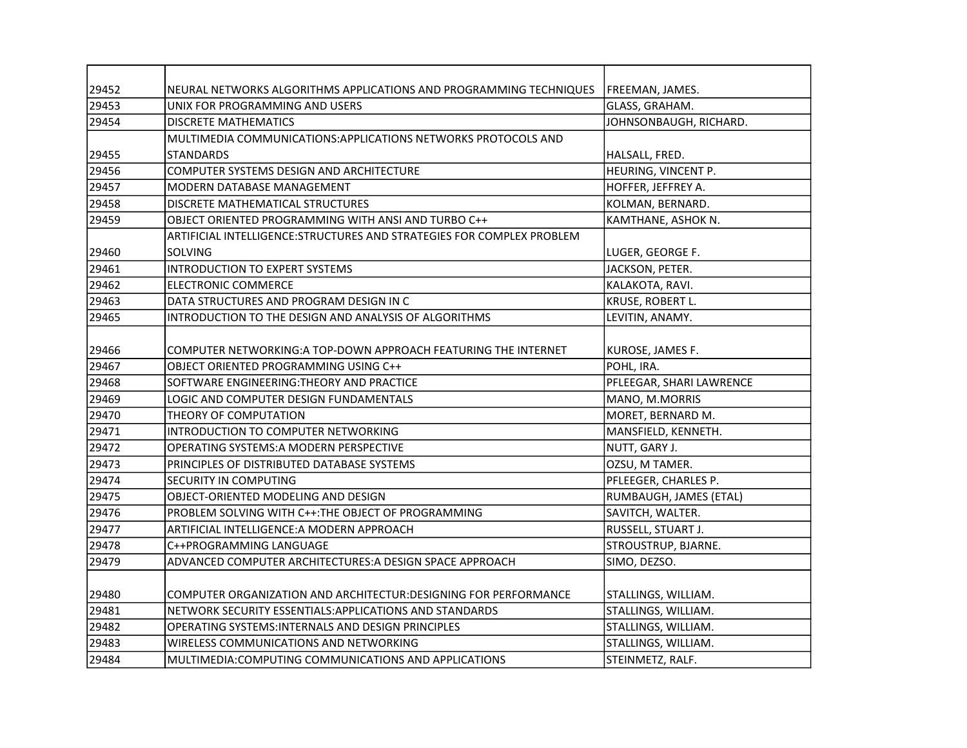| 29452 | NEURAL NETWORKS ALGORITHMS APPLICATIONS AND PROGRAMMING TECHNIQUES    | FREEMAN, JAMES.          |
|-------|-----------------------------------------------------------------------|--------------------------|
| 29453 | UNIX FOR PROGRAMMING AND USERS                                        | GLASS, GRAHAM.           |
| 29454 | <b>DISCRETE MATHEMATICS</b>                                           | JOHNSONBAUGH, RICHARD.   |
|       | MULTIMEDIA COMMUNICATIONS: APPLICATIONS NETWORKS PROTOCOLS AND        |                          |
| 29455 | <b>STANDARDS</b>                                                      | HALSALL, FRED.           |
| 29456 | COMPUTER SYSTEMS DESIGN AND ARCHITECTURE                              | HEURING, VINCENT P.      |
| 29457 | <b>MODERN DATABASE MANAGEMENT</b>                                     | HOFFER, JEFFREY A.       |
| 29458 | DISCRETE MATHEMATICAL STRUCTURES                                      | KOLMAN, BERNARD.         |
| 29459 | OBJECT ORIENTED PROGRAMMING WITH ANSI AND TURBO C++                   | KAMTHANE, ASHOK N.       |
|       | ARTIFICIAL INTELLIGENCE:STRUCTURES AND STRATEGIES FOR COMPLEX PROBLEM |                          |
| 29460 | <b>SOLVING</b>                                                        | LUGER, GEORGE F.         |
| 29461 | <b>INTRODUCTION TO EXPERT SYSTEMS</b>                                 | JACKSON, PETER.          |
| 29462 | ELECTRONIC COMMERCE                                                   | KALAKOTA, RAVI.          |
| 29463 | DATA STRUCTURES AND PROGRAM DESIGN IN C                               | KRUSE, ROBERT L.         |
| 29465 | INTRODUCTION TO THE DESIGN AND ANALYSIS OF ALGORITHMS                 | LEVITIN, ANAMY.          |
|       |                                                                       |                          |
| 29466 | COMPUTER NETWORKING:A TOP-DOWN APPROACH FEATURING THE INTERNET        | KUROSE, JAMES F.         |
| 29467 | OBJECT ORIENTED PROGRAMMING USING C++                                 | POHL, IRA.               |
| 29468 | SOFTWARE ENGINEERING: THEORY AND PRACTICE                             | PFLEEGAR, SHARI LAWRENCE |
| 29469 | LOGIC AND COMPUTER DESIGN FUNDAMENTALS                                | MANO, M.MORRIS           |
| 29470 | THEORY OF COMPUTATION                                                 | MORET, BERNARD M.        |
| 29471 | INTRODUCTION TO COMPUTER NETWORKING                                   | MANSFIELD, KENNETH.      |
| 29472 | OPERATING SYSTEMS: A MODERN PERSPECTIVE                               | NUTT, GARY J.            |
| 29473 | PRINCIPLES OF DISTRIBUTED DATABASE SYSTEMS                            | OZSU, M TAMER.           |
| 29474 | SECURITY IN COMPUTING                                                 | PFLEEGER, CHARLES P.     |
| 29475 | OBJECT-ORIENTED MODELING AND DESIGN                                   | RUMBAUGH, JAMES (ETAL)   |
| 29476 | PROBLEM SOLVING WITH C++:THE OBJECT OF PROGRAMMING                    | SAVITCH, WALTER.         |
| 29477 | ARTIFICIAL INTELLIGENCE: A MODERN APPROACH                            | RUSSELL, STUART J.       |
| 29478 | C++PROGRAMMING LANGUAGE                                               | STROUSTRUP, BJARNE.      |
| 29479 | ADVANCED COMPUTER ARCHITECTURES: A DESIGN SPACE APPROACH              | SIMO, DEZSO.             |
|       |                                                                       |                          |
| 29480 | COMPUTER ORGANIZATION AND ARCHITECTUR:DESIGNING FOR PERFORMANCE       | STALLINGS, WILLIAM.      |
| 29481 | NETWORK SECURITY ESSENTIALS: APPLICATIONS AND STANDARDS               | STALLINGS, WILLIAM.      |
| 29482 | <b>OPERATING SYSTEMS:INTERNALS AND DESIGN PRINCIPLES</b>              | STALLINGS, WILLIAM.      |
| 29483 | WIRELESS COMMUNICATIONS AND NETWORKING                                | STALLINGS, WILLIAM.      |
| 29484 | MULTIMEDIA: COMPUTING COMMUNICATIONS AND APPLICATIONS                 | STEINMETZ, RALF.         |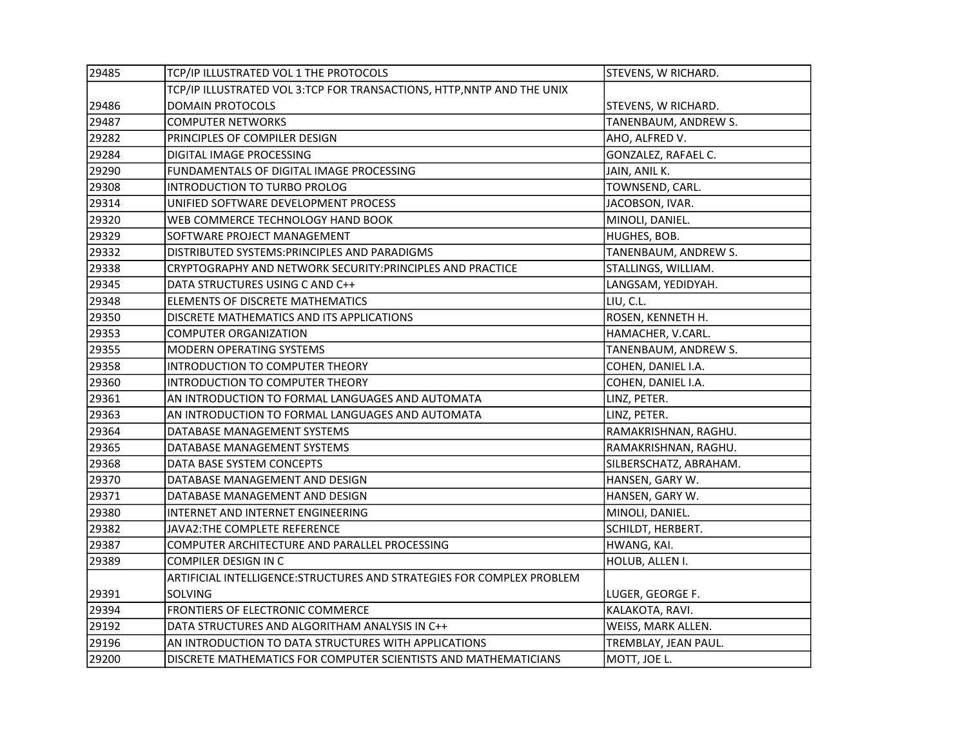| 29485 | TCP/IP ILLUSTRATED VOL 1 THE PROTOCOLS                                 | STEVENS, W RICHARD.    |
|-------|------------------------------------------------------------------------|------------------------|
|       | TCP/IP ILLUSTRATED VOL 3:TCP FOR TRANSACTIONS, HTTP, NNTP AND THE UNIX |                        |
| 29486 | DOMAIN PROTOCOLS                                                       | STEVENS, W RICHARD.    |
| 29487 | <b>COMPUTER NETWORKS</b>                                               | TANENBAUM, ANDREW S.   |
| 29282 | PRINCIPLES OF COMPILER DESIGN                                          | AHO, ALFRED V.         |
| 29284 | DIGITAL IMAGE PROCESSING                                               | GONZALEZ, RAFAEL C.    |
| 29290 | FUNDAMENTALS OF DIGITAL IMAGE PROCESSING                               | JAIN, ANIL K.          |
| 29308 | INTRODUCTION TO TURBO PROLOG                                           | TOWNSEND, CARL.        |
| 29314 | UNIFIED SOFTWARE DEVELOPMENT PROCESS                                   | JACOBSON, IVAR.        |
| 29320 | WEB COMMERCE TECHNOLOGY HAND BOOK                                      | MINOLI, DANIEL.        |
| 29329 | SOFTWARE PROJECT MANAGEMENT                                            | HUGHES, BOB.           |
| 29332 | DISTRIBUTED SYSTEMS: PRINCIPLES AND PARADIGMS                          | TANENBAUM, ANDREW S.   |
| 29338 | CRYPTOGRAPHY AND NETWORK SECURITY: PRINCIPLES AND PRACTICE             | STALLINGS, WILLIAM.    |
| 29345 | DATA STRUCTURES USING C AND C++                                        | LANGSAM, YEDIDYAH.     |
| 29348 | ELEMENTS OF DISCRETE MATHEMATICS                                       | LIU, C.L.              |
| 29350 | DISCRETE MATHEMATICS AND ITS APPLICATIONS                              | ROSEN, KENNETH H.      |
| 29353 | <b>COMPUTER ORGANIZATION</b>                                           | HAMACHER, V.CARL.      |
| 29355 | MODERN OPERATING SYSTEMS                                               | TANENBAUM, ANDREW S.   |
| 29358 | INTRODUCTION TO COMPUTER THEORY                                        | COHEN, DANIEL I.A.     |
| 29360 | INTRODUCTION TO COMPUTER THEORY                                        | COHEN, DANIEL I.A.     |
| 29361 | AN INTRODUCTION TO FORMAL LANGUAGES AND AUTOMATA                       | LINZ, PETER.           |
| 29363 | AN INTRODUCTION TO FORMAL LANGUAGES AND AUTOMATA                       | LINZ, PETER.           |
| 29364 | DATABASE MANAGEMENT SYSTEMS                                            | RAMAKRISHNAN, RAGHU.   |
| 29365 | DATABASE MANAGEMENT SYSTEMS                                            | RAMAKRISHNAN, RAGHU.   |
| 29368 | DATA BASE SYSTEM CONCEPTS                                              | SILBERSCHATZ, ABRAHAM. |
| 29370 | DATABASE MANAGEMENT AND DESIGN                                         | HANSEN, GARY W.        |
| 29371 | DATABASE MANAGEMENT AND DESIGN                                         | HANSEN, GARY W.        |
| 29380 | INTERNET AND INTERNET ENGINEERING                                      | MINOLI, DANIEL.        |
| 29382 | JAVA2:THE COMPLETE REFERENCE                                           | SCHILDT, HERBERT.      |
| 29387 | COMPUTER ARCHITECTURE AND PARALLEL PROCESSING                          | HWANG, KAI.            |
| 29389 | COMPILER DESIGN IN C                                                   | HOLUB, ALLEN I.        |
|       | ARTIFICIAL INTELLIGENCE: STRUCTURES AND STRATEGIES FOR COMPLEX PROBLEM |                        |
| 29391 | SOLVING                                                                | LUGER, GEORGE F.       |
| 29394 | FRONTIERS OF ELECTRONIC COMMERCE                                       | KALAKOTA, RAVI.        |
| 29192 | DATA STRUCTURES AND ALGORITHAM ANALYSIS IN C++                         | WEISS, MARK ALLEN.     |
| 29196 | AN INTRODUCTION TO DATA STRUCTURES WITH APPLICATIONS                   | TREMBLAY, JEAN PAUL.   |
| 29200 | DISCRETE MATHEMATICS FOR COMPUTER SCIENTISTS AND MATHEMATICIANS        | MOTT, JOE L.           |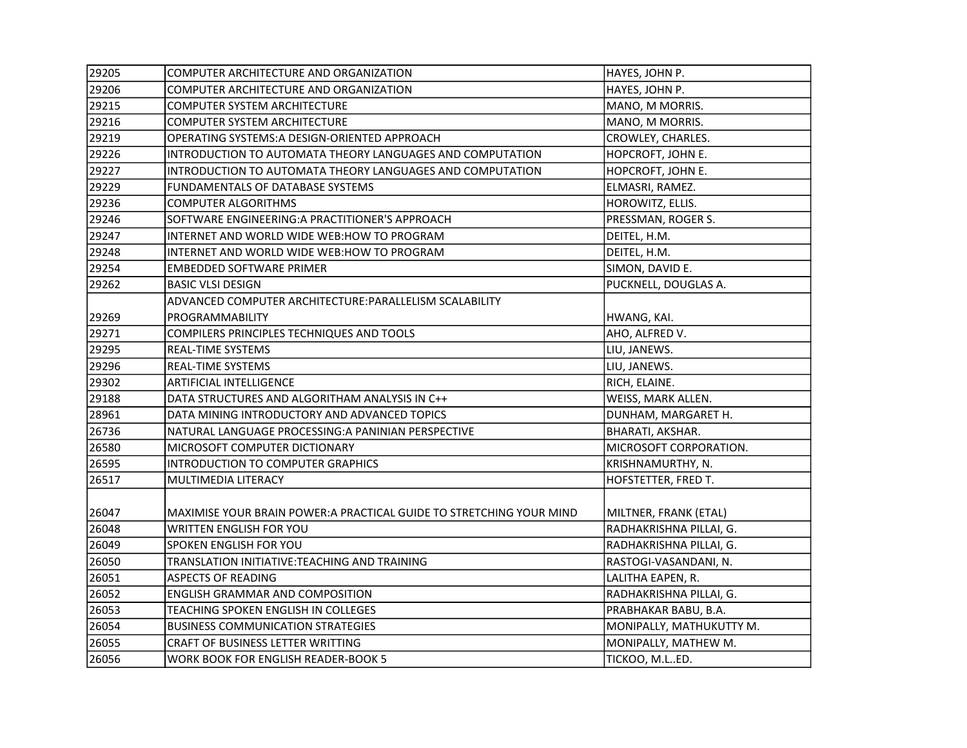| 29205 | COMPUTER ARCHITECTURE AND ORGANIZATION                               | HAYES, JOHN P.           |
|-------|----------------------------------------------------------------------|--------------------------|
| 29206 | COMPUTER ARCHITECTURE AND ORGANIZATION                               | HAYES, JOHN P.           |
| 29215 | COMPUTER SYSTEM ARCHITECTURE                                         | MANO, M MORRIS.          |
| 29216 | <b>COMPUTER SYSTEM ARCHITECTURE</b>                                  | MANO, M MORRIS.          |
| 29219 | OPERATING SYSTEMS: A DESIGN-ORIENTED APPROACH                        | CROWLEY, CHARLES.        |
| 29226 | INTRODUCTION TO AUTOMATA THEORY LANGUAGES AND COMPUTATION            | HOPCROFT, JOHN E.        |
| 29227 | INTRODUCTION TO AUTOMATA THEORY LANGUAGES AND COMPUTATION            | HOPCROFT, JOHN E.        |
| 29229 | FUNDAMENTALS OF DATABASE SYSTEMS                                     | ELMASRI, RAMEZ.          |
| 29236 | <b>COMPUTER ALGORITHMS</b>                                           | HOROWITZ, ELLIS.         |
| 29246 | SOFTWARE ENGINEERING: A PRACTITIONER'S APPROACH                      | PRESSMAN, ROGER S.       |
| 29247 | INTERNET AND WORLD WIDE WEB:HOW TO PROGRAM                           | DEITEL, H.M.             |
| 29248 | INTERNET AND WORLD WIDE WEB:HOW TO PROGRAM                           | DEITEL, H.M.             |
| 29254 | <b>EMBEDDED SOFTWARE PRIMER</b>                                      | SIMON, DAVID E.          |
| 29262 | <b>BASIC VLSI DESIGN</b>                                             | PUCKNELL, DOUGLAS A.     |
|       | ADVANCED COMPUTER ARCHITECTURE: PARALLELISM SCALABILITY              |                          |
| 29269 | PROGRAMMABILITY                                                      | HWANG, KAI.              |
| 29271 | COMPILERS PRINCIPLES TECHNIQUES AND TOOLS                            | AHO, ALFRED V.           |
| 29295 | REAL-TIME SYSTEMS                                                    | LIU, JANEWS.             |
| 29296 | REAL-TIME SYSTEMS                                                    | LIU, JANEWS.             |
| 29302 | <b>ARTIFICIAL INTELLIGENCE</b>                                       | RICH, ELAINE.            |
| 29188 | DATA STRUCTURES AND ALGORITHAM ANALYSIS IN C++                       | WEISS, MARK ALLEN.       |
| 28961 | DATA MINING INTRODUCTORY AND ADVANCED TOPICS                         | DUNHAM, MARGARET H.      |
| 26736 | NATURAL LANGUAGE PROCESSING: A PANINIAN PERSPECTIVE                  | BHARATI, AKSHAR.         |
| 26580 | MICROSOFT COMPUTER DICTIONARY                                        | MICROSOFT CORPORATION.   |
| 26595 | INTRODUCTION TO COMPUTER GRAPHICS                                    | KRISHNAMURTHY, N.        |
| 26517 | MULTIMEDIA LITERACY                                                  | HOFSTETTER, FRED T.      |
|       |                                                                      |                          |
| 26047 | MAXIMISE YOUR BRAIN POWER: A PRACTICAL GUIDE TO STRETCHING YOUR MIND | MILTNER, FRANK (ETAL)    |
| 26048 | WRITTEN ENGLISH FOR YOU                                              | RADHAKRISHNA PILLAI, G.  |
| 26049 | <b>SPOKEN ENGLISH FOR YOU</b>                                        | RADHAKRISHNA PILLAI, G.  |
| 26050 | TRANSLATION INITIATIVE:TEACHING AND TRAINING                         | RASTOGI-VASANDANI, N.    |
| 26051 | <b>ASPECTS OF READING</b>                                            | LALITHA EAPEN, R.        |
| 26052 | <b>ENGLISH GRAMMAR AND COMPOSITION</b>                               | RADHAKRISHNA PILLAI, G.  |
| 26053 | TEACHING SPOKEN ENGLISH IN COLLEGES                                  | PRABHAKAR BABU, B.A.     |
| 26054 | <b>BUSINESS COMMUNICATION STRATEGIES</b>                             | MONIPALLY, MATHUKUTTY M. |
| 26055 | CRAFT OF BUSINESS LETTER WRITTING                                    | MONIPALLY, MATHEW M.     |
| 26056 | WORK BOOK FOR ENGLISH READER-BOOK 5                                  | TICKOO, M.LED.           |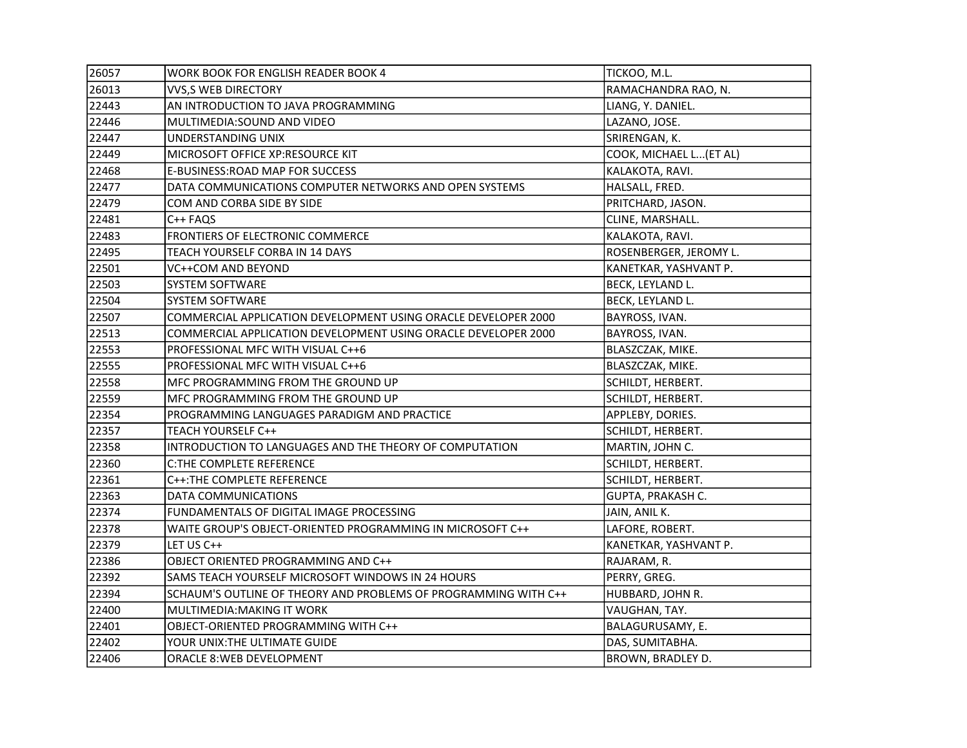| 26057 | <b>WORK BOOK FOR ENGLISH READER BOOK 4</b>                      | TICKOO, M.L.            |
|-------|-----------------------------------------------------------------|-------------------------|
| 26013 | <b>VVS,S WEB DIRECTORY</b>                                      | RAMACHANDRA RAO, N.     |
| 22443 | AN INTRODUCTION TO JAVA PROGRAMMING                             | LIANG, Y. DANIEL.       |
| 22446 | MULTIMEDIA: SOUND AND VIDEO                                     | LAZANO, JOSE.           |
| 22447 | UNDERSTANDING UNIX                                              | SRIRENGAN, K.           |
| 22449 | MICROSOFT OFFICE XP:RESOURCE KIT                                | COOK, MICHAEL L (ET AL) |
| 22468 | E-BUSINESS: ROAD MAP FOR SUCCESS                                | KALAKOTA, RAVI.         |
| 22477 | DATA COMMUNICATIONS COMPUTER NETWORKS AND OPEN SYSTEMS          | HALSALL, FRED.          |
| 22479 | COM AND CORBA SIDE BY SIDE                                      | PRITCHARD, JASON.       |
| 22481 | C++ FAQS                                                        | CLINE, MARSHALL.        |
| 22483 | FRONTIERS OF ELECTRONIC COMMERCE                                | KALAKOTA, RAVI.         |
| 22495 | TEACH YOURSELF CORBA IN 14 DAYS                                 | ROSENBERGER, JEROMY L.  |
| 22501 | VC++COM AND BEYOND                                              | KANETKAR, YASHVANT P.   |
| 22503 | SYSTEM SOFTWARE                                                 | BECK, LEYLAND L.        |
| 22504 | <b>SYSTEM SOFTWARE</b>                                          | BECK, LEYLAND L.        |
| 22507 | COMMERCIAL APPLICATION DEVELOPMENT USING ORACLE DEVELOPER 2000  | BAYROSS, IVAN.          |
| 22513 | COMMERCIAL APPLICATION DEVELOPMENT USING ORACLE DEVELOPER 2000  | BAYROSS, IVAN.          |
| 22553 | PROFESSIONAL MFC WITH VISUAL C++6                               | BLASZCZAK, MIKE.        |
| 22555 | PROFESSIONAL MFC WITH VISUAL C++6                               | BLASZCZAK, MIKE.        |
| 22558 | MFC PROGRAMMING FROM THE GROUND UP                              | SCHILDT, HERBERT.       |
| 22559 | MFC PROGRAMMING FROM THE GROUND UP                              | SCHILDT, HERBERT.       |
| 22354 | PROGRAMMING LANGUAGES PARADIGM AND PRACTICE                     | APPLEBY, DORIES.        |
| 22357 | TEACH YOURSELF C++                                              | SCHILDT, HERBERT.       |
| 22358 | INTRODUCTION TO LANGUAGES AND THE THEORY OF COMPUTATION         | MARTIN, JOHN C.         |
| 22360 | <b>C:THE COMPLETE REFERENCE</b>                                 | SCHILDT, HERBERT.       |
| 22361 | C++: THE COMPLETE REFERENCE                                     | SCHILDT, HERBERT.       |
| 22363 | DATA COMMUNICATIONS                                             | GUPTA, PRAKASH C.       |
| 22374 | FUNDAMENTALS OF DIGITAL IMAGE PROCESSING                        | JAIN, ANIL K.           |
| 22378 | WAITE GROUP'S OBJECT-ORIENTED PROGRAMMING IN MICROSOFT C++      | LAFORE, ROBERT.         |
| 22379 | LET US C++                                                      | KANETKAR, YASHVANT P.   |
| 22386 | OBJECT ORIENTED PROGRAMMING AND C++                             | RAJARAM, R.             |
| 22392 | SAMS TEACH YOURSELF MICROSOFT WINDOWS IN 24 HOURS               | PERRY, GREG.            |
| 22394 | SCHAUM'S OUTLINE OF THEORY AND PROBLEMS OF PROGRAMMING WITH C++ | HUBBARD, JOHN R.        |
| 22400 | MULTIMEDIA: MAKING IT WORK                                      | VAUGHAN, TAY.           |
| 22401 | OBJECT-ORIENTED PROGRAMMING WITH C++                            | BALAGURUSAMY, E.        |
| 22402 | YOUR UNIX: THE ULTIMATE GUIDE                                   | DAS, SUMITABHA.         |
| 22406 | <b>ORACLE 8: WEB DEVELOPMENT</b>                                | BROWN, BRADLEY D.       |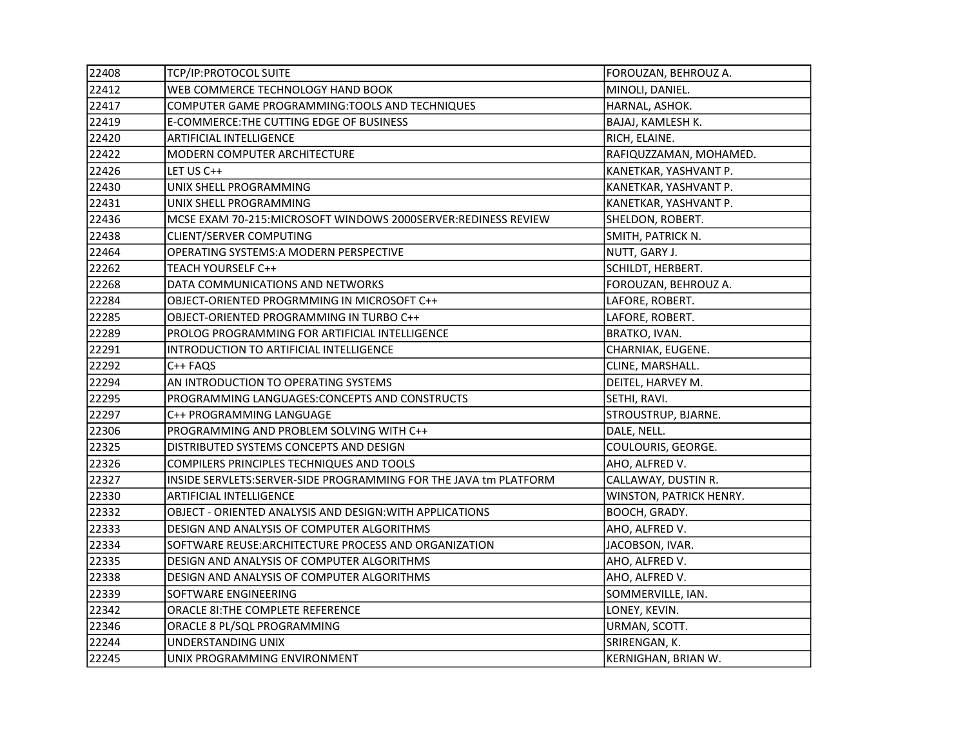| 22408 | TCP/IP:PROTOCOL SUITE                                             | FOROUZAN, BEHROUZ A.    |
|-------|-------------------------------------------------------------------|-------------------------|
| 22412 | WEB COMMERCE TECHNOLOGY HAND BOOK                                 | MINOLI, DANIEL.         |
| 22417 | COMPUTER GAME PROGRAMMING: TOOLS AND TECHNIQUES                   | HARNAL, ASHOK.          |
| 22419 | E-COMMERCE: THE CUTTING EDGE OF BUSINESS                          | BAJAJ, KAMLESH K.       |
| 22420 | ARTIFICIAL INTELLIGENCE                                           | RICH, ELAINE.           |
| 22422 | MODERN COMPUTER ARCHITECTURE                                      | RAFIQUZZAMAN, MOHAMED.  |
| 22426 | LET US C++                                                        | KANETKAR, YASHVANT P.   |
| 22430 | UNIX SHELL PROGRAMMING                                            | KANETKAR, YASHVANT P.   |
| 22431 | UNIX SHELL PROGRAMMING                                            | KANETKAR, YASHVANT P.   |
| 22436 | MCSE EXAM 70-215:MICROSOFT WINDOWS 2000SERVER:REDINESS REVIEW     | SHELDON, ROBERT.        |
| 22438 | <b>CLIENT/SERVER COMPUTING</b>                                    | SMITH, PATRICK N.       |
| 22464 | OPERATING SYSTEMS:A MODERN PERSPECTIVE                            | NUTT, GARY J.           |
| 22262 | <b>TEACH YOURSELF C++</b>                                         | SCHILDT, HERBERT.       |
| 22268 | DATA COMMUNICATIONS AND NETWORKS                                  | FOROUZAN, BEHROUZ A.    |
| 22284 | OBJECT-ORIENTED PROGRMMING IN MICROSOFT C++                       | LAFORE, ROBERT.         |
| 22285 | OBJECT-ORIENTED PROGRAMMING IN TURBO C++                          | LAFORE, ROBERT.         |
| 22289 | PROLOG PROGRAMMING FOR ARTIFICIAL INTELLIGENCE                    | BRATKO, IVAN.           |
| 22291 | INTRODUCTION TO ARTIFICIAL INTELLIGENCE                           | CHARNIAK, EUGENE.       |
| 22292 | C++ FAQS                                                          | CLINE, MARSHALL.        |
| 22294 | AN INTRODUCTION TO OPERATING SYSTEMS                              | DEITEL, HARVEY M.       |
| 22295 | PROGRAMMING LANGUAGES: CONCEPTS AND CONSTRUCTS                    | SETHI, RAVI.            |
| 22297 | C++ PROGRAMMING LANGUAGE                                          | STROUSTRUP, BJARNE.     |
| 22306 | PROGRAMMING AND PROBLEM SOLVING WITH C++                          | DALE, NELL.             |
| 22325 | DISTRIBUTED SYSTEMS CONCEPTS AND DESIGN                           | COULOURIS, GEORGE.      |
| 22326 | COMPILERS PRINCIPLES TECHNIQUES AND TOOLS                         | AHO, ALFRED V.          |
| 22327 | INSIDE SERVLETS: SERVER-SIDE PROGRAMMING FOR THE JAVA tm PLATFORM | CALLAWAY, DUSTIN R.     |
| 22330 | <b>ARTIFICIAL INTELLIGENCE</b>                                    | WINSTON, PATRICK HENRY. |
| 22332 | OBJECT - ORIENTED ANALYSIS AND DESIGN: WITH APPLICATIONS          | BOOCH, GRADY.           |
| 22333 | DESIGN AND ANALYSIS OF COMPUTER ALGORITHMS                        | AHO, ALFRED V.          |
| 22334 | SOFTWARE REUSE: ARCHITECTURE PROCESS AND ORGANIZATION             | JACOBSON, IVAR.         |
| 22335 | DESIGN AND ANALYSIS OF COMPUTER ALGORITHMS                        | AHO, ALFRED V.          |
| 22338 | DESIGN AND ANALYSIS OF COMPUTER ALGORITHMS                        | AHO, ALFRED V.          |
| 22339 | SOFTWARE ENGINEERING                                              | SOMMERVILLE, IAN.       |
| 22342 | ORACLE 81: THE COMPLETE REFERENCE                                 | LONEY, KEVIN.           |
| 22346 | ORACLE 8 PL/SQL PROGRAMMING                                       | URMAN, SCOTT.           |
| 22244 | UNDERSTANDING UNIX                                                | SRIRENGAN, K.           |
| 22245 | UNIX PROGRAMMING ENVIRONMENT                                      | KERNIGHAN, BRIAN W.     |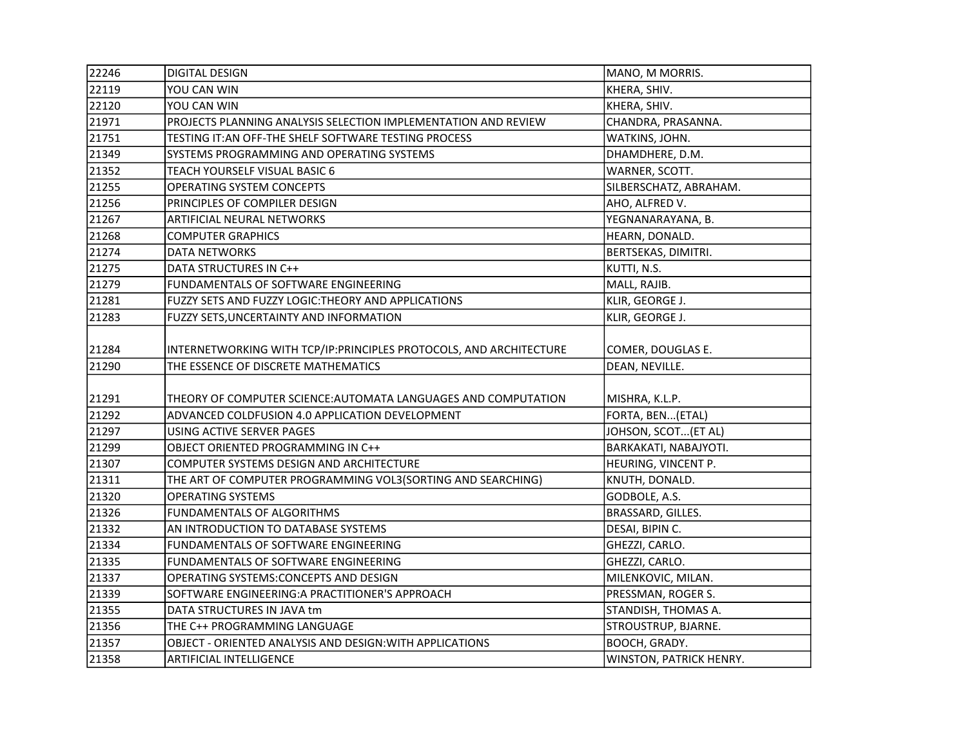| 22246 | <b>DIGITAL DESIGN</b>                                               | MANO, M MORRIS.         |
|-------|---------------------------------------------------------------------|-------------------------|
| 22119 | YOU CAN WIN                                                         | KHERA, SHIV.            |
| 22120 | YOU CAN WIN                                                         | KHERA, SHIV.            |
| 21971 | PROJECTS PLANNING ANALYSIS SELECTION IMPLEMENTATION AND REVIEW      | CHANDRA, PRASANNA.      |
| 21751 | TESTING IT: AN OFF-THE SHELF SOFTWARE TESTING PROCESS               | WATKINS, JOHN.          |
| 21349 | SYSTEMS PROGRAMMING AND OPERATING SYSTEMS                           | DHAMDHERE, D.M.         |
| 21352 | TEACH YOURSELF VISUAL BASIC 6                                       | WARNER, SCOTT.          |
| 21255 | OPERATING SYSTEM CONCEPTS                                           | SILBERSCHATZ, ABRAHAM.  |
| 21256 | PRINCIPLES OF COMPILER DESIGN                                       | AHO, ALFRED V.          |
| 21267 | ARTIFICIAL NEURAL NETWORKS                                          | YEGNANARAYANA, B.       |
| 21268 | <b>COMPUTER GRAPHICS</b>                                            | HEARN, DONALD.          |
| 21274 | DATA NETWORKS                                                       | BERTSEKAS, DIMITRI.     |
| 21275 | DATA STRUCTURES IN C++                                              | KUTTI, N.S.             |
| 21279 | FUNDAMENTALS OF SOFTWARE ENGINEERING                                | MALL, RAJIB.            |
| 21281 | FUZZY SETS AND FUZZY LOGIC: THEORY AND APPLICATIONS                 | KLIR, GEORGE J.         |
| 21283 | FUZZY SETS, UNCERTAINTY AND INFORMATION                             | KLIR, GEORGE J.         |
| 21284 | INTERNETWORKING WITH TCP/IP: PRINCIPLES PROTOCOLS, AND ARCHITECTURE | COMER, DOUGLAS E.       |
| 21290 | THE ESSENCE OF DISCRETE MATHEMATICS                                 | DEAN, NEVILLE.          |
| 21291 | THEORY OF COMPUTER SCIENCE: AUTOMATA LANGUAGES AND COMPUTATION      | MISHRA, K.L.P.          |
| 21292 | ADVANCED COLDFUSION 4.0 APPLICATION DEVELOPMENT                     | FORTA, BEN(ETAL)        |
| 21297 | USING ACTIVE SERVER PAGES                                           | JOHSON, SCOT (ET AL)    |
| 21299 | OBJECT ORIENTED PROGRAMMING IN C++                                  | BARKAKATI, NABAJYOTI.   |
| 21307 | COMPUTER SYSTEMS DESIGN AND ARCHITECTURE                            | HEURING, VINCENT P.     |
| 21311 | THE ART OF COMPUTER PROGRAMMING VOL3(SORTING AND SEARCHING)         | KNUTH, DONALD.          |
| 21320 | <b>OPERATING SYSTEMS</b>                                            | GODBOLE, A.S.           |
| 21326 | <b>FUNDAMENTALS OF ALGORITHMS</b>                                   | BRASSARD, GILLES.       |
| 21332 | AN INTRODUCTION TO DATABASE SYSTEMS                                 | DESAI, BIPIN C.         |
| 21334 | FUNDAMENTALS OF SOFTWARE ENGINEERING                                | GHEZZI, CARLO.          |
| 21335 | FUNDAMENTALS OF SOFTWARE ENGINEERING                                | GHEZZI, CARLO.          |
| 21337 | OPERATING SYSTEMS: CONCEPTS AND DESIGN                              | MILENKOVIC, MILAN.      |
| 21339 | SOFTWARE ENGINEERING:A PRACTITIONER'S APPROACH                      | PRESSMAN, ROGER S.      |
| 21355 | DATA STRUCTURES IN JAVA tm                                          | STANDISH, THOMAS A.     |
| 21356 | THE C++ PROGRAMMING LANGUAGE                                        | STROUSTRUP, BJARNE.     |
| 21357 | OBJECT - ORIENTED ANALYSIS AND DESIGN: WITH APPLICATIONS            | BOOCH, GRADY.           |
| 21358 | ARTIFICIAL INTELLIGENCE                                             | WINSTON, PATRICK HENRY. |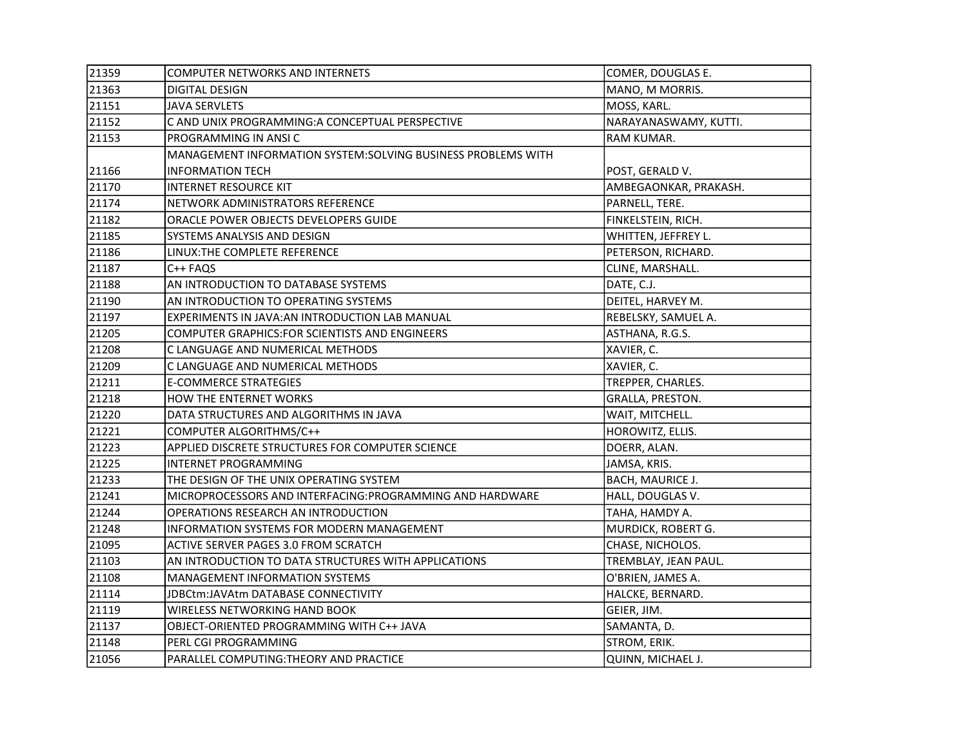| 21359 | COMPUTER NETWORKS AND INTERNETS                               | COMER, DOUGLAS E.       |
|-------|---------------------------------------------------------------|-------------------------|
| 21363 | <b>DIGITAL DESIGN</b>                                         | MANO, M MORRIS.         |
| 21151 | <b>JAVA SERVLETS</b>                                          | MOSS, KARL.             |
| 21152 | C AND UNIX PROGRAMMING:A CONCEPTUAL PERSPECTIVE               | NARAYANASWAMY, KUTTI.   |
| 21153 | PROGRAMMING IN ANSIC                                          | RAM KUMAR.              |
|       | MANAGEMENT INFORMATION SYSTEM: SOLVING BUSINESS PROBLEMS WITH |                         |
| 21166 | <b>INFORMATION TECH</b>                                       | POST, GERALD V.         |
| 21170 | <b>INTERNET RESOURCE KIT</b>                                  | AMBEGAONKAR, PRAKASH.   |
| 21174 | NETWORK ADMINISTRATORS REFERENCE                              | PARNELL, TERE.          |
| 21182 | ORACLE POWER OBJECTS DEVELOPERS GUIDE                         | FINKELSTEIN, RICH.      |
| 21185 | SYSTEMS ANALYSIS AND DESIGN                                   | WHITTEN, JEFFREY L.     |
| 21186 | LINUX: THE COMPLETE REFERENCE                                 | PETERSON, RICHARD.      |
| 21187 | C++ FAQS                                                      | CLINE, MARSHALL.        |
| 21188 | AN INTRODUCTION TO DATABASE SYSTEMS                           | DATE, C.J.              |
| 21190 | AN INTRODUCTION TO OPERATING SYSTEMS                          | DEITEL, HARVEY M.       |
| 21197 | EXPERIMENTS IN JAVA: AN INTRODUCTION LAB MANUAL               | REBELSKY, SAMUEL A.     |
| 21205 | COMPUTER GRAPHICS: FOR SCIENTISTS AND ENGINEERS               | ASTHANA, R.G.S.         |
| 21208 | C LANGUAGE AND NUMERICAL METHODS                              | XAVIER, C.              |
| 21209 | C LANGUAGE AND NUMERICAL METHODS                              | XAVIER, C.              |
| 21211 | <b>E-COMMERCE STRATEGIES</b>                                  | TREPPER, CHARLES.       |
| 21218 | HOW THE ENTERNET WORKS                                        | GRALLA, PRESTON.        |
| 21220 | DATA STRUCTURES AND ALGORITHMS IN JAVA                        | WAIT, MITCHELL.         |
| 21221 | COMPUTER ALGORITHMS/C++                                       | HOROWITZ, ELLIS.        |
| 21223 | APPLIED DISCRETE STRUCTURES FOR COMPUTER SCIENCE              | DOERR, ALAN.            |
| 21225 | INTERNET PROGRAMMING                                          | JAMSA, KRIS.            |
| 21233 | THE DESIGN OF THE UNIX OPERATING SYSTEM                       | <b>BACH, MAURICE J.</b> |
| 21241 | MICROPROCESSORS AND INTERFACING: PROGRAMMING AND HARDWARE     | HALL, DOUGLAS V.        |
| 21244 | OPERATIONS RESEARCH AN INTRODUCTION                           | TAHA, HAMDY A.          |
| 21248 | INFORMATION SYSTEMS FOR MODERN MANAGEMENT                     | MURDICK, ROBERT G.      |
| 21095 | ACTIVE SERVER PAGES 3.0 FROM SCRATCH                          | CHASE, NICHOLOS.        |
| 21103 | AN INTRODUCTION TO DATA STRUCTURES WITH APPLICATIONS          | TREMBLAY, JEAN PAUL.    |
| 21108 | MANAGEMENT INFORMATION SYSTEMS                                | O'BRIEN, JAMES A.       |
| 21114 | JDBCtm:JAVAtm DATABASE CONNECTIVITY                           | HALCKE, BERNARD.        |
| 21119 | WIRELESS NETWORKING HAND BOOK                                 | GEIER, JIM.             |
| 21137 | OBJECT-ORIENTED PROGRAMMING WITH C++ JAVA                     | SAMANTA, D.             |
| 21148 | PERL CGI PROGRAMMING                                          | STROM, ERIK.            |
| 21056 | PARALLEL COMPUTING: THEORY AND PRACTICE                       | QUINN, MICHAEL J.       |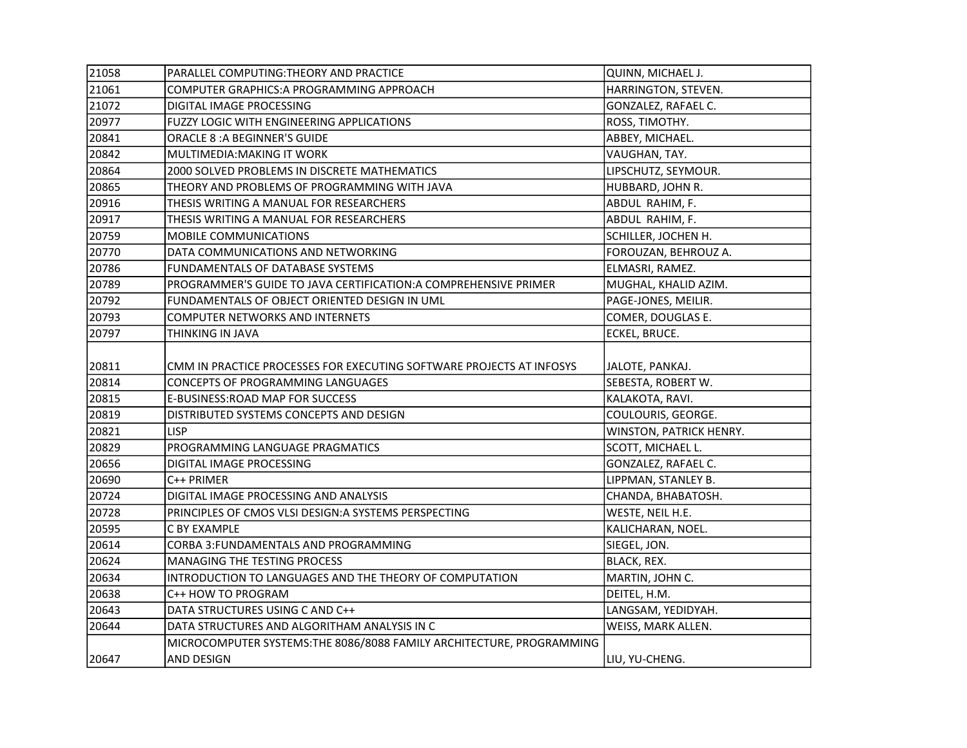| 21058 | PARALLEL COMPUTING: THEORY AND PRACTICE                              | QUINN, MICHAEL J.       |
|-------|----------------------------------------------------------------------|-------------------------|
| 21061 | COMPUTER GRAPHICS: A PROGRAMMING APPROACH                            | HARRINGTON, STEVEN.     |
| 21072 | DIGITAL IMAGE PROCESSING                                             | GONZALEZ, RAFAEL C.     |
| 20977 | <b>FUZZY LOGIC WITH ENGINEERING APPLICATIONS</b>                     | ROSS, TIMOTHY.          |
| 20841 | <b>ORACLE 8: A BEGINNER'S GUIDE</b>                                  | ABBEY, MICHAEL.         |
| 20842 | MULTIMEDIA: MAKING IT WORK                                           | VAUGHAN, TAY.           |
| 20864 | 2000 SOLVED PROBLEMS IN DISCRETE MATHEMATICS                         | LIPSCHUTZ, SEYMOUR.     |
| 20865 | THEORY AND PROBLEMS OF PROGRAMMING WITH JAVA                         | HUBBARD, JOHN R.        |
| 20916 | THESIS WRITING A MANUAL FOR RESEARCHERS                              | ABDUL RAHIM, F.         |
| 20917 | THESIS WRITING A MANUAL FOR RESEARCHERS                              | ABDUL RAHIM, F.         |
| 20759 | MOBILE COMMUNICATIONS                                                | SCHILLER, JOCHEN H.     |
| 20770 | DATA COMMUNICATIONS AND NETWORKING                                   | FOROUZAN, BEHROUZ A.    |
| 20786 | FUNDAMENTALS OF DATABASE SYSTEMS                                     | ELMASRI, RAMEZ.         |
| 20789 | PROGRAMMER'S GUIDE TO JAVA CERTIFICATION: A COMPREHENSIVE PRIMER     | MUGHAL, KHALID AZIM.    |
| 20792 | FUNDAMENTALS OF OBJECT ORIENTED DESIGN IN UML                        | PAGE-JONES, MEILIR.     |
| 20793 | <b>COMPUTER NETWORKS AND INTERNETS</b>                               | COMER, DOUGLAS E.       |
| 20797 | THINKING IN JAVA                                                     | ECKEL, BRUCE.           |
|       |                                                                      |                         |
| 20811 | CMM IN PRACTICE PROCESSES FOR EXECUTING SOFTWARE PROJECTS AT INFOSYS | JALOTE, PANKAJ.         |
| 20814 | CONCEPTS OF PROGRAMMING LANGUAGES                                    | SEBESTA, ROBERT W.      |
| 20815 | E-BUSINESS:ROAD MAP FOR SUCCESS                                      | KALAKOTA, RAVI.         |
| 20819 | DISTRIBUTED SYSTEMS CONCEPTS AND DESIGN                              | COULOURIS, GEORGE.      |
| 20821 | <b>LISP</b>                                                          | WINSTON, PATRICK HENRY. |
| 20829 | PROGRAMMING LANGUAGE PRAGMATICS                                      | SCOTT, MICHAEL L.       |
| 20656 | DIGITAL IMAGE PROCESSING                                             | GONZALEZ, RAFAEL C.     |
| 20690 | C++ PRIMER                                                           | LIPPMAN, STANLEY B.     |
| 20724 | DIGITAL IMAGE PROCESSING AND ANALYSIS                                | CHANDA, BHABATOSH.      |
| 20728 | PRINCIPLES OF CMOS VLSI DESIGN:A SYSTEMS PERSPECTING                 | WESTE, NEIL H.E.        |
| 20595 | C BY EXAMPLE                                                         | KALICHARAN, NOEL.       |
| 20614 | CORBA 3: FUNDAMENTALS AND PROGRAMMING                                | SIEGEL, JON.            |
| 20624 | <b>MANAGING THE TESTING PROCESS</b>                                  | BLACK, REX.             |
| 20634 | INTRODUCTION TO LANGUAGES AND THE THEORY OF COMPUTATION              | MARTIN, JOHN C.         |
| 20638 | C++ HOW TO PROGRAM                                                   | DEITEL, H.M.            |
| 20643 | DATA STRUCTURES USING C AND C++                                      | LANGSAM, YEDIDYAH.      |
| 20644 | DATA STRUCTURES AND ALGORITHAM ANALYSIS IN C                         | WEISS, MARK ALLEN.      |
|       | MICROCOMPUTER SYSTEMS:THE 8086/8088 FAMILY ARCHITECTURE, PROGRAMMING |                         |
| 20647 | AND DESIGN                                                           | LIU, YU-CHENG.          |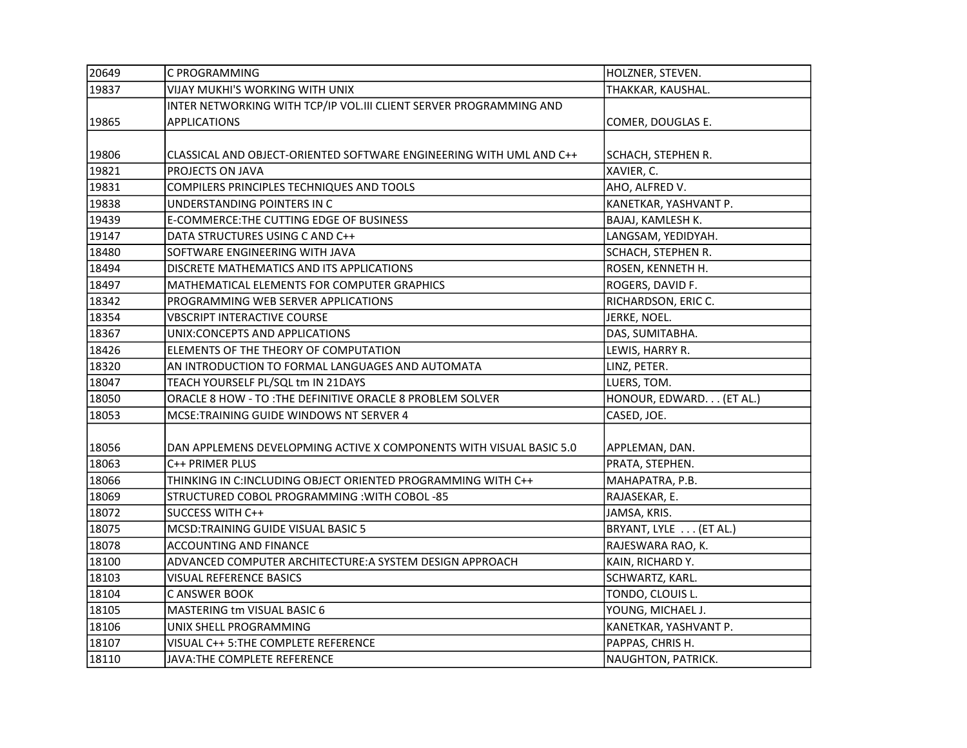| 20649 | C PROGRAMMING                                                       | HOLZNER, STEVEN.         |
|-------|---------------------------------------------------------------------|--------------------------|
| 19837 | VIJAY MUKHI'S WORKING WITH UNIX                                     | THAKKAR, KAUSHAL.        |
|       | INTER NETWORKING WITH TCP/IP VOL.III CLIENT SERVER PROGRAMMING AND  |                          |
| 19865 | <b>APPLICATIONS</b>                                                 | COMER, DOUGLAS E.        |
|       |                                                                     |                          |
| 19806 | CLASSICAL AND OBJECT-ORIENTED SOFTWARE ENGINEERING WITH UML AND C++ | SCHACH, STEPHEN R.       |
| 19821 | PROJECTS ON JAVA                                                    | XAVIER, C.               |
| 19831 | COMPILERS PRINCIPLES TECHNIQUES AND TOOLS                           | AHO, ALFRED V.           |
| 19838 | UNDERSTANDING POINTERS IN C                                         | KANETKAR, YASHVANT P.    |
| 19439 | E-COMMERCE: THE CUTTING EDGE OF BUSINESS                            | BAJAJ, KAMLESH K.        |
| 19147 | DATA STRUCTURES USING C AND C++                                     | LANGSAM, YEDIDYAH.       |
| 18480 | SOFTWARE ENGINEERING WITH JAVA                                      | SCHACH, STEPHEN R.       |
| 18494 | DISCRETE MATHEMATICS AND ITS APPLICATIONS                           | ROSEN, KENNETH H.        |
| 18497 | MATHEMATICAL ELEMENTS FOR COMPUTER GRAPHICS                         | ROGERS, DAVID F.         |
| 18342 | PROGRAMMING WEB SERVER APPLICATIONS                                 | RICHARDSON, ERIC C.      |
| 18354 | <b>VBSCRIPT INTERACTIVE COURSE</b>                                  | JERKE, NOEL.             |
| 18367 | UNIX:CONCEPTS AND APPLICATIONS                                      | DAS, SUMITABHA.          |
| 18426 | ELEMENTS OF THE THEORY OF COMPUTATION                               | LEWIS, HARRY R.          |
| 18320 | AN INTRODUCTION TO FORMAL LANGUAGES AND AUTOMATA                    | LINZ, PETER.             |
| 18047 | TEACH YOURSELF PL/SQL tm IN 21DAYS                                  | LUERS, TOM.              |
| 18050 | ORACLE 8 HOW - TO : THE DEFINITIVE ORACLE 8 PROBLEM SOLVER          | HONOUR, EDWARD. (ET AL.) |
| 18053 | MCSE:TRAINING GUIDE WINDOWS NT SERVER 4                             | CASED, JOE.              |
|       |                                                                     |                          |
| 18056 | DAN APPLEMENS DEVELOPMING ACTIVE X COMPONENTS WITH VISUAL BASIC 5.0 | APPLEMAN, DAN.           |
| 18063 | C++ PRIMER PLUS                                                     | PRATA, STEPHEN.          |
| 18066 | THINKING IN C:INCLUDING OBJECT ORIENTED PROGRAMMING WITH C++        | MAHAPATRA, P.B.          |
| 18069 | STRUCTURED COBOL PROGRAMMING : WITH COBOL -85                       | RAJASEKAR, E.            |
| 18072 | SUCCESS WITH C++                                                    | JAMSA, KRIS.             |
| 18075 | MCSD:TRAINING GUIDE VISUAL BASIC 5                                  | BRYANT, LYLE  (ET AL.)   |
| 18078 | ACCOUNTING AND FINANCE                                              | RAJESWARA RAO, K.        |
| 18100 | ADVANCED COMPUTER ARCHITECTURE: A SYSTEM DESIGN APPROACH            | KAIN, RICHARD Y.         |
| 18103 | VISUAL REFERENCE BASICS                                             | SCHWARTZ, KARL.          |
| 18104 | C ANSWER BOOK                                                       | TONDO, CLOUIS L.         |
| 18105 | MASTERING tm VISUAL BASIC 6                                         | YOUNG, MICHAEL J.        |
| 18106 | UNIX SHELL PROGRAMMING                                              | KANETKAR, YASHVANT P.    |
| 18107 | VISUAL C++ 5: THE COMPLETE REFERENCE                                | PAPPAS, CHRIS H.         |
| 18110 | JAVA:THE COMPLETE REFERENCE                                         | NAUGHTON, PATRICK.       |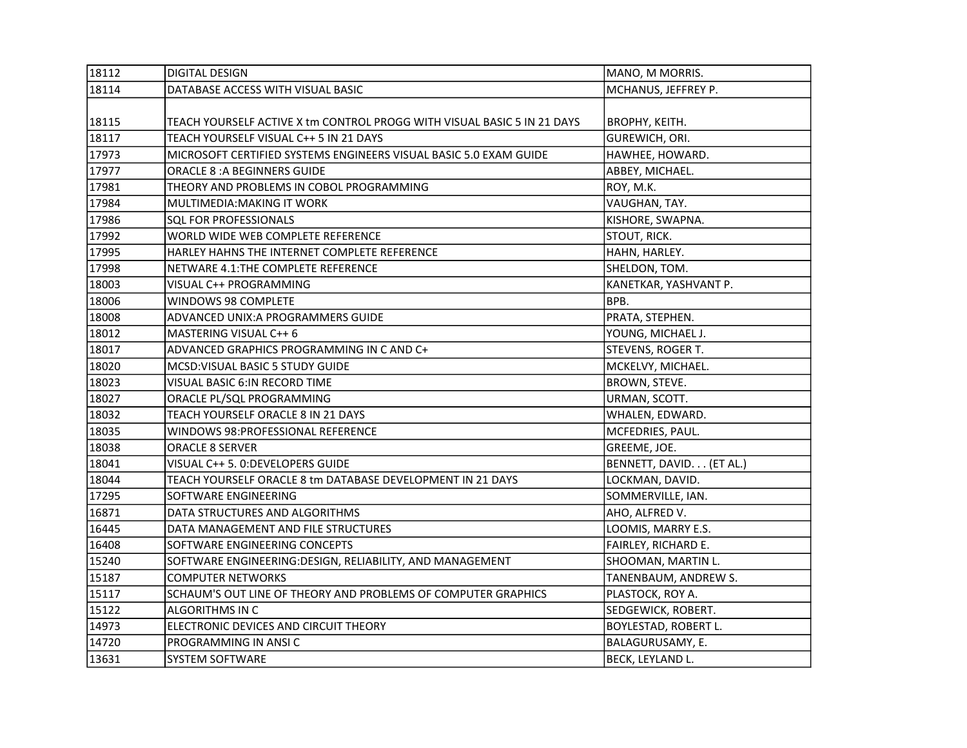| 18112 | <b>DIGITAL DESIGN</b>                                                   | MANO, M MORRIS.             |
|-------|-------------------------------------------------------------------------|-----------------------------|
| 18114 | DATABASE ACCESS WITH VISUAL BASIC                                       | MCHANUS, JEFFREY P.         |
|       |                                                                         |                             |
| 18115 | TEACH YOURSELF ACTIVE X tm CONTROL PROGG WITH VISUAL BASIC 5 IN 21 DAYS | <b>BROPHY, KEITH.</b>       |
| 18117 | TEACH YOURSELF VISUAL C++ 5 IN 21 DAYS                                  | GUREWICH, ORI.              |
| 17973 | MICROSOFT CERTIFIED SYSTEMS ENGINEERS VISUAL BASIC 5.0 EXAM GUIDE       | HAWHEE, HOWARD.             |
| 17977 | <b>ORACLE 8: A BEGINNERS GUIDE</b>                                      | ABBEY, MICHAEL.             |
| 17981 | THEORY AND PROBLEMS IN COBOL PROGRAMMING                                | ROY, M.K.                   |
| 17984 | MULTIMEDIA: MAKING IT WORK                                              | VAUGHAN, TAY.               |
| 17986 | SQL FOR PROFESSIONALS                                                   | KISHORE, SWAPNA.            |
| 17992 | WORLD WIDE WEB COMPLETE REFERENCE                                       | STOUT, RICK.                |
| 17995 | HARLEY HAHNS THE INTERNET COMPLETE REFERENCE                            | HAHN, HARLEY.               |
| 17998 | NETWARE 4.1: THE COMPLETE REFERENCE                                     | SHELDON, TOM.               |
| 18003 | VISUAL C++ PROGRAMMING                                                  | KANETKAR, YASHVANT P.       |
| 18006 | WINDOWS 98 COMPLETE                                                     | BPB.                        |
| 18008 | ADVANCED UNIX: A PROGRAMMERS GUIDE                                      | PRATA, STEPHEN.             |
| 18012 | MASTERING VISUAL C++ 6                                                  | YOUNG, MICHAEL J.           |
| 18017 | ADVANCED GRAPHICS PROGRAMMING IN C AND C+                               | STEVENS, ROGER T.           |
| 18020 | MCSD: VISUAL BASIC 5 STUDY GUIDE                                        | MCKELVY, MICHAEL.           |
| 18023 | VISUAL BASIC 6:IN RECORD TIME                                           | BROWN, STEVE.               |
| 18027 | ORACLE PL/SQL PROGRAMMING                                               | URMAN, SCOTT.               |
| 18032 | TEACH YOURSELF ORACLE 8 IN 21 DAYS                                      | WHALEN, EDWARD.             |
| 18035 | WINDOWS 98:PROFESSIONAL REFERENCE                                       | MCFEDRIES, PAUL.            |
| 18038 | <b>ORACLE 8 SERVER</b>                                                  | GREEME, JOE.                |
| 18041 | VISUAL C++ 5. 0:DEVELOPERS GUIDE                                        | BENNETT, DAVID. (ET AL.)    |
| 18044 | TEACH YOURSELF ORACLE 8 tm DATABASE DEVELOPMENT IN 21 DAYS              | LOCKMAN, DAVID.             |
| 17295 | SOFTWARE ENGINEERING                                                    | SOMMERVILLE, IAN.           |
| 16871 | DATA STRUCTURES AND ALGORITHMS                                          | AHO, ALFRED V.              |
| 16445 | DATA MANAGEMENT AND FILE STRUCTURES                                     | LOOMIS, MARRY E.S.          |
| 16408 | SOFTWARE ENGINEERING CONCEPTS                                           | FAIRLEY, RICHARD E.         |
| 15240 | SOFTWARE ENGINEERING:DESIGN, RELIABILITY, AND MANAGEMENT                | SHOOMAN, MARTIN L.          |
| 15187 | <b>COMPUTER NETWORKS</b>                                                | TANENBAUM, ANDREW S.        |
| 15117 | SCHAUM'S OUT LINE OF THEORY AND PROBLEMS OF COMPUTER GRAPHICS           | PLASTOCK, ROY A.            |
| 15122 | <b>ALGORITHMS IN C</b>                                                  | SEDGEWICK, ROBERT.          |
| 14973 | ELECTRONIC DEVICES AND CIRCUIT THEORY                                   | <b>BOYLESTAD, ROBERT L.</b> |
| 14720 | PROGRAMMING IN ANSIC                                                    | BALAGURUSAMY, E.            |
| 13631 | <b>SYSTEM SOFTWARE</b>                                                  | BECK, LEYLAND L.            |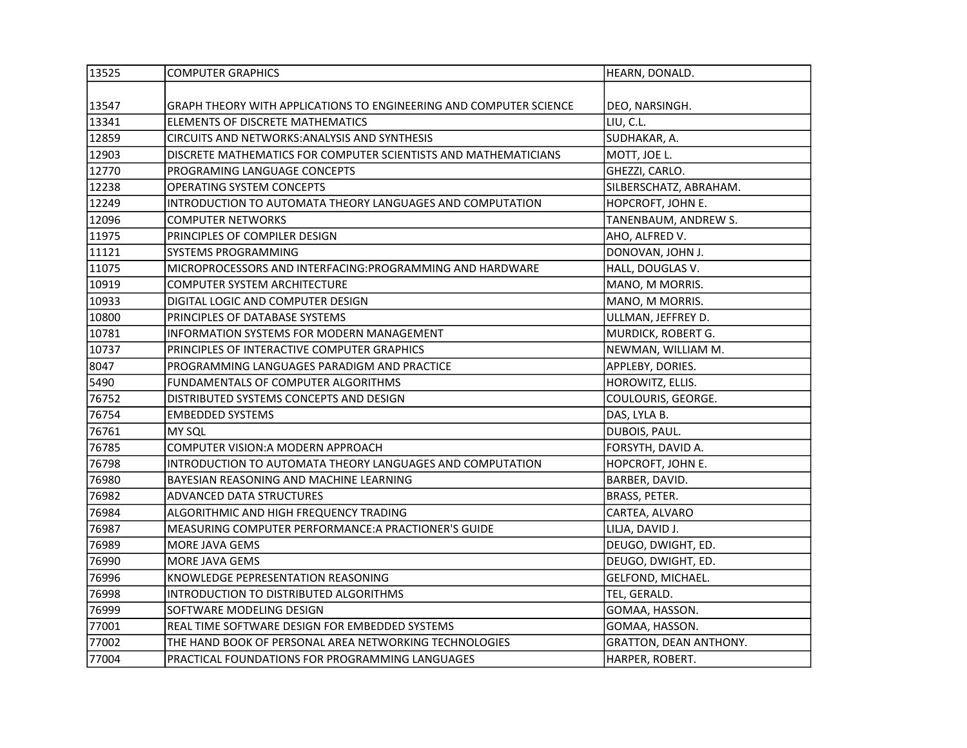| 13525 | <b>COMPUTER GRAPHICS</b>                                           | HEARN, DONALD.         |
|-------|--------------------------------------------------------------------|------------------------|
|       |                                                                    |                        |
| 13547 | GRAPH THEORY WITH APPLICATIONS TO ENGINEERING AND COMPUTER SCIENCE | DEO, NARSINGH.         |
| 13341 | ELEMENTS OF DISCRETE MATHEMATICS                                   | LIU, C.L.              |
| 12859 | <b>CIRCUITS AND NETWORKS: ANALYSIS AND SYNTHESIS</b>               | SUDHAKAR, A.           |
| 12903 | DISCRETE MATHEMATICS FOR COMPUTER SCIENTISTS AND MATHEMATICIANS    | MOTT, JOE L.           |
| 12770 | PROGRAMING LANGUAGE CONCEPTS                                       | GHEZZI, CARLO.         |
| 12238 | OPERATING SYSTEM CONCEPTS                                          | SILBERSCHATZ, ABRAHAM. |
| 12249 | INTRODUCTION TO AUTOMATA THEORY LANGUAGES AND COMPUTATION          | HOPCROFT, JOHN E.      |
| 12096 | <b>COMPUTER NETWORKS</b>                                           | TANENBAUM, ANDREW S.   |
| 11975 | PRINCIPLES OF COMPILER DESIGN                                      | AHO, ALFRED V.         |
| 11121 | SYSTEMS PROGRAMMING                                                | DONOVAN, JOHN J.       |
| 11075 | MICROPROCESSORS AND INTERFACING: PROGRAMMING AND HARDWARE          | HALL, DOUGLAS V.       |
| 10919 | <b>COMPUTER SYSTEM ARCHITECTURE</b>                                | MANO, M MORRIS.        |
| 10933 | DIGITAL LOGIC AND COMPUTER DESIGN                                  | MANO, M MORRIS.        |
| 10800 | PRINCIPLES OF DATABASE SYSTEMS                                     | ULLMAN, JEFFREY D.     |
| 10781 | <b>INFORMATION SYSTEMS FOR MODERN MANAGEMENT</b>                   | MURDICK, ROBERT G.     |
| 10737 | PRINCIPLES OF INTERACTIVE COMPUTER GRAPHICS                        | NEWMAN, WILLIAM M.     |
| 8047  | PROGRAMMING LANGUAGES PARADIGM AND PRACTICE                        | APPLEBY, DORIES.       |
| 5490  | FUNDAMENTALS OF COMPUTER ALGORITHMS                                | HOROWITZ, ELLIS.       |
| 76752 | DISTRIBUTED SYSTEMS CONCEPTS AND DESIGN                            | COULOURIS, GEORGE.     |
| 76754 | <b>EMBEDDED SYSTEMS</b>                                            | DAS, LYLA B.           |
| 76761 | MY SQL                                                             | DUBOIS, PAUL.          |
| 76785 | COMPUTER VISION: A MODERN APPROACH                                 | FORSYTH, DAVID A.      |
| 76798 | INTRODUCTION TO AUTOMATA THEORY LANGUAGES AND COMPUTATION          | HOPCROFT, JOHN E.      |
| 76980 | BAYESIAN REASONING AND MACHINE LEARNING                            | BARBER, DAVID.         |
| 76982 | <b>ADVANCED DATA STRUCTURES</b>                                    | BRASS, PETER.          |
| 76984 | ALGORITHMIC AND HIGH FREQUENCY TRADING                             | CARTEA, ALVARO         |
| 76987 | MEASURING COMPUTER PERFORMANCE:A PRACTIONER'S GUIDE                | LILJA, DAVID J.        |
| 76989 | <b>MORE JAVA GEMS</b>                                              | DEUGO, DWIGHT, ED.     |
| 76990 | <b>MORE JAVA GEMS</b>                                              | DEUGO, DWIGHT, ED.     |
| 76996 | KNOWLEDGE PEPRESENTATION REASONING                                 | GELFOND, MICHAEL.      |
| 76998 | INTRODUCTION TO DISTRIBUTED ALGORITHMS                             | TEL, GERALD.           |
| 76999 | SOFTWARE MODELING DESIGN                                           | GOMAA, HASSON.         |
| 77001 | REAL TIME SOFTWARE DESIGN FOR EMBEDDED SYSTEMS                     | GOMAA, HASSON.         |
| 77002 | THE HAND BOOK OF PERSONAL AREA NETWORKING TECHNOLOGIES             | GRATTON, DEAN ANTHONY. |
| 77004 | PRACTICAL FOUNDATIONS FOR PROGRAMMING LANGUAGES                    | HARPER, ROBERT.        |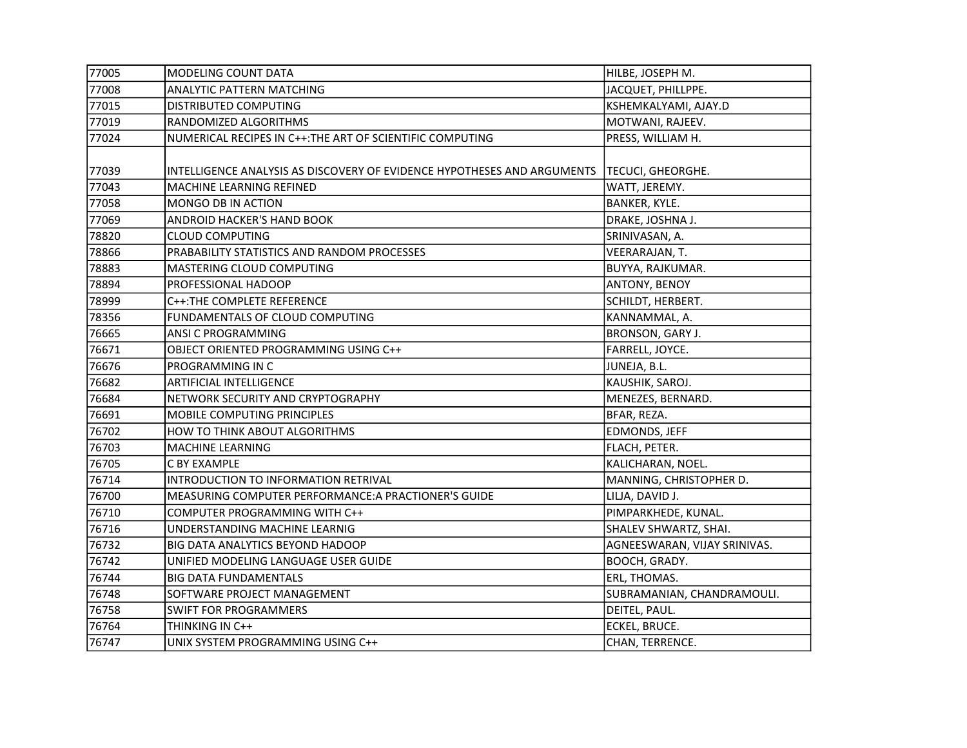| 77005 | MODELING COUNT DATA                                                     | HILBE, JOSEPH M.             |
|-------|-------------------------------------------------------------------------|------------------------------|
| 77008 | ANALYTIC PATTERN MATCHING                                               | JACQUET, PHILLPPE.           |
| 77015 | DISTRIBUTED COMPUTING                                                   | KSHEMKALYAMI, AJAY.D         |
| 77019 | RANDOMIZED ALGORITHMS                                                   | MOTWANI, RAJEEV.             |
| 77024 | NUMERICAL RECIPES IN C++: THE ART OF SCIENTIFIC COMPUTING               | PRESS, WILLIAM H.            |
|       |                                                                         |                              |
| 77039 | INTELLIGENCE ANALYSIS AS DISCOVERY OF EVIDENCE HYPOTHESES AND ARGUMENTS | TECUCI, GHEORGHE.            |
| 77043 | MACHINE LEARNING REFINED                                                | WATT, JEREMY.                |
| 77058 | MONGO DB IN ACTION                                                      | BANKER, KYLE.                |
| 77069 | ANDROID HACKER'S HAND BOOK                                              | DRAKE, JOSHNA J.             |
| 78820 | <b>CLOUD COMPUTING</b>                                                  | SRINIVASAN, A.               |
| 78866 | PRABABILITY STATISTICS AND RANDOM PROCESSES                             | VEERARAJAN, T.               |
| 78883 | MASTERING CLOUD COMPUTING                                               | BUYYA, RAJKUMAR.             |
| 78894 | PROFESSIONAL HADOOP                                                     | ANTONY, BENOY                |
| 78999 | C++: THE COMPLETE REFERENCE                                             | SCHILDT, HERBERT.            |
| 78356 | FUNDAMENTALS OF CLOUD COMPUTING                                         | KANNAMMAL, A.                |
| 76665 | ANSI C PROGRAMMING                                                      | BRONSON, GARY J.             |
| 76671 | OBJECT ORIENTED PROGRAMMING USING C++                                   | FARRELL, JOYCE.              |
| 76676 | PROGRAMMING IN C                                                        | JUNEJA, B.L.                 |
| 76682 | ARTIFICIAL INTELLIGENCE                                                 | KAUSHIK, SAROJ.              |
| 76684 | NETWORK SECURITY AND CRYPTOGRAPHY                                       | MENEZES, BERNARD.            |
| 76691 | MOBILE COMPUTING PRINCIPLES                                             | BFAR, REZA.                  |
| 76702 | HOW TO THINK ABOUT ALGORITHMS                                           | EDMONDS, JEFF                |
| 76703 | MACHINE LEARNING                                                        | FLACH, PETER.                |
| 76705 | C BY EXAMPLE                                                            | KALICHARAN, NOEL.            |
| 76714 | INTRODUCTION TO INFORMATION RETRIVAL                                    | MANNING, CHRISTOPHER D.      |
| 76700 | MEASURING COMPUTER PERFORMANCE:A PRACTIONER'S GUIDE                     | LILJA, DAVID J.              |
| 76710 | COMPUTER PROGRAMMING WITH C++                                           | PIMPARKHEDE, KUNAL.          |
| 76716 | UNDERSTANDING MACHINE LEARNIG                                           | SHALEV SHWARTZ, SHAI.        |
| 76732 | BIG DATA ANALYTICS BEYOND HADOOP                                        | AGNEESWARAN, VIJAY SRINIVAS. |
| 76742 | UNIFIED MODELING LANGUAGE USER GUIDE                                    | BOOCH, GRADY.                |
| 76744 | <b>BIG DATA FUNDAMENTALS</b>                                            | ERL, THOMAS.                 |
| 76748 | SOFTWARE PROJECT MANAGEMENT                                             | SUBRAMANIAN, CHANDRAMOULI.   |
| 76758 | <b>SWIFT FOR PROGRAMMERS</b>                                            | DEITEL, PAUL.                |
| 76764 | THINKING IN C++                                                         | ECKEL, BRUCE.                |
| 76747 | UNIX SYSTEM PROGRAMMING USING C++                                       | CHAN, TERRENCE.              |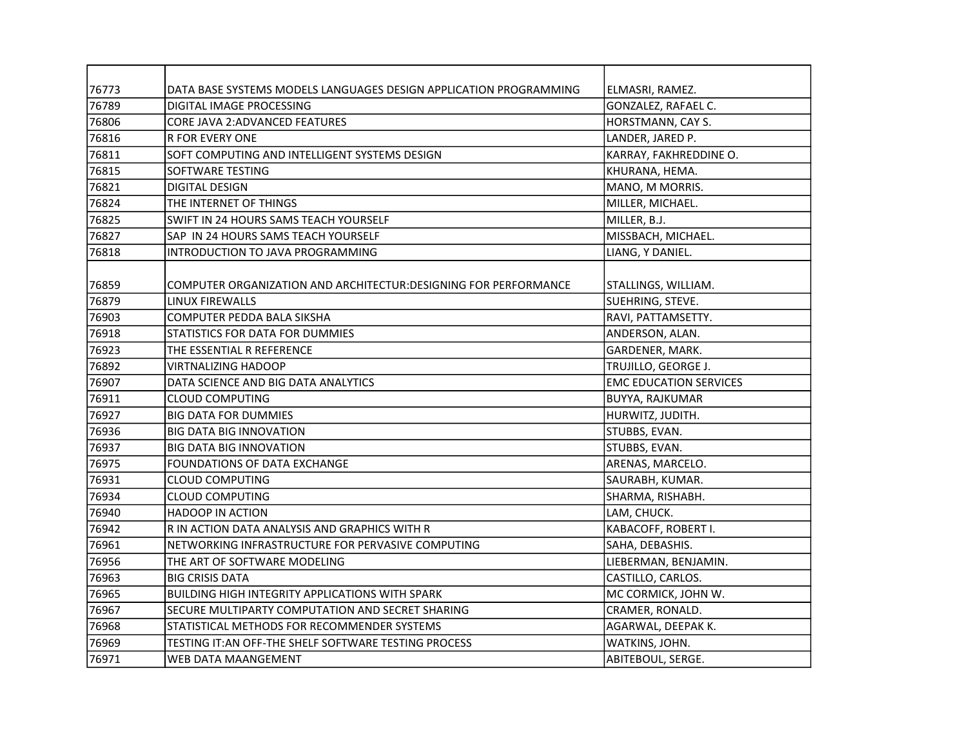| 76773 | DATA BASE SYSTEMS MODELS LANGUAGES DESIGN APPLICATION PROGRAMMING | ELMASRI, RAMEZ.               |
|-------|-------------------------------------------------------------------|-------------------------------|
| 76789 | DIGITAL IMAGE PROCESSING                                          | GONZALEZ, RAFAEL C.           |
| 76806 | <b>CORE JAVA 2:ADVANCED FEATURES</b>                              | HORSTMANN, CAY S.             |
| 76816 | <b>R FOR EVERY ONE</b>                                            | LANDER, JARED P.              |
| 76811 | SOFT COMPUTING AND INTELLIGENT SYSTEMS DESIGN                     | KARRAY, FAKHREDDINE O.        |
| 76815 | SOFTWARE TESTING                                                  | KHURANA, HEMA.                |
| 76821 | <b>DIGITAL DESIGN</b>                                             | MANO, M MORRIS.               |
| 76824 | THE INTERNET OF THINGS                                            | MILLER, MICHAEL.              |
| 76825 | SWIFT IN 24 HOURS SAMS TEACH YOURSELF                             | MILLER, B.J.                  |
| 76827 | SAP IN 24 HOURS SAMS TEACH YOURSELF                               | MISSBACH, MICHAEL.            |
| 76818 | INTRODUCTION TO JAVA PROGRAMMING                                  | LIANG, Y DANIEL.              |
|       |                                                                   |                               |
| 76859 | COMPUTER ORGANIZATION AND ARCHITECTUR:DESIGNING FOR PERFORMANCE   | STALLINGS, WILLIAM.           |
| 76879 | <b>LINUX FIREWALLS</b>                                            | SUEHRING, STEVE.              |
| 76903 | COMPUTER PEDDA BALA SIKSHA                                        | RAVI, PATTAMSETTY.            |
| 76918 | STATISTICS FOR DATA FOR DUMMIES                                   | ANDERSON, ALAN.               |
| 76923 | THE ESSENTIAL R REFERENCE                                         | GARDENER, MARK.               |
| 76892 | <b>VIRTNALIZING HADOOP</b>                                        | TRUJILLO, GEORGE J.           |
| 76907 | DATA SCIENCE AND BIG DATA ANALYTICS                               | <b>EMC EDUCATION SERVICES</b> |
| 76911 | <b>CLOUD COMPUTING</b>                                            | <b>BUYYA, RAJKUMAR</b>        |
| 76927 | <b>BIG DATA FOR DUMMIES</b>                                       | HURWITZ, JUDITH.              |
| 76936 | <b>BIG DATA BIG INNOVATION</b>                                    | STUBBS, EVAN.                 |
| 76937 | <b>BIG DATA BIG INNOVATION</b>                                    | STUBBS, EVAN.                 |
| 76975 | FOUNDATIONS OF DATA EXCHANGE                                      | ARENAS, MARCELO.              |
| 76931 | <b>CLOUD COMPUTING</b>                                            | SAURABH, KUMAR.               |
| 76934 | <b>CLOUD COMPUTING</b>                                            | SHARMA, RISHABH.              |
| 76940 | <b>HADOOP IN ACTION</b>                                           | LAM, CHUCK.                   |
| 76942 | R IN ACTION DATA ANALYSIS AND GRAPHICS WITH R                     | KABACOFF, ROBERT I.           |
| 76961 | NETWORKING INFRASTRUCTURE FOR PERVASIVE COMPUTING                 | SAHA, DEBASHIS.               |
| 76956 | THE ART OF SOFTWARE MODELING                                      | LIEBERMAN, BENJAMIN.          |
| 76963 | <b>BIG CRISIS DATA</b>                                            | CASTILLO, CARLOS.             |
| 76965 | <b>BUILDING HIGH INTEGRITY APPLICATIONS WITH SPARK</b>            | MC CORMICK, JOHN W.           |
| 76967 | SECURE MULTIPARTY COMPUTATION AND SECRET SHARING                  | CRAMER, RONALD.               |
| 76968 | STATISTICAL METHODS FOR RECOMMENDER SYSTEMS                       | AGARWAL, DEEPAK K.            |
| 76969 | TESTING IT: AN OFF-THE SHELF SOFTWARE TESTING PROCESS             | WATKINS, JOHN.                |
| 76971 | WEB DATA MAANGEMENT                                               | ABITEBOUL, SERGE.             |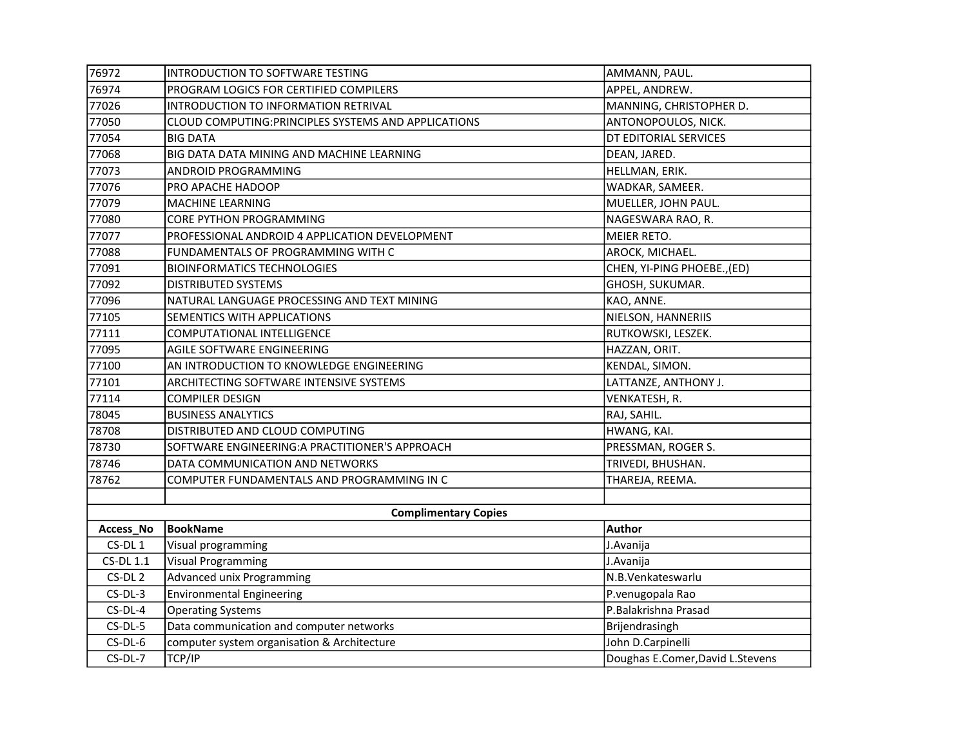| 76972              | INTRODUCTION TO SOFTWARE TESTING                     | AMMANN, PAUL.                    |
|--------------------|------------------------------------------------------|----------------------------------|
| 76974              | PROGRAM LOGICS FOR CERTIFIED COMPILERS               | APPEL, ANDREW.                   |
| 77026              | INTRODUCTION TO INFORMATION RETRIVAL                 | MANNING, CHRISTOPHER D.          |
| 77050              | CLOUD COMPUTING: PRINCIPLES SYSTEMS AND APPLICATIONS | ANTONOPOULOS, NICK.              |
| 77054              | <b>BIG DATA</b>                                      | DT EDITORIAL SERVICES            |
| 77068              | BIG DATA DATA MINING AND MACHINE LEARNING            | DEAN, JARED.                     |
| 77073              | ANDROID PROGRAMMING                                  | HELLMAN, ERIK.                   |
| 77076              | PRO APACHE HADOOP                                    | WADKAR, SAMEER.                  |
| 77079              | MACHINE LEARNING                                     | MUELLER, JOHN PAUL.              |
| 77080              | CORE PYTHON PROGRAMMING                              | NAGESWARA RAO, R.                |
| 77077              | PROFESSIONAL ANDROID 4 APPLICATION DEVELOPMENT       | MEIER RETO.                      |
| 77088              | FUNDAMENTALS OF PROGRAMMING WITH C                   | AROCK, MICHAEL.                  |
| 77091              | <b>BIOINFORMATICS TECHNOLOGIES</b>                   | CHEN, YI-PING PHOEBE., (ED)      |
| 77092              | DISTRIBUTED SYSTEMS                                  | GHOSH, SUKUMAR.                  |
| 77096              | NATURAL LANGUAGE PROCESSING AND TEXT MINING          | KAO, ANNE.                       |
| 77105              | SEMENTICS WITH APPLICATIONS                          | NIELSON, HANNERIIS               |
| 77111              | COMPUTATIONAL INTELLIGENCE                           | RUTKOWSKI, LESZEK.               |
| 77095              | AGILE SOFTWARE ENGINEERING                           | HAZZAN, ORIT.                    |
| 77100              | AN INTRODUCTION TO KNOWLEDGE ENGINEERING             | KENDAL, SIMON.                   |
| 77101              | ARCHITECTING SOFTWARE INTENSIVE SYSTEMS              | LATTANZE, ANTHONY J.             |
| 77114              | COMPILER DESIGN                                      | VENKATESH, R.                    |
| 78045              | <b>BUSINESS ANALYTICS</b>                            | RAJ, SAHIL.                      |
| 78708              | DISTRIBUTED AND CLOUD COMPUTING                      | HWANG, KAI.                      |
| 78730              | SOFTWARE ENGINEERING: A PRACTITIONER'S APPROACH      | PRESSMAN, ROGER S.               |
| 78746              | DATA COMMUNICATION AND NETWORKS                      | TRIVEDI, BHUSHAN.                |
| 78762              | COMPUTER FUNDAMENTALS AND PROGRAMMING IN C           | THAREJA, REEMA.                  |
|                    |                                                      |                                  |
|                    | <b>Complimentary Copies</b>                          |                                  |
| Access_No          | <b>BookName</b>                                      | <b>Author</b>                    |
| CS-DL1             | Visual programming                                   | J.Avanija                        |
| <b>CS-DL 1.1</b>   | <b>Visual Programming</b>                            | J.Avanija                        |
| CS-DL <sub>2</sub> | Advanced unix Programming                            | N.B.Venkateswarlu                |
| $CS-DL-3$          | <b>Environmental Engineering</b>                     | P.venugopala Rao                 |
| CS-DL-4            | <b>Operating Systems</b>                             | P.Balakrishna Prasad             |
| $CS-DL-5$          | Data communication and computer networks             | Brijendrasingh                   |
| CS-DL-6            | computer system organisation & Architecture          | John D.Carpinelli                |
| CS-DL-7            | TCP/IP                                               | Doughas E.Comer, David L.Stevens |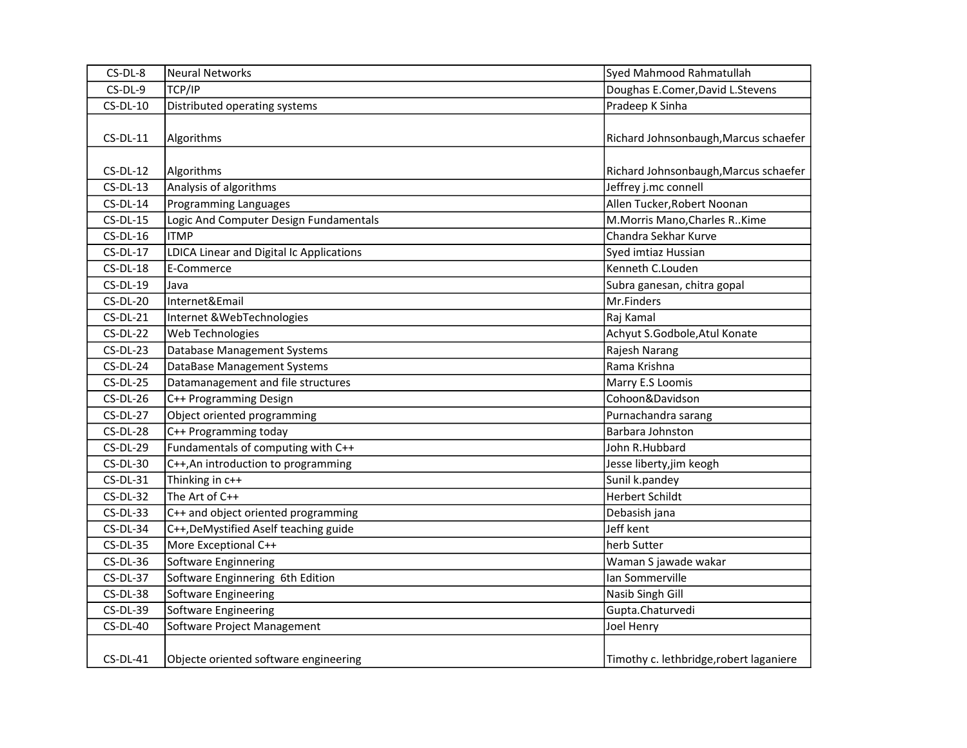| CS-DL-8    | Neural Networks                          | Syed Mahmood Rahmatullah                |
|------------|------------------------------------------|-----------------------------------------|
| CS-DL-9    | TCP/IP                                   | Doughas E.Comer, David L.Stevens        |
| $CS-DL-10$ | Distributed operating systems            | Pradeep K Sinha                         |
| $CS-DL-11$ | Algorithms                               | Richard Johnsonbaugh, Marcus schaefer   |
| $CS-DL-12$ | Algorithms                               | Richard Johnsonbaugh, Marcus schaefer   |
| $CS-DL-13$ | Analysis of algorithms                   | Jeffrey j.mc connell                    |
| $CS-DL-14$ | <b>Programming Languages</b>             | Allen Tucker, Robert Noonan             |
| $CS-DL-15$ | Logic And Computer Design Fundamentals   | M.Morris Mano, Charles R. Kime          |
| $CS-DL-16$ | <b>ITMP</b>                              | Chandra Sekhar Kurve                    |
| $CS-DL-17$ | LDICA Linear and Digital Ic Applications | Syed imtiaz Hussian                     |
| $CS-DL-18$ | E-Commerce                               | Kenneth C.Louden                        |
| $CS-DL-19$ | Java                                     | Subra ganesan, chitra gopal             |
| $CS-DL-20$ | Internet&Email                           | Mr.Finders                              |
| $CS-DL-21$ | Internet & WebTechnologies               | Raj Kamal                               |
| $CS-DL-22$ | Web Technologies                         | Achyut S.Godbole, Atul Konate           |
| $CS-DL-23$ | Database Management Systems              | Rajesh Narang                           |
| $CS-DL-24$ | DataBase Management Systems              | Rama Krishna                            |
| $CS-DL-25$ | Datamanagement and file structures       | Marry E.S Loomis                        |
| $CS-DL-26$ | C++ Programming Design                   | Cohoon&Davidson                         |
| $CS-DL-27$ | Object oriented programming              | Purnachandra sarang                     |
| $CS-DL-28$ | C++ Programming today                    | Barbara Johnston                        |
| $CS-DL-29$ | Fundamentals of computing with C++       | John R.Hubbard                          |
| $CS-DL-30$ | C++, An introduction to programming      | Jesse liberty,jim keogh                 |
| $CS-DL-31$ | Thinking in c++                          | Sunil k.pandey                          |
| $CS-DL-32$ | The Art of C++                           | <b>Herbert Schildt</b>                  |
| $CS-DL-33$ | C++ and object oriented programming      | Debasish jana                           |
| $CS-DL-34$ | C++, DeMystified Aself teaching guide    | Jeff kent                               |
| $CS-DL-35$ | More Exceptional C++                     | herb Sutter                             |
| $CS-DL-36$ | Software Enginnering                     | Waman S jawade wakar                    |
| $CS-DL-37$ | Software Enginnering 6th Edition         | Ian Sommerville                         |
| $CS-DL-38$ | Software Engineering                     | Nasib Singh Gill                        |
| $CS-DL-39$ | Software Engineering                     | Gupta.Chaturvedi                        |
| $CS-DL-40$ | Software Project Management              | Joel Henry                              |
| $CS-DL-41$ | Objecte oriented software engineering    | Timothy c. lethbridge, robert laganiere |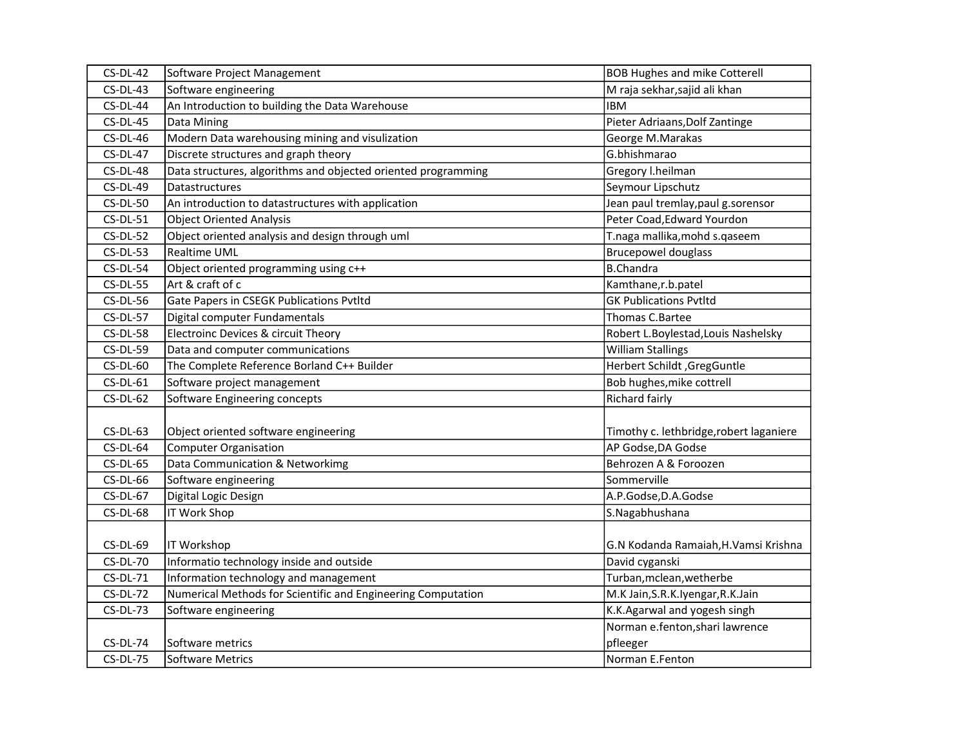| $CS-DL-42$      | Software Project Management                                   | <b>BOB Hughes and mike Cotterell</b>    |
|-----------------|---------------------------------------------------------------|-----------------------------------------|
| $CS-DL-43$      | Software engineering                                          | M raja sekhar, sajid ali khan           |
| $CS-DL-44$      | An Introduction to building the Data Warehouse                | <b>IBM</b>                              |
| $CS-DL-45$      | Data Mining                                                   | Pieter Adriaans, Dolf Zantinge          |
| $CS-DL-46$      | Modern Data warehousing mining and visulization               | George M.Marakas                        |
| $CS-DL-47$      | Discrete structures and graph theory                          | G.bhishmarao                            |
| $CS-DL-48$      | Data structures, algorithms and objected oriented programming | Gregory I.heilman                       |
| $CS-DL-49$      | Datastructures                                                | Seymour Lipschutz                       |
| $CS-DL-50$      | An introduction to datastructures with application            | Jean paul tremlay, paul g.sorensor      |
| $CS-DL-51$      | <b>Object Oriented Analysis</b>                               | Peter Coad, Edward Yourdon              |
| $CS-DL-52$      | Object oriented analysis and design through uml               | T.naga mallika, mohd s.qaseem           |
| $CS-DL-53$      | <b>Realtime UML</b>                                           | <b>Brucepowel douglass</b>              |
| $CS-DL-54$      | Object oriented programming using c++                         | <b>B.Chandra</b>                        |
| $CS-DL-55$      | Art & craft of c                                              | Kamthane,r.b.patel                      |
| $CS-DL-56$      | Gate Papers in CSEGK Publications Pvtltd                      | <b>GK Publications Pvtltd</b>           |
| $CS-DL-57$      | Digital computer Fundamentals                                 | Thomas C.Bartee                         |
| $CS-DL-58$      | Electroinc Devices & circuit Theory                           | Robert L.Boylestad, Louis Nashelsky     |
| <b>CS-DL-59</b> | Data and computer communications                              | <b>William Stallings</b>                |
| $CS-DL-60$      | The Complete Reference Borland C++ Builder                    | Herbert Schildt, GregGuntle             |
| $CS-DL-61$      | Software project management                                   | Bob hughes, mike cottrell               |
| $CS-DL-62$      | Software Engineering concepts                                 | Richard fairly                          |
|                 |                                                               |                                         |
| $CS-DL-63$      | Object oriented software engineering                          | Timothy c. lethbridge, robert laganiere |
| $CS-DL-64$      | Computer Organisation                                         | AP Godse, DA Godse                      |
| $CS-DL-65$      | Data Communication & Networkimg                               | Behrozen A & Foroozen                   |
| $CS-DL-66$      | Software engineering                                          | Sommerville                             |
| $CS-DL-67$      | Digital Logic Design                                          | A.P.Godse, D.A.Godse                    |
| $CS-DL-68$      | <b>IT Work Shop</b>                                           | S.Nagabhushana                          |
|                 |                                                               |                                         |
| $CS-DL-69$      | IT Workshop                                                   | G.N Kodanda Ramaiah, H. Vamsi Krishna   |
| <b>CS-DL-70</b> | Informatio technology inside and outside                      | David cyganski                          |
| $CS-DL-71$      | Information technology and management                         | Turban, mclean, wetherbe                |
| $CS-DL-72$      | Numerical Methods for Scientific and Engineering Computation  | M.K Jain, S.R.K. Iyengar, R.K. Jain     |
| $CS-DL-73$      | Software engineering                                          | K.K.Agarwal and yogesh singh            |
|                 |                                                               | Norman e.fenton, shari lawrence         |
| $CS-DL-74$      | Software metrics                                              | pfleeger                                |
| <b>CS-DL-75</b> | Software Metrics                                              | Norman E.Fenton                         |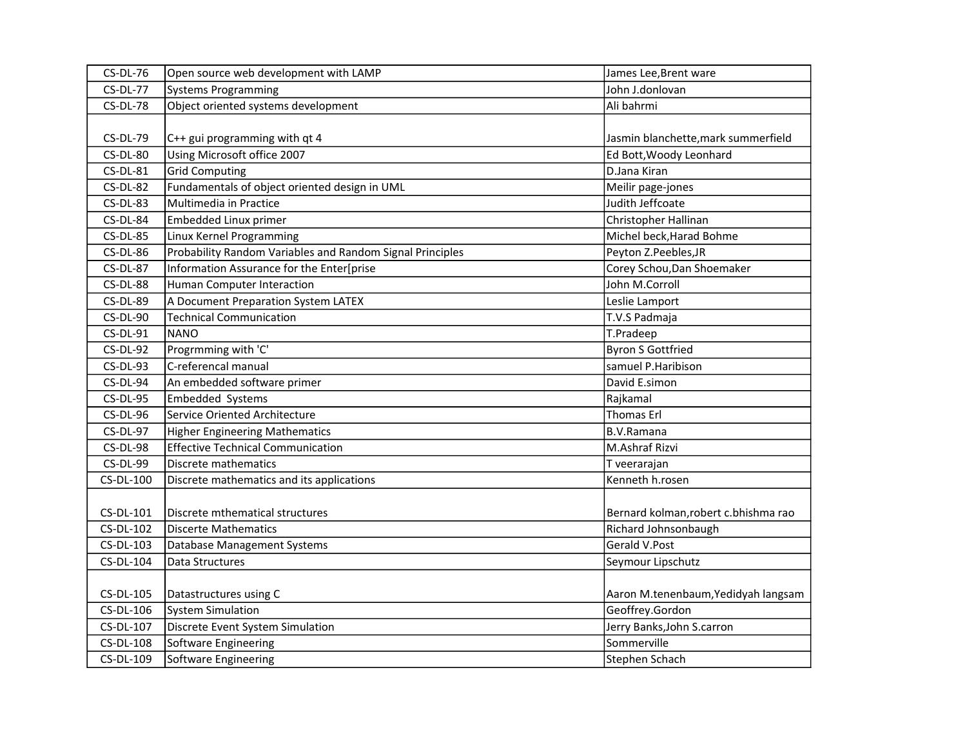| <b>CS-DL-76</b> | Open source web development with LAMP                     | James Lee, Brent ware                |
|-----------------|-----------------------------------------------------------|--------------------------------------|
| <b>CS-DL-77</b> | <b>Systems Programming</b>                                | John J.donlovan                      |
| <b>CS-DL-78</b> | Object oriented systems development                       | Ali bahrmi                           |
|                 |                                                           |                                      |
| <b>CS-DL-79</b> | C++ gui programming with qt 4                             | Jasmin blanchette, mark summerfield  |
| <b>CS-DL-80</b> | Using Microsoft office 2007                               | Ed Bott, Woody Leonhard              |
| $CS-DL-81$      | <b>Grid Computing</b>                                     | D.Jana Kiran                         |
| $CS-DL-82$      | Fundamentals of object oriented design in UML             | Meilir page-jones                    |
| $CS-DL-83$      | Multimedia in Practice                                    | Judith Jeffcoate                     |
| CS-DL-84        | Embedded Linux primer                                     | Christopher Hallinan                 |
| $CS-DL-85$      | Linux Kernel Programming                                  | Michel beck, Harad Bohme             |
| CS-DL-86        | Probability Random Variables and Random Signal Principles | Peyton Z.Peebles, JR                 |
| <b>CS-DL-87</b> | Information Assurance for the Enter[prise                 | Corey Schou, Dan Shoemaker           |
| CS-DL-88        | Human Computer Interaction                                | John M.Corroll                       |
| <b>CS-DL-89</b> | A Document Preparation System LATEX                       | Leslie Lamport                       |
| <b>CS-DL-90</b> | <b>Technical Communication</b>                            | T.V.S Padmaja                        |
| $CS-DL-91$      | <b>NANO</b>                                               | T.Pradeep                            |
| $CS-DL-92$      | Progrmming with 'C'                                       | <b>Byron S Gottfried</b>             |
| $CS-DL-93$      | C-referencal manual                                       | samuel P.Haribison                   |
| $CS-DL-94$      | An embedded software primer                               | David E.simon                        |
| $CS-DL-95$      | Embedded Systems                                          | Rajkamal                             |
| CS-DL-96        | Service Oriented Architecture                             | <b>Thomas Erl</b>                    |
| <b>CS-DL-97</b> | <b>Higher Engineering Mathematics</b>                     | <b>B.V.Ramana</b>                    |
| $CS-DL-98$      | <b>Effective Technical Communication</b>                  | M.Ashraf Rizvi                       |
| <b>CS-DL-99</b> | Discrete mathematics                                      | T veerarajan                         |
| CS-DL-100       | Discrete mathematics and its applications                 | Kenneth h.rosen                      |
|                 |                                                           |                                      |
| CS-DL-101       | Discrete mthematical structures                           | Bernard kolman, robert c.bhishma rao |
| CS-DL-102       | <b>Discerte Mathematics</b>                               | Richard Johnsonbaugh                 |
| CS-DL-103       | Database Management Systems                               | Gerald V.Post                        |
| CS-DL-104       | Data Structures                                           | Seymour Lipschutz                    |
|                 |                                                           |                                      |
| CS-DL-105       | Datastructures using C                                    | Aaron M.tenenbaum, Yedidyah langsam  |
| CS-DL-106       | <b>System Simulation</b>                                  | Geoffrey.Gordon                      |
| CS-DL-107       | Discrete Event System Simulation                          | Jerry Banks, John S.carron           |
| CS-DL-108       | Software Engineering                                      | Sommerville                          |
| CS-DL-109       | Software Engineering                                      | Stephen Schach                       |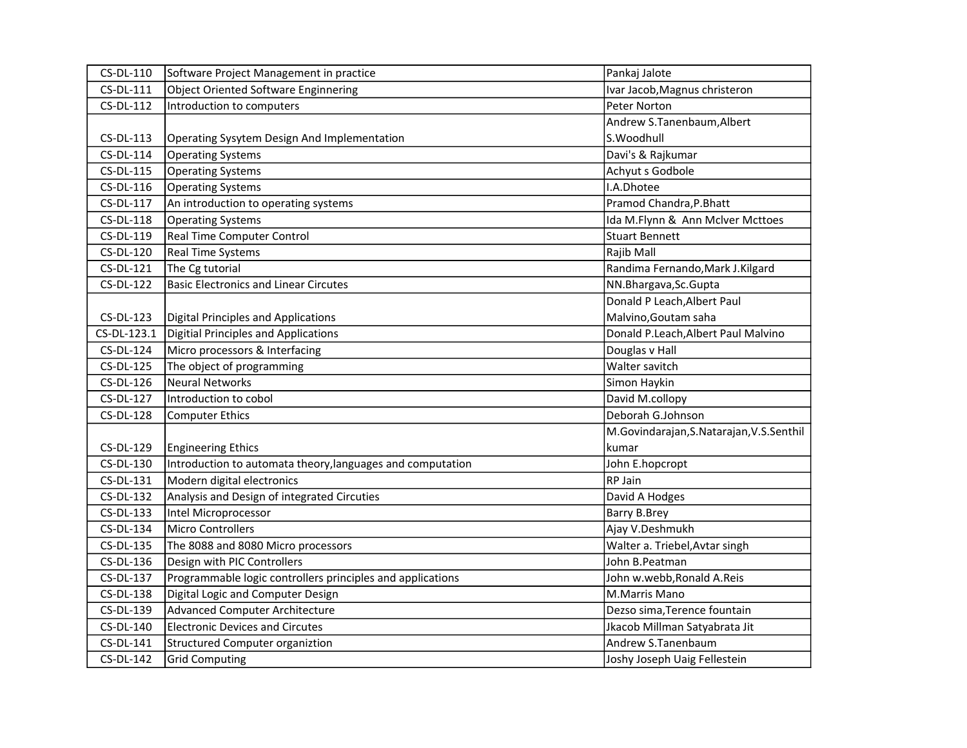| CS-DL-110        | Software Project Management in practice                    | Pankaj Jalote                            |
|------------------|------------------------------------------------------------|------------------------------------------|
| CS-DL-111        | <b>Object Oriented Software Enginnering</b>                | Ivar Jacob, Magnus christeron            |
| CS-DL-112        | Introduction to computers                                  | Peter Norton                             |
|                  |                                                            | Andrew S.Tanenbaum, Albert               |
| CS-DL-113        | Operating Sysytem Design And Implementation                | S.Woodhull                               |
| CS-DL-114        | <b>Operating Systems</b>                                   | Davi's & Rajkumar                        |
| CS-DL-115        | <b>Operating Systems</b>                                   | Achyut s Godbole                         |
| CS-DL-116        | <b>Operating Systems</b>                                   | I.A.Dhotee                               |
| CS-DL-117        | An introduction to operating systems                       | Pramod Chandra, P.Bhatt                  |
| CS-DL-118        | <b>Operating Systems</b>                                   | Ida M.Flynn & Ann McIver Mcttoes         |
| CS-DL-119        | Real Time Computer Control                                 | <b>Stuart Bennett</b>                    |
| CS-DL-120        | Real Time Systems                                          | Rajib Mall                               |
| CS-DL-121        | The Cg tutorial                                            | Randima Fernando, Mark J. Kilgard        |
| <b>CS-DL-122</b> | <b>Basic Electronics and Linear Circutes</b>               | NN.Bhargava, Sc. Gupta                   |
|                  |                                                            | Donald P Leach, Albert Paul              |
| $CS-DL-123$      | <b>Digital Principles and Applications</b>                 | Malvino, Goutam saha                     |
| CS-DL-123.1      | Digitial Principles and Applications                       | Donald P.Leach, Albert Paul Malvino      |
| CS-DL-124        | Micro processors & Interfacing                             | Douglas v Hall                           |
| CS-DL-125        | The object of programming                                  | Walter savitch                           |
| CS-DL-126        | <b>Neural Networks</b>                                     | Simon Haykin                             |
| CS-DL-127        | Introduction to cobol                                      | David M.collopy                          |
| CS-DL-128        | <b>Computer Ethics</b>                                     | Deborah G.Johnson                        |
|                  |                                                            | M.Govindarajan, S.Natarajan, V.S.Senthil |
| CS-DL-129        | <b>Engineering Ethics</b>                                  | kumar                                    |
| CS-DL-130        | Introduction to automata theory, languages and computation | John E.hopcropt                          |
| CS-DL-131        | Modern digital electronics                                 | RP Jain                                  |
| CS-DL-132        | Analysis and Design of integrated Circuties                | David A Hodges                           |
| CS-DL-133        | Intel Microprocessor                                       | Barry B.Brey                             |
| CS-DL-134        | Micro Controllers                                          | Ajay V.Deshmukh                          |
| CS-DL-135        | The 8088 and 8080 Micro processors                         | Walter a. Triebel, Avtar singh           |
| CS-DL-136        | Design with PIC Controllers                                | John B.Peatman                           |
| CS-DL-137        | Programmable logic controllers principles and applications | John w.webb, Ronald A.Reis               |
| CS-DL-138        | Digital Logic and Computer Design                          | <b>M.Marris Mano</b>                     |
| CS-DL-139        | <b>Advanced Computer Architecture</b>                      | Dezso sima, Terence fountain             |
| CS-DL-140        | <b>Electronic Devices and Circutes</b>                     | Jkacob Millman Satyabrata Jit            |
| CS-DL-141        | <b>Structured Computer organiztion</b>                     | Andrew S.Tanenbaum                       |
| CS-DL-142        | <b>Grid Computing</b>                                      | Joshy Joseph Uaig Fellestein             |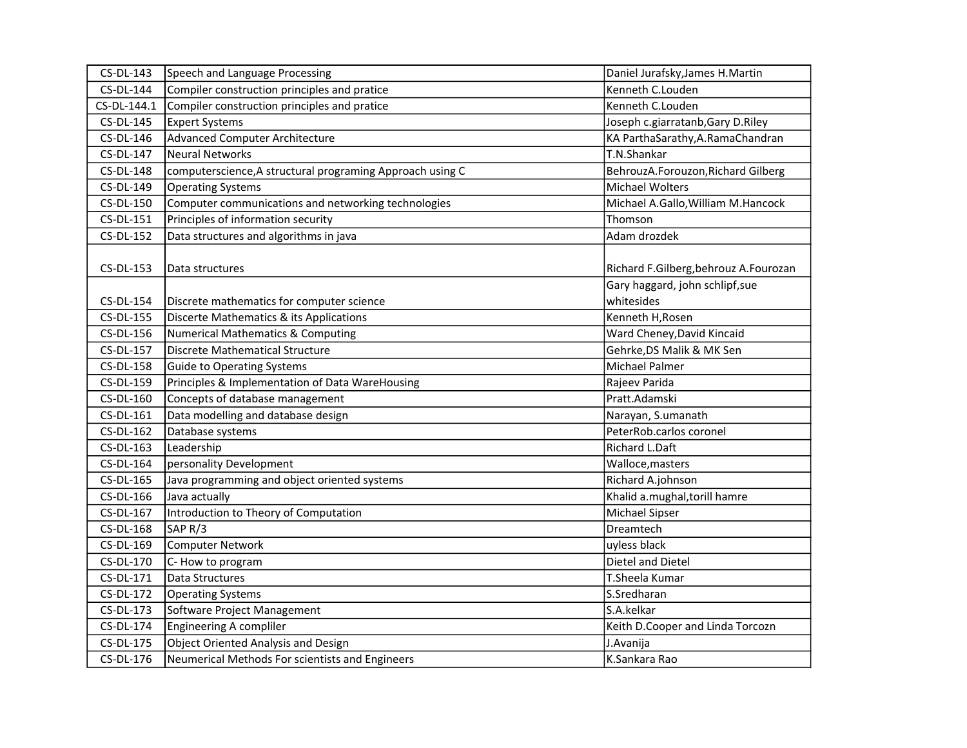| CS-DL-143        | Speech and Language Processing                            | Daniel Jurafsky, James H. Martin      |
|------------------|-----------------------------------------------------------|---------------------------------------|
| CS-DL-144        | Compiler construction principles and pratice              | Kenneth C.Louden                      |
| CS-DL-144.1      | Compiler construction principles and pratice              | Kenneth C.Louden                      |
| CS-DL-145        | <b>Expert Systems</b>                                     | Joseph c.giarratanb, Gary D.Riley     |
| CS-DL-146        | <b>Advanced Computer Architecture</b>                     | KA ParthaSarathy, A.RamaChandran      |
| CS-DL-147        | <b>Neural Networks</b>                                    | T.N.Shankar                           |
| CS-DL-148        | computerscience, A structural programing Approach using C | BehrouzA.Forouzon, Richard Gilberg    |
| CS-DL-149        | <b>Operating Systems</b>                                  | Michael Wolters                       |
| CS-DL-150        | Computer communications and networking technologies       | Michael A.Gallo, William M.Hancock    |
| CS-DL-151        | Principles of information security                        | Thomson                               |
| CS-DL-152        | Data structures and algorithms in java                    | Adam drozdek                          |
|                  |                                                           |                                       |
| CS-DL-153        | Data structures                                           | Richard F.Gilberg, behrouz A.Fourozan |
|                  |                                                           | Gary haggard, john schlipf, sue       |
| CS-DL-154        | Discrete mathematics for computer science                 | whitesides                            |
| <b>CS-DL-155</b> | Discerte Mathematics & its Applications                   | Kenneth H, Rosen                      |
| CS-DL-156        | Numerical Mathematics & Computing                         | Ward Cheney, David Kincaid            |
| CS-DL-157        | Discrete Mathematical Structure                           | Gehrke, DS Malik & MK Sen             |
| CS-DL-158        | Guide to Operating Systems                                | Michael Palmer                        |
| CS-DL-159        | Principles & Implementation of Data WareHousing           | Rajeev Parida                         |
| CS-DL-160        | Concepts of database management                           | Pratt.Adamski                         |
| CS-DL-161        | Data modelling and database design                        | Narayan, S.umanath                    |
| CS-DL-162        | Database systems                                          | PeterRob.carlos coronel               |
| CS-DL-163        | Leadership                                                | Richard L.Daft                        |
| CS-DL-164        | personality Development                                   | Walloce, masters                      |
| CS-DL-165        | Java programming and object oriented systems              | Richard A.johnson                     |
| CS-DL-166        | Java actually                                             | Khalid a.mughal, torill hamre         |
| CS-DL-167        | Introduction to Theory of Computation                     | Michael Sipser                        |
| CS-DL-168        | SAP <sub>R/3</sub>                                        | Dreamtech                             |
| CS-DL-169        | <b>Computer Network</b>                                   | uyless black                          |
| CS-DL-170        | C-How to program                                          | Dietel and Dietel                     |
| CS-DL-171        | Data Structures                                           | T.Sheela Kumar                        |
| CS-DL-172        | <b>Operating Systems</b>                                  | S.Sredharan                           |
| CS-DL-173        | Software Project Management                               | S.A.kelkar                            |
| CS-DL-174        | Engineering A compliler                                   | Keith D.Cooper and Linda Torcozn      |
| CS-DL-175        | Object Oriented Analysis and Design                       | J.Avanija                             |
| CS-DL-176        | Neumerical Methods For scientists and Engineers           | K.Sankara Rao                         |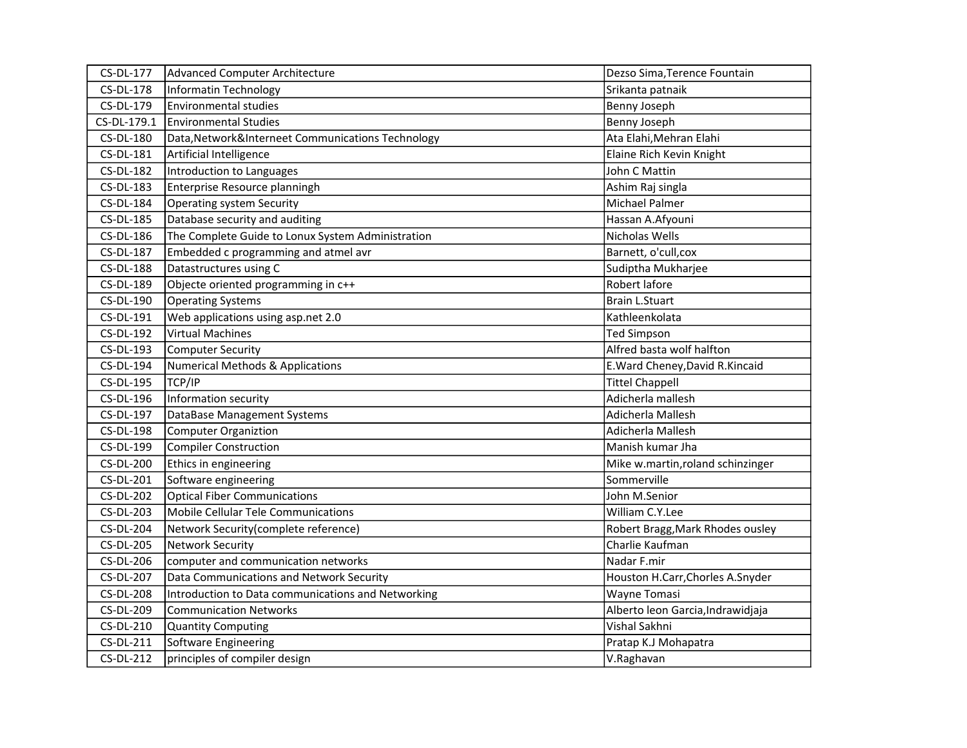| CS-DL-177        | Advanced Computer Architecture                     | Dezso Sima, Terence Fountain      |
|------------------|----------------------------------------------------|-----------------------------------|
| <b>CS-DL-178</b> | Informatin Technology                              | Srikanta patnaik                  |
| CS-DL-179        | Environmental studies                              | Benny Joseph                      |
| CS-DL-179.1      | <b>Environmental Studies</b>                       | Benny Joseph                      |
| CS-DL-180        | Data, Network&Interneet Communications Technology  | Ata Elahi, Mehran Elahi           |
| CS-DL-181        | Artificial Intelligence                            | Elaine Rich Kevin Knight          |
| CS-DL-182        | Introduction to Languages                          | John C Mattin                     |
| CS-DL-183        | Enterprise Resource planningh                      | Ashim Raj singla                  |
| CS-DL-184        | <b>Operating system Security</b>                   | Michael Palmer                    |
| CS-DL-185        | Database security and auditing                     | Hassan A.Afyouni                  |
| CS-DL-186        | The Complete Guide to Lonux System Administration  | Nicholas Wells                    |
| CS-DL-187        | Embedded c programming and atmel avr               | Barnett, o'cull, cox              |
| <b>CS-DL-188</b> | Datastructures using C                             | Sudiptha Mukharjee                |
| CS-DL-189        | Objecte oriented programming in c++                | Robert lafore                     |
| CS-DL-190        | <b>Operating Systems</b>                           | <b>Brain L.Stuart</b>             |
| CS-DL-191        | Web applications using asp.net 2.0                 | Kathleenkolata                    |
| CS-DL-192        | <b>Virtual Machines</b>                            | <b>Ted Simpson</b>                |
| CS-DL-193        | <b>Computer Security</b>                           | Alfred basta wolf halfton         |
| CS-DL-194        | <b>Numerical Methods &amp; Applications</b>        | E. Ward Cheney, David R. Kincaid  |
| CS-DL-195        | TCP/IP                                             | <b>Tittel Chappell</b>            |
| CS-DL-196        | Information security                               | Adicherla mallesh                 |
| CS-DL-197        | DataBase Management Systems                        | Adicherla Mallesh                 |
| CS-DL-198        | Computer Organiztion                               | Adicherla Mallesh                 |
| CS-DL-199        | Compiler Construction                              | Manish kumar Jha                  |
| CS-DL-200        | Ethics in engineering                              | Mike w.martin, roland schinzinger |
| CS-DL-201        | Software engineering                               | Sommerville                       |
| CS-DL-202        | <b>Optical Fiber Communications</b>                | John M.Senior                     |
| CS-DL-203        | Mobile Cellular Tele Communications                | William C.Y.Lee                   |
| CS-DL-204        | Network Security(complete reference)               | Robert Bragg, Mark Rhodes ousley  |
| <b>CS-DL-205</b> | Network Security                                   | Charlie Kaufman                   |
| CS-DL-206        | computer and communication networks                | Nadar F.mir                       |
| <b>CS-DL-207</b> | Data Communications and Network Security           | Houston H.Carr, Chorles A.Snyder  |
| <b>CS-DL-208</b> | Introduction to Data communications and Networking | Wayne Tomasi                      |
| CS-DL-209        | <b>Communication Networks</b>                      | Alberto leon Garcia, Indrawidjaja |
| CS-DL-210        | <b>Quantity Computing</b>                          | Vishal Sakhni                     |
| CS-DL-211        | Software Engineering                               | Pratap K.J Mohapatra              |
| CS-DL-212        | principles of compiler design                      | V.Raghavan                        |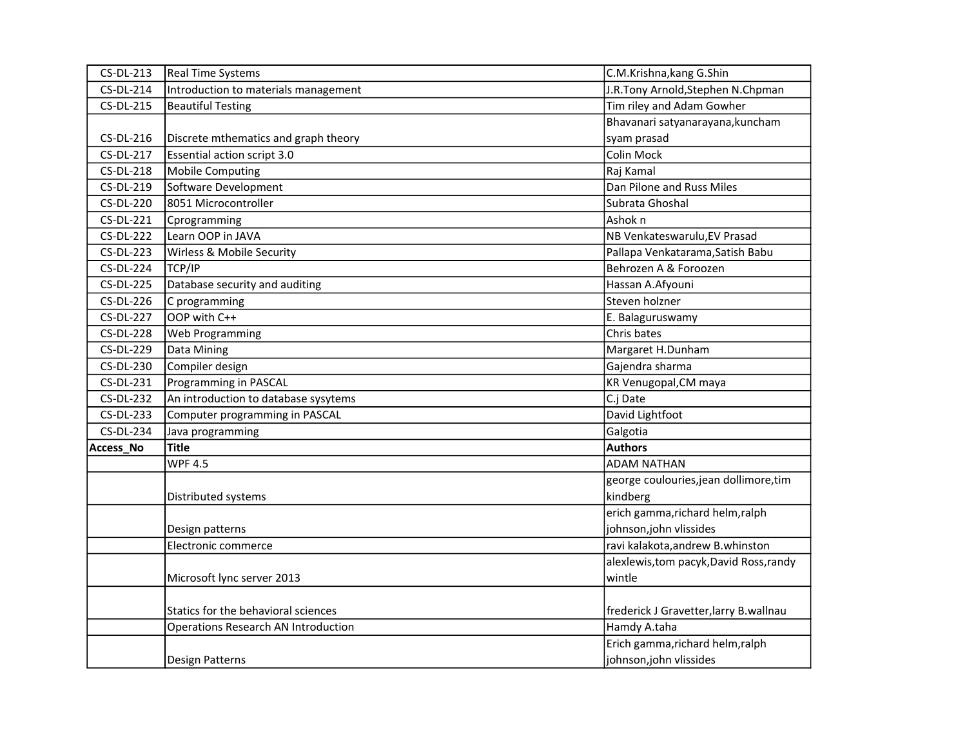| CS-DL-213        | <b>Real Time Systems</b>                   | C.M.Krishna, kang G.Shin                |
|------------------|--------------------------------------------|-----------------------------------------|
| CS-DL-214        | Introduction to materials management       | J.R.Tony Arnold, Stephen N.Chpman       |
| CS-DL-215        | <b>Beautiful Testing</b>                   | Tim riley and Adam Gowher               |
|                  |                                            | Bhavanari satyanarayana, kuncham        |
| CS-DL-216        | Discrete mthematics and graph theory       | syam prasad                             |
| <b>CS-DL-217</b> | Essential action script 3.0                | Colin Mock                              |
| <b>CS-DL-218</b> | <b>Mobile Computing</b>                    | Raj Kamal                               |
| CS-DL-219        | Software Development                       | Dan Pilone and Russ Miles               |
| CS-DL-220        | 8051 Microcontroller                       | Subrata Ghoshal                         |
| CS-DL-221        | Cprogramming                               | Ashok n                                 |
| <b>CS-DL-222</b> | Learn OOP in JAVA                          | NB Venkateswarulu, EV Prasad            |
| CS-DL-223        | Wirless & Mobile Security                  | Pallapa Venkatarama, Satish Babu        |
| <b>CS-DL-224</b> | TCP/IP                                     | Behrozen A & Foroozen                   |
| <b>CS-DL-225</b> | Database security and auditing             | Hassan A.Afyouni                        |
| CS-DL-226        | C programming                              | Steven holzner                          |
| <b>CS-DL-227</b> | OOP with C++                               | E. Balaguruswamy                        |
| <b>CS-DL-228</b> | Web Programming                            | Chris bates                             |
| CS-DL-229        | Data Mining                                | Margaret H.Dunham                       |
| CS-DL-230        | Compiler design                            | Gajendra sharma                         |
| CS-DL-231        | Programming in PASCAL                      | KR Venugopal, CM maya                   |
| <b>CS-DL-232</b> | An introduction to database sysytems       | C.j Date                                |
| CS-DL-233        | Computer programming in PASCAL             | David Lightfoot                         |
| CS-DL-234        | Java programming                           | Galgotia                                |
| Access_No        | <b>Title</b>                               | <b>Authors</b>                          |
|                  | <b>WPF 4.5</b>                             | <b>ADAM NATHAN</b>                      |
|                  |                                            | george coulouries, jean dollimore, tim  |
|                  | Distributed systems                        | kindberg                                |
|                  |                                            | erich gamma, richard helm, ralph        |
|                  | Design patterns                            | johnson, john vlissides                 |
|                  | Electronic commerce                        | ravi kalakota, andrew B. whinston       |
|                  |                                            | alexlewis, tom pacyk, David Ross, randy |
|                  | Microsoft lync server 2013                 | wintle                                  |
|                  |                                            |                                         |
|                  | Statics for the behavioral sciences        | frederick J Gravetter, larry B. wallnau |
|                  | <b>Operations Research AN Introduction</b> | Hamdy A.taha                            |
|                  |                                            | Erich gamma, richard helm, ralph        |
|                  | <b>Design Patterns</b>                     | johnson, john vlissides                 |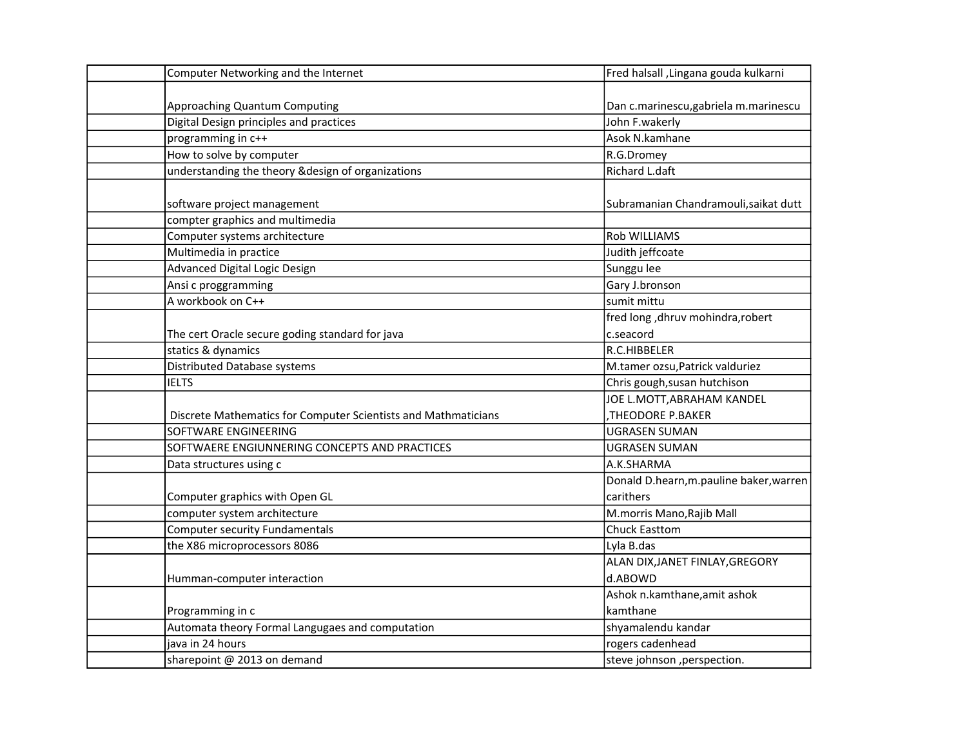| Computer Networking and the Internet                           | Fred halsall , Lingana gouda kulkarni   |
|----------------------------------------------------------------|-----------------------------------------|
|                                                                |                                         |
| Approaching Quantum Computing                                  | Dan c.marinescu, gabriela m.marinescu   |
| Digital Design principles and practices                        | John F.wakerly                          |
| programming in c++                                             | Asok N.kamhane                          |
| How to solve by computer                                       | R.G.Dromey                              |
| understanding the theory & design of organizations             | Richard L.daft                          |
|                                                                |                                         |
| software project management                                    | Subramanian Chandramouli, saikat dutt   |
| compter graphics and multimedia                                |                                         |
| Computer systems architecture                                  | Rob WILLIAMS                            |
| Multimedia in practice                                         | Judith jeffcoate                        |
| Advanced Digital Logic Design                                  | Sunggu lee                              |
| Ansi c proggramming                                            | Gary J.bronson                          |
| A workbook on C++                                              | sumit mittu                             |
|                                                                | fred long, dhruv mohindra, robert       |
| The cert Oracle secure goding standard for java                | c.seacord                               |
| statics & dynamics                                             | R.C.HIBBELER                            |
| Distributed Database systems                                   | M.tamer ozsu, Patrick valduriez         |
| <b>IELTS</b>                                                   | Chris gough, susan hutchison            |
|                                                                | JOE L.MOTT, ABRAHAM KANDEL              |
| Discrete Mathematics for Computer Scientists and Mathmaticians | <b>,THEODORE P.BAKER</b>                |
| SOFTWARE ENGINEERING                                           | <b>UGRASEN SUMAN</b>                    |
| SOFTWAERE ENGIUNNERING CONCEPTS AND PRACTICES                  | <b>UGRASEN SUMAN</b>                    |
| Data structures using c                                        | A.K.SHARMA                              |
|                                                                | Donald D.hearn, m.pauline baker, warren |
| Computer graphics with Open GL                                 | carithers                               |
| computer system architecture                                   | M.morris Mano, Rajib Mall               |
| <b>Computer security Fundamentals</b>                          | <b>Chuck Easttom</b>                    |
| the X86 microprocessors 8086                                   | Lyla B.das                              |
|                                                                | ALAN DIX, JANET FINLAY, GREGORY         |
| Humman-computer interaction                                    | d.ABOWD                                 |
|                                                                | Ashok n.kamthane, amit ashok            |
| Programming in c                                               | kamthane                                |
| Automata theory Formal Langugaes and computation               | shyamalendu kandar                      |
| java in 24 hours                                               | rogers cadenhead                        |
| sharepoint @ 2013 on demand                                    | steve johnson , perspection.            |